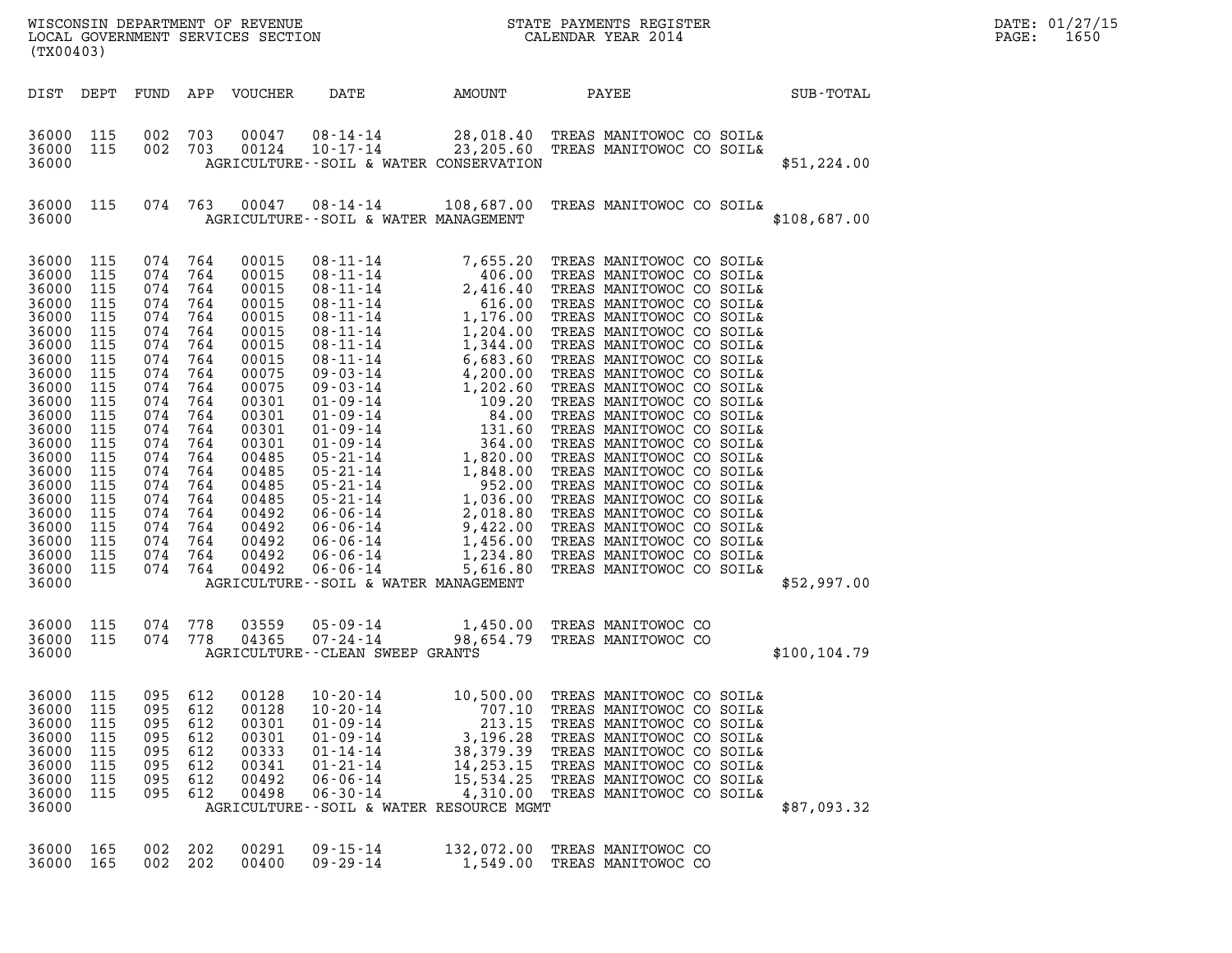| (TX00403)                                                                                                                                                                                                            |                                                                                                                                                               |                                                                                                                                                                   |                                                                                                                                                        |                                                                                                                                                                                                             |                                                                                                                                                                                                                                                                                                                                                                                                                                      |                                                                                                                                                                                                                                                                       |                                                                                                                                                                                                                                                                                                                                                                                                                                                                                                                                                                                                                                                                                             |               | DATE: 01/27/15<br>$\mathtt{PAGE}$ :<br>1650 |
|----------------------------------------------------------------------------------------------------------------------------------------------------------------------------------------------------------------------|---------------------------------------------------------------------------------------------------------------------------------------------------------------|-------------------------------------------------------------------------------------------------------------------------------------------------------------------|--------------------------------------------------------------------------------------------------------------------------------------------------------|-------------------------------------------------------------------------------------------------------------------------------------------------------------------------------------------------------------|--------------------------------------------------------------------------------------------------------------------------------------------------------------------------------------------------------------------------------------------------------------------------------------------------------------------------------------------------------------------------------------------------------------------------------------|-----------------------------------------------------------------------------------------------------------------------------------------------------------------------------------------------------------------------------------------------------------------------|---------------------------------------------------------------------------------------------------------------------------------------------------------------------------------------------------------------------------------------------------------------------------------------------------------------------------------------------------------------------------------------------------------------------------------------------------------------------------------------------------------------------------------------------------------------------------------------------------------------------------------------------------------------------------------------------|---------------|---------------------------------------------|
| DIST DEPT                                                                                                                                                                                                            |                                                                                                                                                               |                                                                                                                                                                   |                                                                                                                                                        | FUND APP VOUCHER                                                                                                                                                                                            | DATE                                                                                                                                                                                                                                                                                                                                                                                                                                 | AMOUNT                                                                                                                                                                                                                                                                | PAYEE                                                                                                                                                                                                                                                                                                                                                                                                                                                                                                                                                                                                                                                                                       | SUB-TOTAL     |                                             |
| 36000 115<br>36000<br>36000                                                                                                                                                                                          | 115                                                                                                                                                           | 002<br>002 703                                                                                                                                                    | 703                                                                                                                                                    | 00047<br>00124                                                                                                                                                                                              | 08-14-14<br>10-17-14<br>AGRICULTURE--SOIL & WATER CONSERVATION                                                                                                                                                                                                                                                                                                                                                                       |                                                                                                                                                                                                                                                                       | 28,018.40 TREAS MANITOWOC CO SOIL&<br>23,205.60 TREAS MANITOWOC CO SOIL&                                                                                                                                                                                                                                                                                                                                                                                                                                                                                                                                                                                                                    | \$51,224.00   |                                             |
| 36000 115<br>36000                                                                                                                                                                                                   |                                                                                                                                                               | 074 763                                                                                                                                                           |                                                                                                                                                        |                                                                                                                                                                                                             | $00047$ $08 - 14 - 14$<br>AGRICULTURE--SOIL & WATER MANAGEMENT                                                                                                                                                                                                                                                                                                                                                                       |                                                                                                                                                                                                                                                                       | 108,687.00 TREAS MANITOWOC CO SOIL&                                                                                                                                                                                                                                                                                                                                                                                                                                                                                                                                                                                                                                                         | \$108,687.00  |                                             |
| 36000<br>36000<br>36000<br>36000<br>36000<br>36000<br>36000<br>36000<br>36000<br>36000<br>36000<br>36000<br>36000<br>36000<br>36000<br>36000<br>36000<br>36000<br>36000<br>36000<br>36000<br>36000<br>36000<br>36000 | 115<br>115<br>115<br>115<br>115<br>115<br>115<br>115<br>115<br>115<br>115<br>115<br>115<br>115<br>115<br>115<br>115<br>115<br>115<br>115<br>115<br>115<br>115 | 074<br>074<br>074<br>074<br>074<br>074<br>074<br>074<br>074<br>074<br>074<br>074<br>074<br>074<br>074<br>074<br>074<br>074<br>074<br>074<br>074<br>074<br>074 764 | 764<br>764<br>764<br>764<br>764<br>764<br>764<br>764<br>764<br>764<br>764<br>764<br>764<br>764<br>764<br>764<br>764<br>764<br>764<br>764<br>764<br>764 | 00015<br>00015<br>00015<br>00015<br>00015<br>00015<br>00015<br>00015<br>00075<br>00075<br>00301<br>00301<br>00301<br>00301<br>00485<br>00485<br>00485<br>00485<br>00492<br>00492<br>00492<br>00492<br>00492 | 08-11-14<br>$08 - 11 - 14$<br>$08 - 11 - 14$<br>$08 - 11 - 14$<br>$08 - 11 - 14$<br>$08 - 11 - 14$<br>$08 - 11 - 14$<br>$08 - 11 - 14$<br>$09 - 03 - 14$<br>09-03-14<br>$01 - 09 - 14$<br>01-09-14<br>$01 - 09 - 14$<br>$01 - 09 - 14$<br>$05 - 21 - 14$<br>$05 - 21 - 14$<br>05-21-14<br>$05 - 21 - 14$<br>$06 - 06 - 14$<br>06-06-14<br>$06 - 06 - 14$<br>$06 - 06 - 14$<br>$06 - 06 - 14$<br>AGRICULTURE--SOIL & WATER MANAGEMENT | 7,655.20<br>406.00<br>2,416.40<br>616.00<br>1,344.00<br>6,683.60<br>$\begin{array}{r} 6,683.80\ 4,200.00\ 1,202.60\ 109.20\ 84.00\ 131.60\ 364.00\ 1,820.00\ 1,848.00\ \end{array}$<br>1,848.00<br>952.00<br>1,036.00<br>2,018.80<br>1,456.00<br>1,234.80<br>5,616.80 | TREAS MANITOWOC CO SOIL&<br>TREAS MANITOWOC CO SOIL&<br>TREAS MANITOWOC CO SOIL&<br>TREAS MANITOWOC CO SOIL&<br>1,176.00 TREAS MANITOWOC CO SOIL&<br>1,204.00 TREAS MANITOWOC CO SOIL&<br>TREAS MANITOWOC CO SOIL&<br>TREAS MANITOWOC CO SOIL&<br>TREAS MANITOWOC CO SOIL&<br>TREAS MANITOWOC CO SOIL&<br>TREAS MANITOWOC CO SOIL&<br>TREAS MANITOWOC CO SOIL&<br>TREAS MANITOWOC CO SOIL&<br>TREAS MANITOWOC CO SOIL&<br>TREAS MANITOWOC CO SOIL&<br>TREAS MANITOWOC CO SOIL&<br>TREAS MANITOWOC CO SOIL&<br>TREAS MANITOWOC CO SOIL&<br>TREAS MANITOWOC CO SOIL&<br>9,422.00 TREAS MANITOWOC CO SOIL&<br>TREAS MANITOWOC CO SOIL&<br>TREAS MANITOWOC CO SOIL&<br>TREAS MANITOWOC CO SOIL& | \$52,997.00   |                                             |
| 36000<br>36000<br>36000                                                                                                                                                                                              | 115<br>115                                                                                                                                                    | 074 778<br>074 778                                                                                                                                                |                                                                                                                                                        | 03559<br>04365                                                                                                                                                                                              | $05 - 09 - 14$<br>$07 - 24 - 14$<br>AGRICULTURE - - CLEAN SWEEP GRANTS                                                                                                                                                                                                                                                                                                                                                               | 1,450.00<br>98,654.79                                                                                                                                                                                                                                                 | TREAS MANITOWOC CO<br>TREAS MANITOWOC CO                                                                                                                                                                                                                                                                                                                                                                                                                                                                                                                                                                                                                                                    | \$100, 104.79 |                                             |
| 36000<br>36000<br>36000<br>36000<br>36000<br>36000<br>36000<br>36000<br>36000                                                                                                                                        | 115<br>115<br>115<br>115<br>115<br>115<br>115<br>115                                                                                                          | 095<br>095<br>095<br>095<br>095<br>095<br>095<br>095                                                                                                              | 612<br>612<br>612<br>612<br>612<br>612<br>612<br>612                                                                                                   | 00128<br>00128<br>00301<br>00301<br>00333<br>00341<br>00492<br>00498                                                                                                                                        | $10 - 20 - 14$<br>$10 - 20 - 14$<br>$01 - 09 - 14$<br>$01 - 09 - 14$<br>$01 - 14 - 14$<br>$01 - 21 - 14$<br>$06 - 06 - 14$<br>$06 - 30 - 14$<br>AGRICULTURE--SOIL & WATER RESOURCE MGMT                                                                                                                                                                                                                                              | 10,500.00<br>707.10<br>213.15<br>3,196.28<br>38,379.39<br>14,253.15<br>15,534.25<br>4,310.00                                                                                                                                                                          | TREAS MANITOWOC CO SOIL&<br>TREAS MANITOWOC CO SOIL&<br>TREAS MANITOWOC CO SOIL&<br>TREAS MANITOWOC CO SOIL&<br>TREAS MANITOWOC CO SOIL&<br>TREAS MANITOWOC CO SOIL&<br>TREAS MANITOWOC CO SOIL&<br>TREAS MANITOWOC CO SOIL&                                                                                                                                                                                                                                                                                                                                                                                                                                                                | \$87,093.32   |                                             |
| 36000<br>36000                                                                                                                                                                                                       | 165<br>165                                                                                                                                                    | 002<br>002                                                                                                                                                        | 202<br>202                                                                                                                                             | 00291<br>00400                                                                                                                                                                                              | $09 - 15 - 14$<br>$09 - 29 - 14$                                                                                                                                                                                                                                                                                                                                                                                                     | 132,072.00<br>1,549.00                                                                                                                                                                                                                                                | TREAS MANITOWOC CO<br>TREAS MANITOWOC CO                                                                                                                                                                                                                                                                                                                                                                                                                                                                                                                                                                                                                                                    |               |                                             |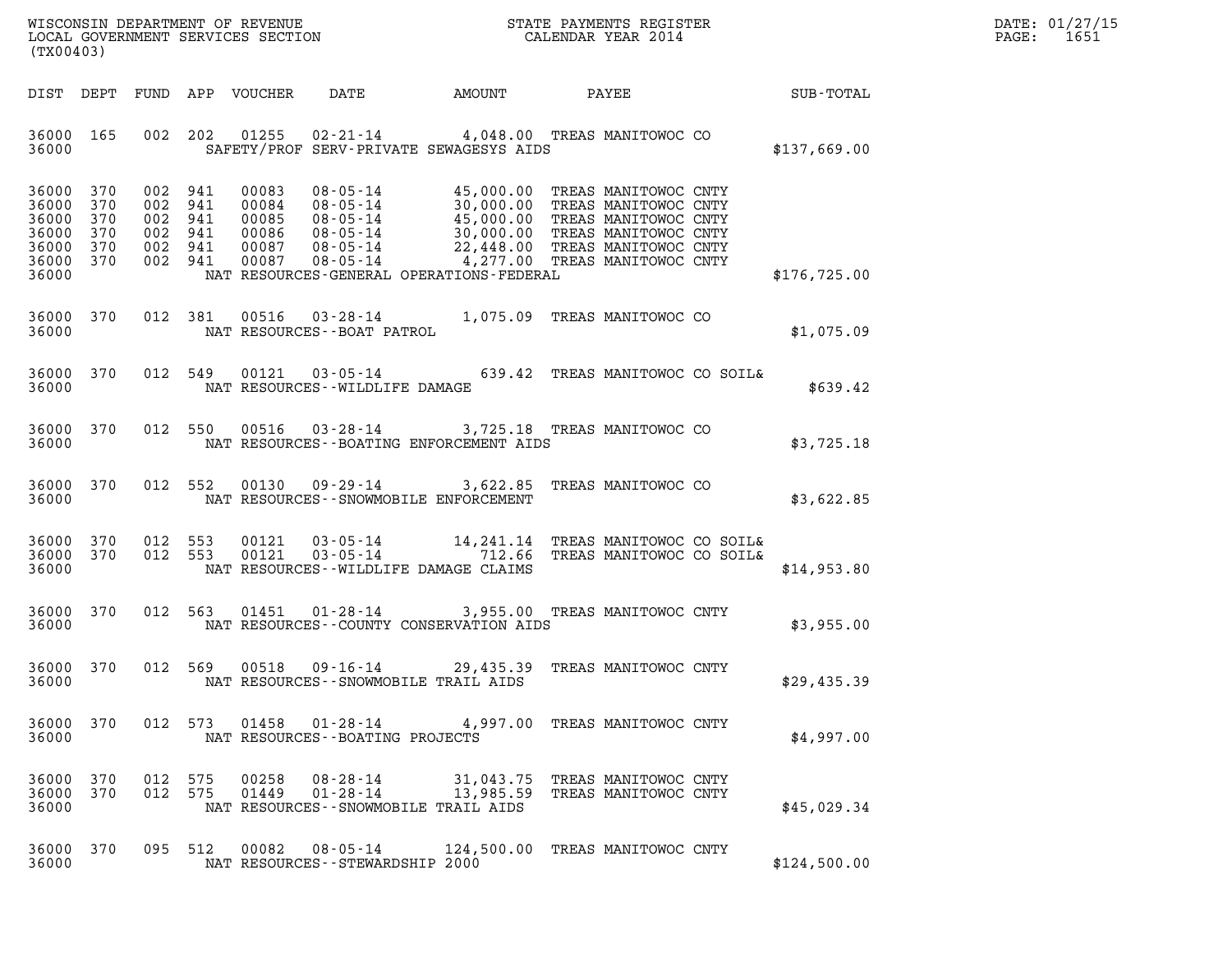| WISCONSIN DEPARTMENT OF REVENUE   | STATE PAYMENTS REGISTER | DATE: 01/27/15 |
|-----------------------------------|-------------------------|----------------|
| LOCAL GOVERNMENT SERVICES SECTION | CALENDAR YEAR 2014      | 1651<br>PAGE:  |

| WISCONSIN DEPARTMENT OF REVENUE<br>LOCAL GOVERNMENT SERVICES SECTION THE STATE PAYMENTS REGISTER<br>(TWO0402)<br>(TX00403) |            |            |            |                |                                                                                                                                                                                                                                                                                    |                        |                                              | <b>ER ER</b> | DATE: 01/27/15<br>PAGE: 1651 |
|----------------------------------------------------------------------------------------------------------------------------|------------|------------|------------|----------------|------------------------------------------------------------------------------------------------------------------------------------------------------------------------------------------------------------------------------------------------------------------------------------|------------------------|----------------------------------------------|--------------|------------------------------|
|                                                                                                                            |            |            |            |                | DIST DEPT FUND APP VOUCHER DATE AMOUNT PAYEE PATE SUB-TOTAL                                                                                                                                                                                                                        |                        |                                              |              |                              |
| 36000 165                                                                                                                  |            |            |            |                | 002 202 01255 02-21-14 4,048.00 TREAS MANITOWOC CO<br>36000 SAFETY/PROF SERV-PRIVATE SEWAGESYS AIDS                                                                                                                                                                                |                        |                                              | \$137,669.00 |                              |
| 36000 370<br>36000 370<br>36000<br>36000<br>36000 370<br>36000 370<br>36000                                                | 370<br>370 |            |            |                | 002 941 00083 08-05-14 45,000.00 TREAS MANITOWOC CNTY<br>002 941 00084 08-05-14 30,000.00 TREAS MANITOWOC CNTY<br>002 941 00085 08-05-14 45,000.00 TREAS MANITOWOC CNTY<br>002 941 00086 08-05-14 30,000.00 TREAS MANITOWOC CNTY<br>00<br>NAT RESOURCES-GENERAL OPERATIONS-FEDERAL |                        |                                              | \$176,725.00 |                              |
| 36000                                                                                                                      |            |            |            |                | 36000 370 012 381 00516 03-28-14 1,075.09 TREAS MANITOWOC CO<br>NAT RESOURCES - - BOAT PATROL                                                                                                                                                                                      |                        |                                              | \$1,075.09   |                              |
| 36000                                                                                                                      |            |            |            |                | 36000 370 012 549 00121 03-05-14 639.42 TREAS MANITOWOC CO SOIL&<br>NAT RESOURCES - - WILDLIFE DAMAGE                                                                                                                                                                              |                        |                                              | \$639.42     |                              |
| 36000                                                                                                                      |            |            |            |                | 36000 370 012 550 00516 03-28-14 3,725.18 TREAS MANITOWOC CO<br>NAT RESOURCES--BOATING ENFORCEMENT AIDS                                                                                                                                                                            |                        |                                              | \$3,725.18   |                              |
| 36000                                                                                                                      |            |            |            |                | 36000 370 012 552 00130 09-29-14 3,622.85 TREAS MANITOWOC CO<br>NAT RESOURCES -- SNOWMOBILE ENFORCEMENT                                                                                                                                                                            |                        |                                              | \$3,622.85   |                              |
| 36000 370<br>36000 370<br>36000                                                                                            |            |            |            |                | 012 553 00121 03-05-14 14,241.14 TREAS MANITOWOC CO SOIL&<br>012 553 00121 03-05-14 712.66 TREAS MANITOWOC CO SOIL&<br>NAT RESOURCES -- WILDLIFE DAMAGE CLAIMS                                                                                                                     |                        |                                              | \$14,953.80  |                              |
| 36000 370                                                                                                                  |            |            |            |                | 012 563 01451 01-28-14 3,955.00 TREAS MANITOWOC CNTY<br>36000 MAT RESOURCES--COUNTY CONSERVATION AIDS                                                                                                                                                                              |                        |                                              | \$3,955.00   |                              |
| 36000 370<br>36000                                                                                                         |            |            |            |                | 012 569 00518 09-16-14 29,435.39 TREAS MANITOWOC CNTY<br>NAT RESOURCES--SNOWMOBILE TRAIL AIDS                                                                                                                                                                                      |                        |                                              | \$29,435.39  |                              |
| 36000<br>36000                                                                                                             | 370        |            | 012 573    | 01458          | 01-28-14<br>NAT RESOURCES - - BOATING PROJECTS                                                                                                                                                                                                                                     |                        | 4,997.00 TREAS MANITOWOC CNTY                | \$4,997.00   |                              |
| 36000<br>36000<br>36000                                                                                                    | 370<br>370 | 012<br>012 | 575<br>575 | 00258<br>01449 | $08 - 28 - 14$<br>$01 - 28 - 14$<br>NAT RESOURCES - - SNOWMOBILE TRAIL AIDS                                                                                                                                                                                                        | 31,043.75<br>13,985.59 | TREAS MANITOWOC CNTY<br>TREAS MANITOWOC CNTY | \$45,029.34  |                              |
| 36000<br>36000                                                                                                             | 370        |            | 095 512    | 00082          | $08 - 05 - 14$<br>NAT RESOURCES--STEWARDSHIP 2000                                                                                                                                                                                                                                  | 124,500.00             | TREAS MANITOWOC CNTY                         | \$124,500.00 |                              |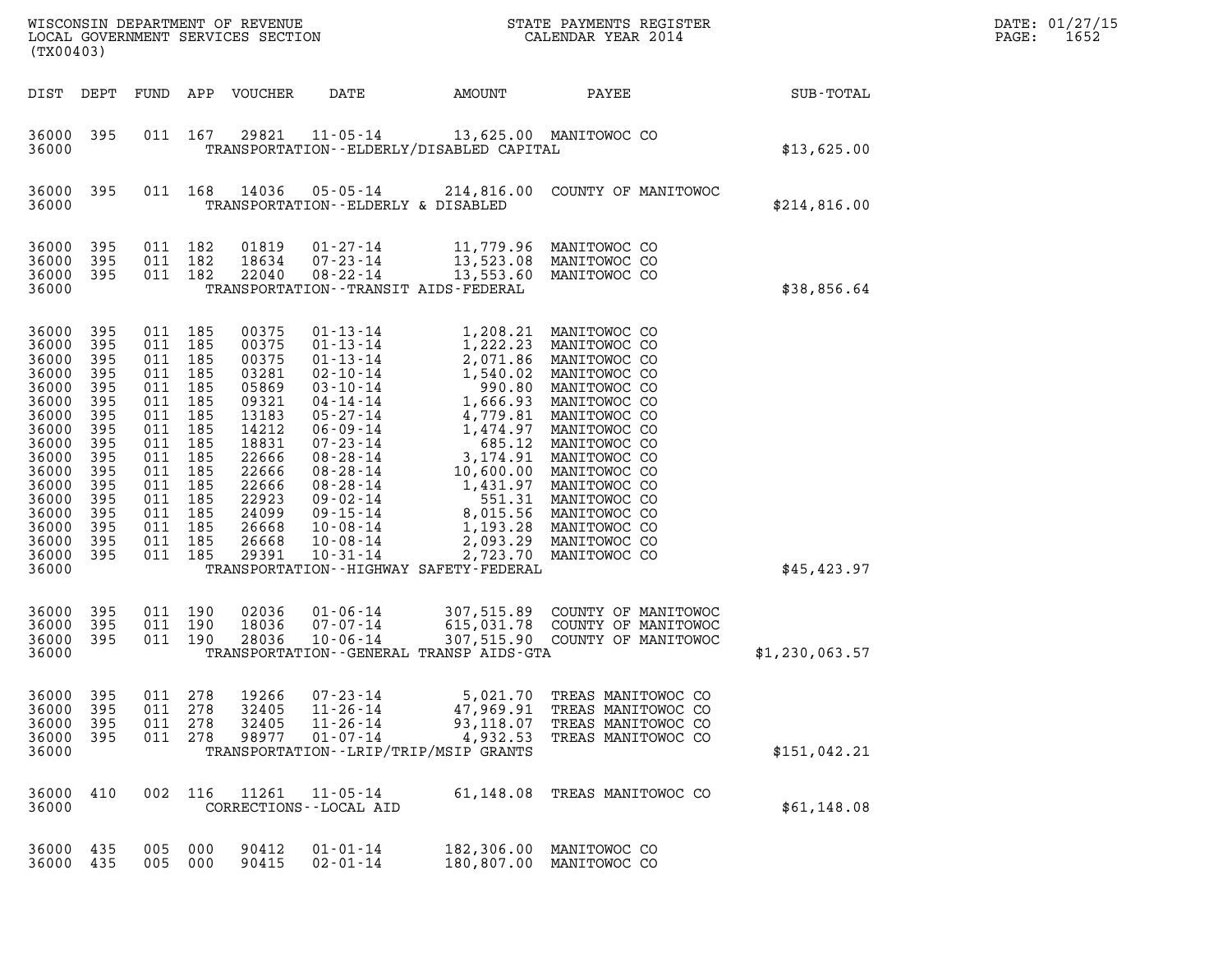| WISCONSIN DEPARTMENT OF REVENUE<br>LOCAL GOVERNMENT SERVICES SECTION<br>(TX00403)                                                                              |                                                                                                                     |                                                                                                                                                  |                                                          |                                                                                                                                                       |                                                                                                                                                                                                                                                                                                                |                                                                                                                                                                                                                  | STATE PAYMENTS REGISTER<br>CALENDAR YEAR 2014                                                                                                                                                                                                                                                         |                | DATE: 01/27/15<br>1652<br>PAGE: |
|----------------------------------------------------------------------------------------------------------------------------------------------------------------|---------------------------------------------------------------------------------------------------------------------|--------------------------------------------------------------------------------------------------------------------------------------------------|----------------------------------------------------------|-------------------------------------------------------------------------------------------------------------------------------------------------------|----------------------------------------------------------------------------------------------------------------------------------------------------------------------------------------------------------------------------------------------------------------------------------------------------------------|------------------------------------------------------------------------------------------------------------------------------------------------------------------------------------------------------------------|-------------------------------------------------------------------------------------------------------------------------------------------------------------------------------------------------------------------------------------------------------------------------------------------------------|----------------|---------------------------------|
| DIST DEPT                                                                                                                                                      |                                                                                                                     | FUND                                                                                                                                             | APP                                                      | VOUCHER                                                                                                                                               | DATE                                                                                                                                                                                                                                                                                                           | AMOUNT                                                                                                                                                                                                           | PAYEE                                                                                                                                                                                                                                                                                                 | SUB-TOTAL      |                                 |
| 36000<br>36000                                                                                                                                                 | 395                                                                                                                 |                                                                                                                                                  | 011 167                                                  | 29821                                                                                                                                                 | $11 - 05 - 14$                                                                                                                                                                                                                                                                                                 | 13,625.00 MANITOWOC CO<br>TRANSPORTATION - - ELDERLY/DISABLED CAPITAL                                                                                                                                            |                                                                                                                                                                                                                                                                                                       | \$13,625.00    |                                 |
| 36000<br>36000                                                                                                                                                 | 395                                                                                                                 |                                                                                                                                                  | 011 168                                                  | 14036                                                                                                                                                 | $05 - 05 - 14$<br>TRANSPORTATION--ELDERLY & DISABLED                                                                                                                                                                                                                                                           |                                                                                                                                                                                                                  | 214,816.00 COUNTY OF MANITOWOC                                                                                                                                                                                                                                                                        | \$214,816.00   |                                 |
| 36000<br>36000<br>36000<br>36000                                                                                                                               | 395<br>395<br>395                                                                                                   | 011 182<br>011 182<br>011 182                                                                                                                    |                                                          | 01819<br>18634<br>22040                                                                                                                               | $01 - 27 - 14$<br>$07 - 23 - 14$<br>$08 - 22 - 14$                                                                                                                                                                                                                                                             | 13,523.08<br>13,553.60<br>TRANSPORTATION - - TRANSIT AIDS - FEDERAL                                                                                                                                              | 11,779.96 MANITOWOC CO<br>MANITOWOC CO<br>MANITOWOC CO                                                                                                                                                                                                                                                | \$38,856.64    |                                 |
| 36000<br>36000<br>36000<br>36000<br>36000<br>36000<br>36000<br>36000<br>36000<br>36000<br>36000<br>36000<br>36000<br>36000<br>36000<br>36000<br>36000<br>36000 | 395<br>395<br>395<br>395<br>395<br>395<br>395<br>395<br>395<br>395<br>395<br>395<br>395<br>395<br>395<br>395<br>395 | 011 185<br>011<br>011 185<br>011 185<br>011 185<br>011<br>011 185<br>011<br>011<br>011<br>011 185<br>011<br>011 185<br>011 185<br>011 185<br>011 | 185<br>185<br>185<br>185<br>185<br>185<br>185<br>011 185 | 00375<br>00375<br>00375<br>03281<br>05869<br>09321<br>13183<br>14212<br>18831<br>22666<br>22666<br>22666<br>22923<br>24099<br>26668<br>26668<br>29391 | $01 - 13 - 14$<br>$01 - 13 - 14$<br>$01 - 13 - 14$<br>$02 - 10 - 14$<br>$03 - 10 - 14$<br>$04 - 14 - 14$<br>$05 - 27 - 14$<br>$06 - 09 - 14$<br>$07 - 23 - 14$<br>$08 - 28 - 14$<br>$08 - 28 - 14$<br>$08 - 28 - 14$<br>$09 - 02 - 14$<br>$09 - 15 - 14$<br>$10 - 08 - 14$<br>$10 - 08 - 14$<br>$10 - 31 - 14$ | 1,222.23<br>2,071.86<br>1,540.02<br>990.80<br>1,666.93<br>1,474.97<br>685.12<br>3,174.91<br>10,600.00<br>1,431.97<br>8,015.56<br>1,193.28<br>2,093.29<br>2,723.70<br>TRANSPORTATION - - HIGHWAY SAFETY - FEDERAL | 1,208.21 MANITOWOC CO<br>MANITOWOC CO<br>MANITOWOC CO<br>MANITOWOC CO<br>MANITOWOC CO<br>MANITOWOC CO<br>4,779.81 MANITOWOC CO<br>MANITOWOC CO<br>MANITOWOC CO<br>MANITOWOC CO<br>MANITOWOC CO<br>MANITOWOC CO<br>551.31 MANITOWOC CO<br>MANITOWOC CO<br>MANITOWOC CO<br>MANITOWOC CO<br>MANITOWOC CO | \$45,423.97    |                                 |
| 36000<br>36000<br>36000<br>36000                                                                                                                               | 395<br>395<br>395                                                                                                   | 011 190                                                                                                                                          | 011 190<br>011 190                                       | 02036<br>18036<br>28036                                                                                                                               | $01 - 06 - 14$<br>$07 - 07 - 14$<br>$10 - 06 - 14$                                                                                                                                                                                                                                                             | 615,031.78<br>TRANSPORTATION - - GENERAL TRANSP AIDS - GTA                                                                                                                                                       | 307,515.89 COUNTY OF MANITOWOC<br>COUNTY OF MANITOWOC<br>307,515.90 COUNTY OF MANITOWOC                                                                                                                                                                                                               | \$1,230,063.57 |                                 |
| 36000<br>36000<br>36000<br>36000<br>36000                                                                                                                      | 395<br>395<br>395<br>395                                                                                            | 011<br>011<br>011<br>011 278                                                                                                                     | 278<br>278<br>278                                        | 19266<br>32405<br>32405<br>98977                                                                                                                      | $07 - 23 - 14$<br>$11 - 26 - 14$<br>$11 - 26 - 14$<br>$01 - 07 - 14$                                                                                                                                                                                                                                           | 5,021.70<br>47,969.91<br>93,118.07<br>4,932.53<br>TRANSPORTATION - - LRIP/TRIP/MSIP GRANTS                                                                                                                       | TREAS MANITOWOC CO<br>TREAS MANITOWOC CO<br>TREAS MANITOWOC CO<br>TREAS MANITOWOC CO                                                                                                                                                                                                                  | \$151,042.21   |                                 |
| 36000<br>36000                                                                                                                                                 | 410                                                                                                                 | 002                                                                                                                                              | 116                                                      | 11261                                                                                                                                                 | $11 - 05 - 14$<br>CORRECTIONS - - LOCAL AID                                                                                                                                                                                                                                                                    | 61,148.08                                                                                                                                                                                                        | TREAS MANITOWOC CO                                                                                                                                                                                                                                                                                    | \$61,148.08    |                                 |
| 36000<br>36000                                                                                                                                                 | 435<br>435                                                                                                          | 005<br>005                                                                                                                                       | 000<br>000                                               | 90412<br>90415                                                                                                                                        | $01 - 01 - 14$<br>$02 - 01 - 14$                                                                                                                                                                                                                                                                               | 182,306.00<br>180,807.00                                                                                                                                                                                         | MANITOWOC CO<br>MANITOWOC CO                                                                                                                                                                                                                                                                          |                |                                 |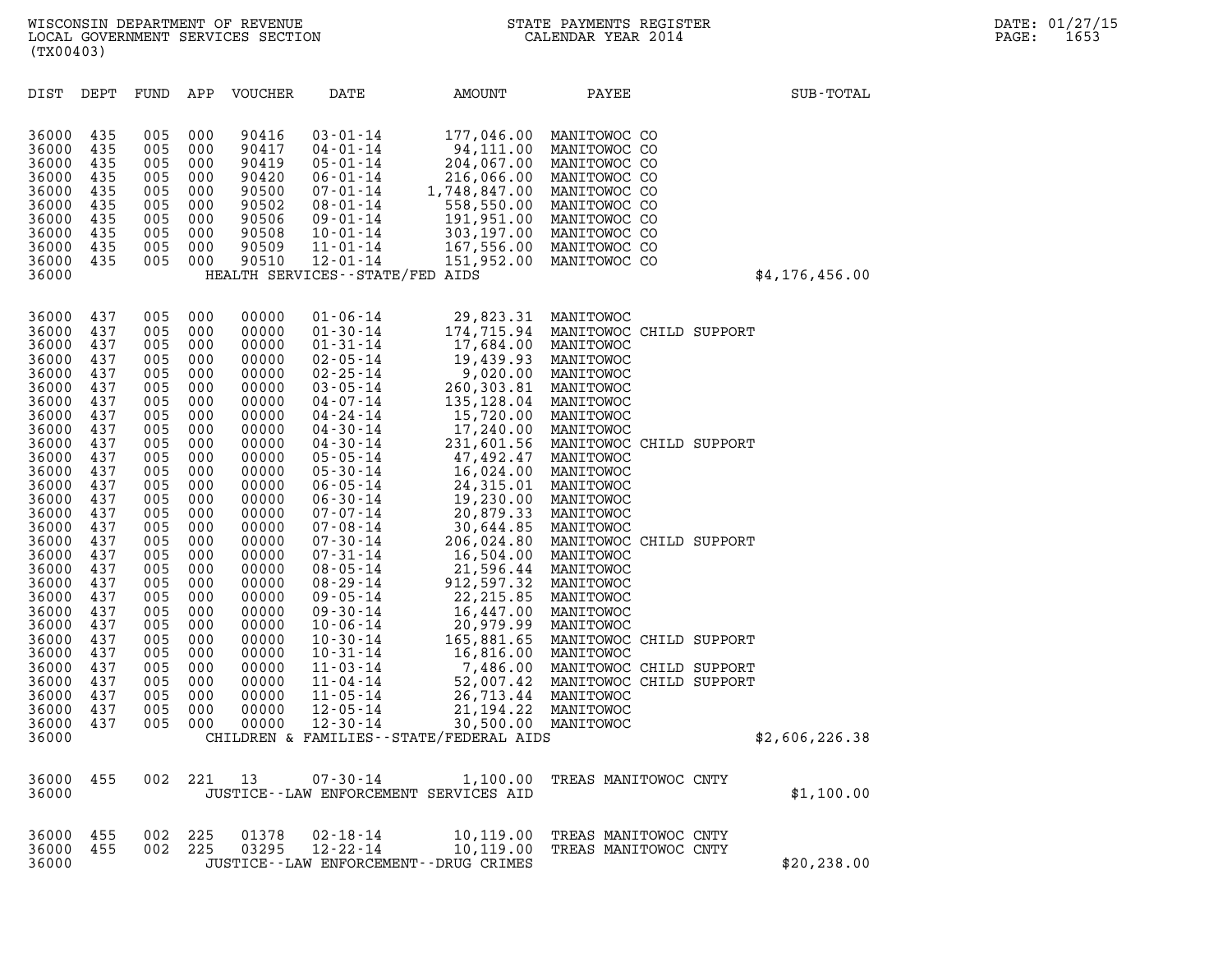| (TX00403)                                                                                                                                                                                                                                                                  |                                                                                                                                                                                                                |                                                                                                                                                                                                                |                                                                                                                                                                                                                | WISCONSIN DEPARTMENT OF REVENUE<br>LOCAL GOVERNMENT SERVICES SECTION                                                                                                                                                                                                       |                                                                                                                                                                                                                                                                                                                                                                                                                                                                                                        |                                                                                                                                                                                                                                                                                                                                                                                                                                                                                    | STATE PAYMENTS REGISTER<br>CALENDAR YEAR 2014                                                                                                                                                                                                                                                                                                                                                                                                                             |                | DATE: 01/27/15<br>PAGE:<br>1653 |
|----------------------------------------------------------------------------------------------------------------------------------------------------------------------------------------------------------------------------------------------------------------------------|----------------------------------------------------------------------------------------------------------------------------------------------------------------------------------------------------------------|----------------------------------------------------------------------------------------------------------------------------------------------------------------------------------------------------------------|----------------------------------------------------------------------------------------------------------------------------------------------------------------------------------------------------------------|----------------------------------------------------------------------------------------------------------------------------------------------------------------------------------------------------------------------------------------------------------------------------|--------------------------------------------------------------------------------------------------------------------------------------------------------------------------------------------------------------------------------------------------------------------------------------------------------------------------------------------------------------------------------------------------------------------------------------------------------------------------------------------------------|------------------------------------------------------------------------------------------------------------------------------------------------------------------------------------------------------------------------------------------------------------------------------------------------------------------------------------------------------------------------------------------------------------------------------------------------------------------------------------|---------------------------------------------------------------------------------------------------------------------------------------------------------------------------------------------------------------------------------------------------------------------------------------------------------------------------------------------------------------------------------------------------------------------------------------------------------------------------|----------------|---------------------------------|
| DIST DEPT                                                                                                                                                                                                                                                                  |                                                                                                                                                                                                                | FUND                                                                                                                                                                                                           | APP                                                                                                                                                                                                            | VOUCHER                                                                                                                                                                                                                                                                    | DATE                                                                                                                                                                                                                                                                                                                                                                                                                                                                                                   | AMOUNT                                                                                                                                                                                                                                                                                                                                                                                                                                                                             | PAYEE                                                                                                                                                                                                                                                                                                                                                                                                                                                                     | SUB-TOTAL      |                                 |
| 36000<br>36000<br>36000<br>36000<br>36000<br>36000<br>36000<br>36000<br>36000<br>36000<br>36000                                                                                                                                                                            | 435<br>435<br>435<br>435<br>435<br>435<br>435<br>435<br>435<br>435                                                                                                                                             | 005<br>005<br>005<br>005<br>005<br>005<br>005<br>005<br>005<br>005                                                                                                                                             | 000<br>000<br>000<br>000<br>000<br>000<br>000<br>000<br>000<br>000                                                                                                                                             | 90416<br>90417<br>90419<br>90420<br>90500<br>90502<br>90506<br>90508<br>90509<br>90510                                                                                                                                                                                     | $03 - 01 - 14$<br>04-01-14<br>$05 - 01 - 14$<br>$06 - 01 - 14$<br>07-01-14<br>$08 - 01 - 14$<br>09-01-14<br>10-01-14<br>$11 - 01 - 14$<br>$12 - 01 - 14$<br>HEALTH SERVICES - - STATE/FED AIDS                                                                                                                                                                                                                                                                                                         | 177,046.00<br>94,111.00<br>94,111.00<br>204,067.00<br>216,066.00<br>216,066.00<br>558,550.00<br>558,550.00<br>191,951.00<br>303,197.00<br>167,556.00<br>151,952.00                                                                                                                                                                                                                                                                                                                 | MANITOWOC CO<br>MANITOWOC CO<br>MANITOWOC CO<br>MANITOWOC CO<br>MANITOWOC CO<br>MANITOWOC CO<br>MANITOWOC CO<br>MANITOWOC CO<br>MANITOWOC CO<br>MANITOWOC CO                                                                                                                                                                                                                                                                                                              | \$4,176,456.00 |                                 |
| 36000<br>36000<br>36000<br>36000<br>36000<br>36000<br>36000<br>36000<br>36000<br>36000<br>36000<br>36000<br>36000<br>36000<br>36000<br>36000<br>36000<br>36000<br>36000<br>36000<br>36000<br>36000<br>36000<br>36000<br>36000<br>36000<br>36000<br>36000<br>36000<br>36000 | 437<br>437<br>437<br>437<br>437<br>437<br>437<br>437<br>437<br>437<br>437<br>437<br>437<br>437<br>437<br>437<br>437<br>437<br>437<br>437<br>437<br>437<br>437<br>437<br>437<br>437<br>437<br>437<br>437<br>437 | 005<br>005<br>005<br>005<br>005<br>005<br>005<br>005<br>005<br>005<br>005<br>005<br>005<br>005<br>005<br>005<br>005<br>005<br>005<br>005<br>005<br>005<br>005<br>005<br>005<br>005<br>005<br>005<br>005<br>005 | 000<br>000<br>000<br>000<br>000<br>000<br>000<br>000<br>000<br>000<br>000<br>000<br>000<br>000<br>000<br>000<br>000<br>000<br>000<br>000<br>000<br>000<br>000<br>000<br>000<br>000<br>000<br>000<br>000<br>000 | 00000<br>00000<br>00000<br>00000<br>00000<br>00000<br>00000<br>00000<br>00000<br>00000<br>00000<br>00000<br>00000<br>00000<br>00000<br>00000<br>00000<br>00000<br>00000<br>00000<br>00000<br>00000<br>00000<br>00000<br>00000<br>00000<br>00000<br>00000<br>00000<br>00000 | $01 - 06 - 14$<br>$01 - 30 - 14$<br>$01 - 31 - 14$<br>$02 - 05 - 14$<br>$02 - 25 - 14$<br>$03 - 05 - 14$<br>04-07-14<br>04 - 24 - 14<br>04-30-14<br>04-30-14<br>$05 - 05 - 14$<br>$05 - 30 - 14$<br>$06 - 05 - 14$<br>$06 - 30 - 14$<br>07-07-14<br>07-08-14<br>$07 - 30 - 14$<br>$07 - 31 - 14$<br>$08 - 05 - 14$<br>08-29-14<br>09-05-14<br>09-30-14<br>$10 - 06 - 14$<br>$10 - 30 - 14$<br>$10 - 31 - 14$<br>$11 - 03 - 14$<br>$11 - 04 - 14$<br>$11 - 05 - 14$<br>$12 - 05 - 14$<br>$12 - 30 - 14$ | 29,823.31<br>$29,82.31$<br>$17,684.00$<br>$19,439.93$<br>$9,020.00$<br>$260,303.81$<br>$135,128.04$<br>$15,720.00$<br>$15,720.00$<br>$17,240.00$<br>$231,601.56$<br>$47,492.47$<br>$16,024.00$<br>$24,315.01$<br>$19,230.00$<br>$20,879.33$<br>$30,644.85$<br>$206,024.80$<br>$16,504.00$<br>$21,596.44$<br>$912,597.32$<br>$22,215.85$<br>$16,447.00$<br>$20,979.99$<br>$165,447.00$<br>$20,979.99$<br><br>7,486.00<br>52,007.42<br>26,713.44<br>21,194.22<br>30,500.00 MANITOWOC | MANITOWOC<br>MANITOWOC CHILD SUPPORT<br>MANITOWOC<br>MANITOWOC<br>MANITOWOC<br>MANITOWOC<br>MANITOWOC<br>MANITOWOC<br>MANITOWOC<br>MANITOWOC CHILD SUPPORT<br>MANITOWOC<br>MANITOWOC<br>MANITOWOC<br>MANITOWOC<br>MANITOWOC<br>MANITOWOC<br>MANITOWOC CHILD SUPPORT<br>MANITOWOC<br>MANITOWOC<br>MANITOWOC<br>MANITOWOC<br>MANITOWOC<br>MANITOWOC<br>MANITOWOC CHILD SUPPORT<br>MANITOWOC<br>MANITOWOC CHILD SUPPORT<br>MANITOWOC CHILD SUPPORT<br>MANITOWOC<br>MANITOWOC |                |                                 |
| 36000<br>36000                                                                                                                                                                                                                                                             | 455                                                                                                                                                                                                            | 002 221                                                                                                                                                                                                        |                                                                                                                                                                                                                | 13                                                                                                                                                                                                                                                                         | $07 - 30 - 14$                                                                                                                                                                                                                                                                                                                                                                                                                                                                                         | CHILDREN & FAMILIES - - STATE/FEDERAL AIDS<br>1,100.00                                                                                                                                                                                                                                                                                                                                                                                                                             | TREAS MANITOWOC CNTY                                                                                                                                                                                                                                                                                                                                                                                                                                                      | \$2,606,226.38 |                                 |
| 36000                                                                                                                                                                                                                                                                      |                                                                                                                                                                                                                |                                                                                                                                                                                                                |                                                                                                                                                                                                                |                                                                                                                                                                                                                                                                            |                                                                                                                                                                                                                                                                                                                                                                                                                                                                                                        | JUSTICE--LAW ENFORCEMENT SERVICES AID                                                                                                                                                                                                                                                                                                                                                                                                                                              |                                                                                                                                                                                                                                                                                                                                                                                                                                                                           | \$1,100.00     |                                 |
| 36000<br>36000<br>36000                                                                                                                                                                                                                                                    | 455<br>455                                                                                                                                                                                                     | 002<br>002                                                                                                                                                                                                     | 225<br>225                                                                                                                                                                                                     | 01378<br>03295                                                                                                                                                                                                                                                             | $02 - 18 - 14$<br>$12 - 22 - 14$                                                                                                                                                                                                                                                                                                                                                                                                                                                                       | 10,119.00<br>10,119.00<br>JUSTICE - - LAW ENFORCEMENT - - DRUG CRIMES                                                                                                                                                                                                                                                                                                                                                                                                              | TREAS MANITOWOC CNTY<br>TREAS MANITOWOC CNTY                                                                                                                                                                                                                                                                                                                                                                                                                              | \$20, 238.00   |                                 |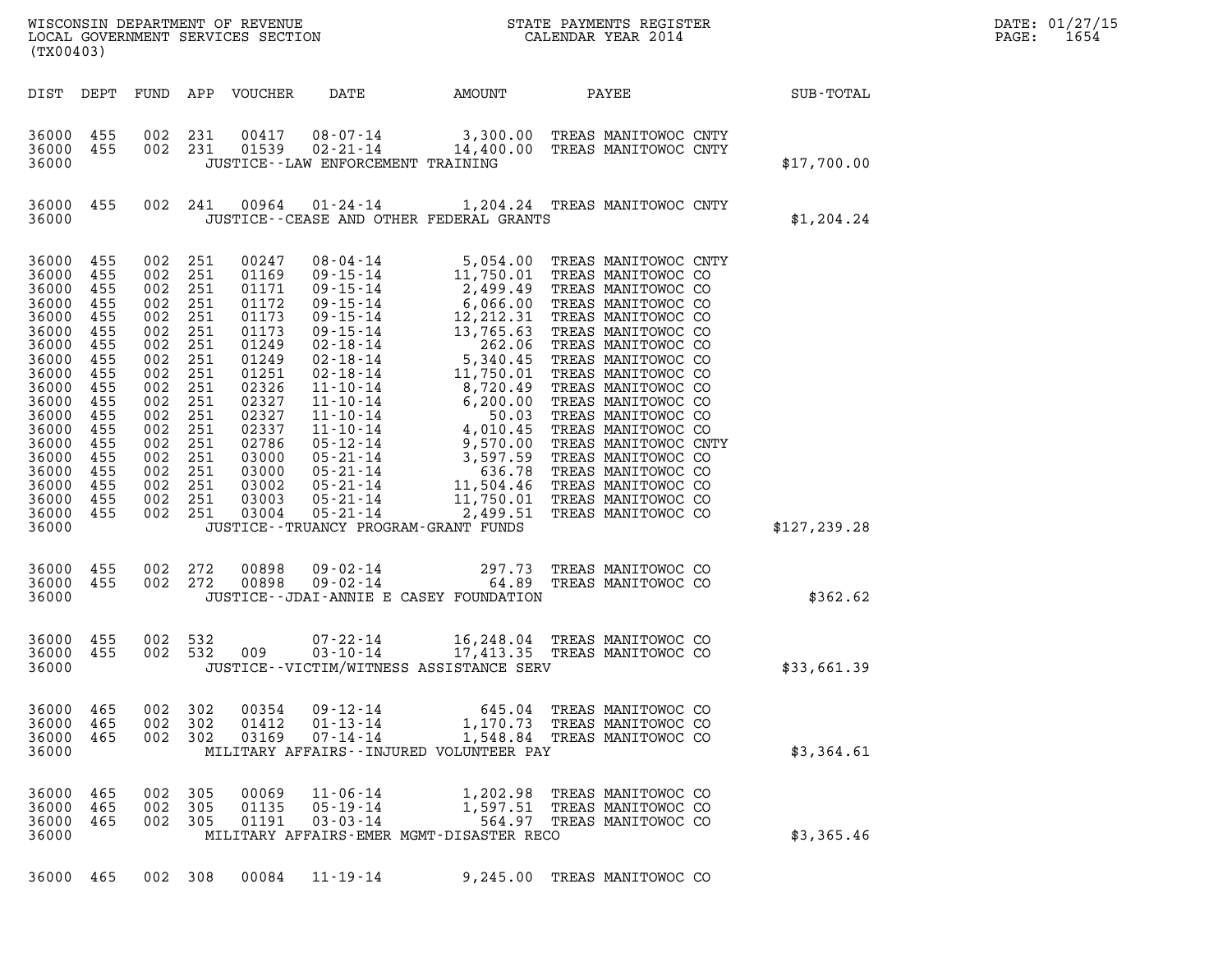| (TX00403)                                                                                                                                                                                        |                                                                                                       |                                                                                                                                                                                                       |                     |                                                                                                                                                                         |                                                    |                                                                  |                                                                                               |               | DATE: 01/27/15<br>PAGE:<br>1654 |
|--------------------------------------------------------------------------------------------------------------------------------------------------------------------------------------------------|-------------------------------------------------------------------------------------------------------|-------------------------------------------------------------------------------------------------------------------------------------------------------------------------------------------------------|---------------------|-------------------------------------------------------------------------------------------------------------------------------------------------------------------------|----------------------------------------------------|------------------------------------------------------------------|-----------------------------------------------------------------------------------------------|---------------|---------------------------------|
|                                                                                                                                                                                                  |                                                                                                       |                                                                                                                                                                                                       |                     | DIST DEPT FUND APP VOUCHER                                                                                                                                              | DATE                                               | AMOUNT                                                           | PAYEE SUB-TOTAL                                                                               |               |                                 |
| 36000 455<br>36000 455<br>36000                                                                                                                                                                  |                                                                                                       | 002 231<br>002 231                                                                                                                                                                                    |                     |                                                                                                                                                                         | JUSTICE - - LAW ENFORCEMENT TRAINING               |                                                                  | 00417 08-07-14 3,300.00 TREAS MANITOWOC CNTY<br>01539 02-21-14 14,400.00 TREAS MANITOWOC CNTY | \$17,700.00   |                                 |
| 36000 455<br>36000                                                                                                                                                                               |                                                                                                       | 002 241                                                                                                                                                                                               |                     |                                                                                                                                                                         |                                                    | JUSTICE - - CEASE AND OTHER FEDERAL GRANTS                       | 00964  01-24-14   1,204.24   TREAS MANITOWOC CNTY                                             | \$1,204.24    |                                 |
| 36000 455<br>36000 455<br>36000<br>36000<br>36000<br>36000<br>36000<br>36000<br>36000<br>36000<br>36000<br>36000<br>36000<br>36000<br>36000<br>36000<br>36000<br>36000 455<br>36000 455<br>36000 | 455<br>455<br>455<br>455<br>455<br>455<br>455<br>455<br>455<br>455<br>455<br>455<br>455<br>455<br>455 | 002<br>002 251<br>002 251<br>002 251<br>002 251<br>002 251<br>002 251<br>002 251<br>002<br>002 251<br>002 251<br>002 251<br>002 251<br>002 251<br>002 251<br>002 251<br>002 251<br>002 251<br>002 251 | 251<br>251          | 00247<br>01169<br>01171<br>01172<br>01173<br>01173<br>01249<br>01249<br>01251<br>02326<br>02327<br>02327<br>02337<br>02786<br>03000<br>03000<br>03002<br>03003<br>03004 | JUSTICE - - TRUANCY PROGRAM - GRANT FUNDS          |                                                                  |                                                                                               | \$127, 239.28 |                                 |
| 36000 455<br>36000 455<br>36000                                                                                                                                                                  |                                                                                                       | 002 272<br>002 272                                                                                                                                                                                    |                     | 00898<br>00898                                                                                                                                                          |                                                    | JUSTICE - - JDAI - ANNIE E CASEY FOUNDATION                      | 09-02-14 297.73 TREAS MANITOWOC CO<br>09-02-14 64.89 TREAS MANITOWOC CO                       | \$362.62      |                                 |
| 36000 455<br>36000 455<br>36000                                                                                                                                                                  |                                                                                                       | 002 532<br>002 532                                                                                                                                                                                    |                     |                                                                                                                                                                         |                                                    | JUSTICE -- VICTIM/WITNESS ASSISTANCE SERV                        | 07-22-14 16,248.04 TREAS MANITOWOC CO<br>009 03-10-14 17,413.35 TREAS MANITOWOC CO            | \$33,661.39   |                                 |
| 36000<br>36000<br>36000<br>36000                                                                                                                                                                 | 465<br>-465<br>465                                                                                    | 002<br>002<br>002 302                                                                                                                                                                                 | 302<br>302          | 00354<br>01412<br>03169                                                                                                                                                 | $09 - 12 - 14$<br>$01 - 13 - 14$<br>$07 - 14 - 14$ | MILITARY AFFAIRS--INJURED VOLUNTEER PAY                          | 645.04 TREAS MANITOWOC CO<br>1,170.73 TREAS MANITOWOC CO<br>1,548.84 TREAS MANITOWOC CO       | \$3,364.61    |                                 |
| 36000<br>36000<br>36000<br>36000                                                                                                                                                                 | 465<br>465<br>465                                                                                     | 002<br>002<br>002                                                                                                                                                                                     | 305<br>305<br>- 305 | 00069<br>01135<br>01191                                                                                                                                                 | $11 - 06 - 14$<br>$05 - 19 - 14$<br>$03 - 03 - 14$ | 1,202.98<br>1,597.51<br>MILITARY AFFAIRS-EMER MGMT-DISASTER RECO | TREAS MANITOWOC CO<br>TREAS MANITOWOC CO<br>564.97 TREAS MANITOWOC CO                         | \$3,365.46    |                                 |
| 36000                                                                                                                                                                                            | 465                                                                                                   | 002 308                                                                                                                                                                                               |                     | 00084                                                                                                                                                                   | $11 - 19 - 14$                                     |                                                                  | 9,245.00 TREAS MANITOWOC CO                                                                   |               |                                 |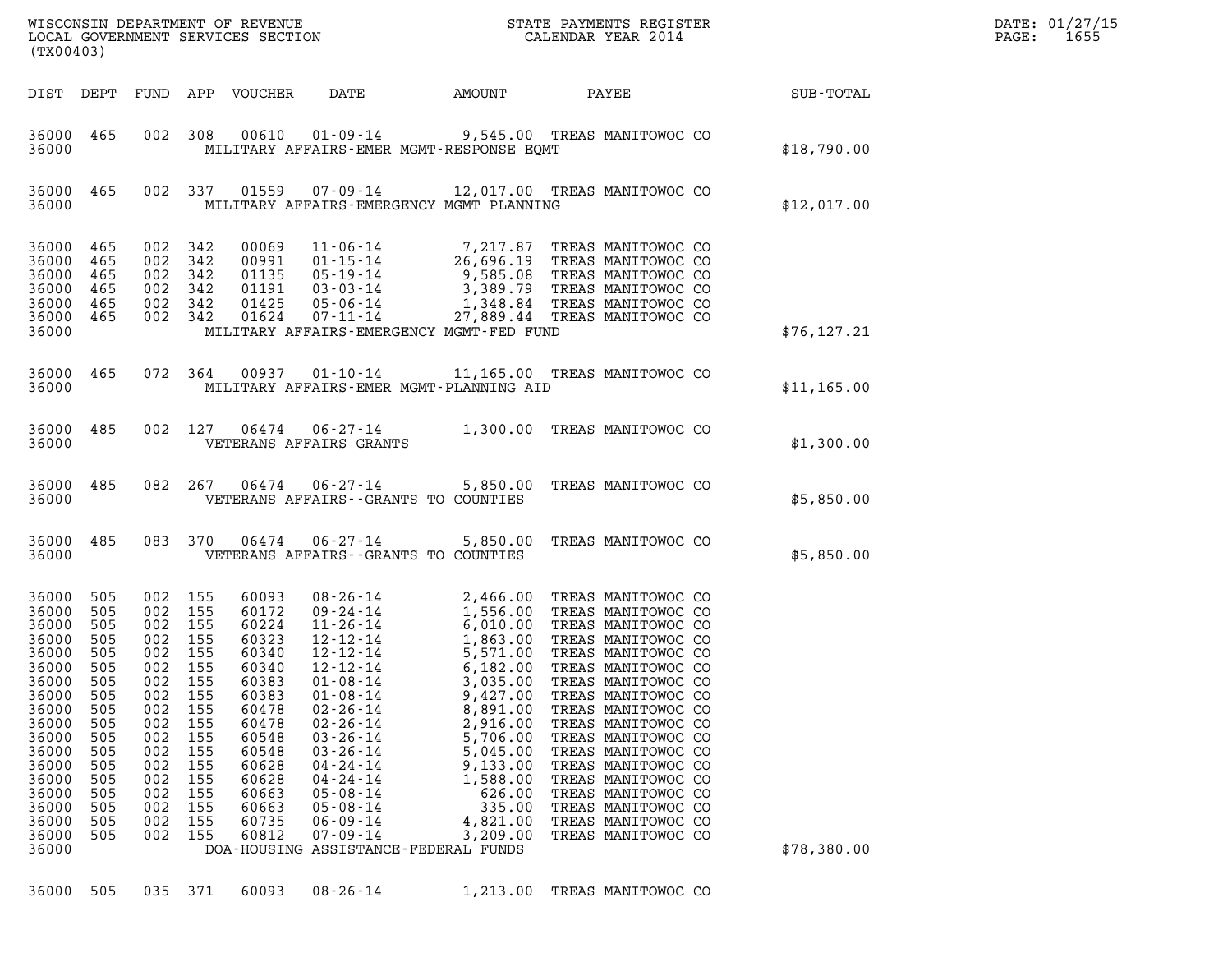| (TX00403)                                                                                                                                                               |                                                                                                                            |                                                                                                                          |                                                                                                               |                                                                                                                                                                |                                                                                                                                                                                                                                                                                                                                                                                                                    |                                                                                                                                                      |                                                                                                                                                                                                                                                                                                                                                                                                          |              | DATE: 01/27/15<br>PAGE:<br>1655 |
|-------------------------------------------------------------------------------------------------------------------------------------------------------------------------|----------------------------------------------------------------------------------------------------------------------------|--------------------------------------------------------------------------------------------------------------------------|---------------------------------------------------------------------------------------------------------------|----------------------------------------------------------------------------------------------------------------------------------------------------------------|--------------------------------------------------------------------------------------------------------------------------------------------------------------------------------------------------------------------------------------------------------------------------------------------------------------------------------------------------------------------------------------------------------------------|------------------------------------------------------------------------------------------------------------------------------------------------------|----------------------------------------------------------------------------------------------------------------------------------------------------------------------------------------------------------------------------------------------------------------------------------------------------------------------------------------------------------------------------------------------------------|--------------|---------------------------------|
|                                                                                                                                                                         | DIST DEPT                                                                                                                  |                                                                                                                          |                                                                                                               | FUND APP VOUCHER                                                                                                                                               |                                                                                                                                                                                                                                                                                                                                                                                                                    | DATE AMOUNT PAYEE SUB-TOTAL                                                                                                                          |                                                                                                                                                                                                                                                                                                                                                                                                          |              |                                 |
| 36000 465<br>36000                                                                                                                                                      |                                                                                                                            |                                                                                                                          |                                                                                                               |                                                                                                                                                                | 002 308 00610 01-09-14 9,545.00 TREAS MANITOWOC CO<br>MILITARY AFFAIRS-EMER MGMT-RESPONSE EOMT                                                                                                                                                                                                                                                                                                                     |                                                                                                                                                      |                                                                                                                                                                                                                                                                                                                                                                                                          | \$18,790.00  |                                 |
| 36000 465<br>36000                                                                                                                                                      |                                                                                                                            |                                                                                                                          |                                                                                                               |                                                                                                                                                                | 002 337 01559 07-09-14 12,017.00 TREAS MANITOWOC CO<br>MILITARY AFFAIRS-EMERGENCY MGMT PLANNING                                                                                                                                                                                                                                                                                                                    |                                                                                                                                                      |                                                                                                                                                                                                                                                                                                                                                                                                          | \$12,017.00  |                                 |
| 36000 465<br>36000<br>36000<br>36000<br>36000<br>36000 465<br>36000                                                                                                     | 465<br>465<br>465<br>465                                                                                                   | 002 342<br>002 342<br>002 342<br>002 342                                                                                 | 002 342<br>002 342                                                                                            | 00069<br>00991<br>01135<br>01191<br>01425<br>01624                                                                                                             | 11-06-14<br>01-15-14<br>26,696.19 TREAS MANITOWOC CO<br>05-19-14<br>26,696.19 TREAS MANITOWOC CO<br>03-03-14<br>3,389.79 TREAS MANITOWOC CO<br>05-06-14<br>1,348.84 TREAS MANITOWOC CO<br>07-11-14<br>27,889.44 TREAS MANITOWOC CO<br>07-11-14<br>27,8<br>MILITARY AFFAIRS-EMERGENCY MGMT-FED FUND                                                                                                                 |                                                                                                                                                      |                                                                                                                                                                                                                                                                                                                                                                                                          | \$76, 127.21 |                                 |
| 36000 465<br>36000                                                                                                                                                      |                                                                                                                            |                                                                                                                          | 072 364                                                                                                       |                                                                                                                                                                | 00937  01-10-14  11,165.00  TREAS MANITOWOC CO<br>MILITARY AFFAIRS-EMER MGMT-PLANNING AID                                                                                                                                                                                                                                                                                                                          |                                                                                                                                                      |                                                                                                                                                                                                                                                                                                                                                                                                          | \$11,165.00  |                                 |
| 36000 485<br>36000                                                                                                                                                      |                                                                                                                            |                                                                                                                          |                                                                                                               |                                                                                                                                                                | 002 127 06474 06-27-14 1,300.00 TREAS MANITOWOC CO<br>VETERANS AFFAIRS GRANTS                                                                                                                                                                                                                                                                                                                                      |                                                                                                                                                      |                                                                                                                                                                                                                                                                                                                                                                                                          | \$1,300.00   |                                 |
| 36000                                                                                                                                                                   | 36000 485                                                                                                                  |                                                                                                                          |                                                                                                               | 082 267 06474                                                                                                                                                  | 06-27-14 5,850.00 TREAS MANITOWOC CO<br>VETERANS AFFAIRS -- GRANTS TO COUNTIES                                                                                                                                                                                                                                                                                                                                     |                                                                                                                                                      |                                                                                                                                                                                                                                                                                                                                                                                                          | \$5,850.00   |                                 |
| 36000 485<br>36000                                                                                                                                                      |                                                                                                                            |                                                                                                                          | 083 370                                                                                                       | 06474                                                                                                                                                          | 06-27-14 5,850.00 TREAS MANITOWOC CO<br>VETERANS AFFAIRS -- GRANTS TO COUNTIES                                                                                                                                                                                                                                                                                                                                     |                                                                                                                                                      |                                                                                                                                                                                                                                                                                                                                                                                                          | \$5,850.00   |                                 |
| 36000<br>36000<br>36000<br>36000<br>36000<br>36000<br>36000<br>36000<br>36000<br>36000<br>36000<br>36000<br>36000<br>36000<br>36000<br>36000<br>36000<br>36000<br>36000 | 505<br>505<br>505<br>505<br>505<br>505<br>505<br>505<br>505<br>505<br>505<br>505<br>505<br>505<br>505<br>505<br>505<br>505 | 002 155<br>002 155<br>002 155<br>002<br>002<br>002<br>002<br>002<br>002<br>002<br>002<br>002<br>002<br>002<br>002<br>002 | 002 155<br>155<br>002 155<br>155<br>155<br>155<br>155<br>155<br>155<br>155<br>155<br>155<br>155<br>155<br>155 | 60093<br>60172<br>60224<br>60323<br>60340<br>60340<br>60383<br>60383<br>60478<br>60478<br>60548<br>60548<br>60628<br>60628<br>60663<br>60663<br>60735<br>60812 | 08 - 26 - 14<br>09 - 24 - 14<br>1, 556.00<br>11 - 26 - 14<br>1, 556.00<br>12 - 12 - 14<br>1, 863.00<br>12 - 12 - 14<br>5, 571.00<br>$12 - 12 - 14$<br>$01 - 08 - 14$<br>$01 - 08 - 14$<br>$02 - 26 - 14$<br>$02 - 26 - 14$<br>$03 - 26 - 14$<br>$03 - 26 - 14$<br>$04 - 24 - 14$<br>$04 - 24 - 14$<br>$05 - 08 - 14$<br>$05 - 08 - 14$<br>$06 - 09 - 14$<br>$07 - 09 - 14$<br>DOA-HOUSING ASSISTANCE-FEDERAL FUNDS | 6,182.00<br>3,035.00<br>9,427.00<br>8,891.00<br>2,916.00<br>5,706.00<br>5,045.00<br>9,133.00<br>1,588.00<br>626.00<br>335.00<br>4,821.00<br>3,209.00 | TREAS MANITOWOC CO<br>TREAS MANITOWOC CO<br>TREAS MANITOWOC CO<br>TREAS MANITOWOC CO<br>TREAS MANITOWOC CO<br>TREAS MANITOWOC CO<br>TREAS MANITOWOC CO<br>TREAS MANITOWOC CO<br>TREAS MANITOWOC CO<br>TREAS MANITOWOC CO<br>TREAS MANITOWOC CO<br>TREAS MANITOWOC CO<br>TREAS MANITOWOC CO<br>TREAS MANITOWOC CO<br>TREAS MANITOWOC CO<br>TREAS MANITOWOC CO<br>TREAS MANITOWOC CO<br>TREAS MANITOWOC CO | \$78,380.00  |                                 |
| 36000                                                                                                                                                                   | 505                                                                                                                        | 035                                                                                                                      | 371                                                                                                           | 60093                                                                                                                                                          | $08 - 26 - 14$                                                                                                                                                                                                                                                                                                                                                                                                     | 1,213.00                                                                                                                                             | TREAS MANITOWOC CO                                                                                                                                                                                                                                                                                                                                                                                       |              |                                 |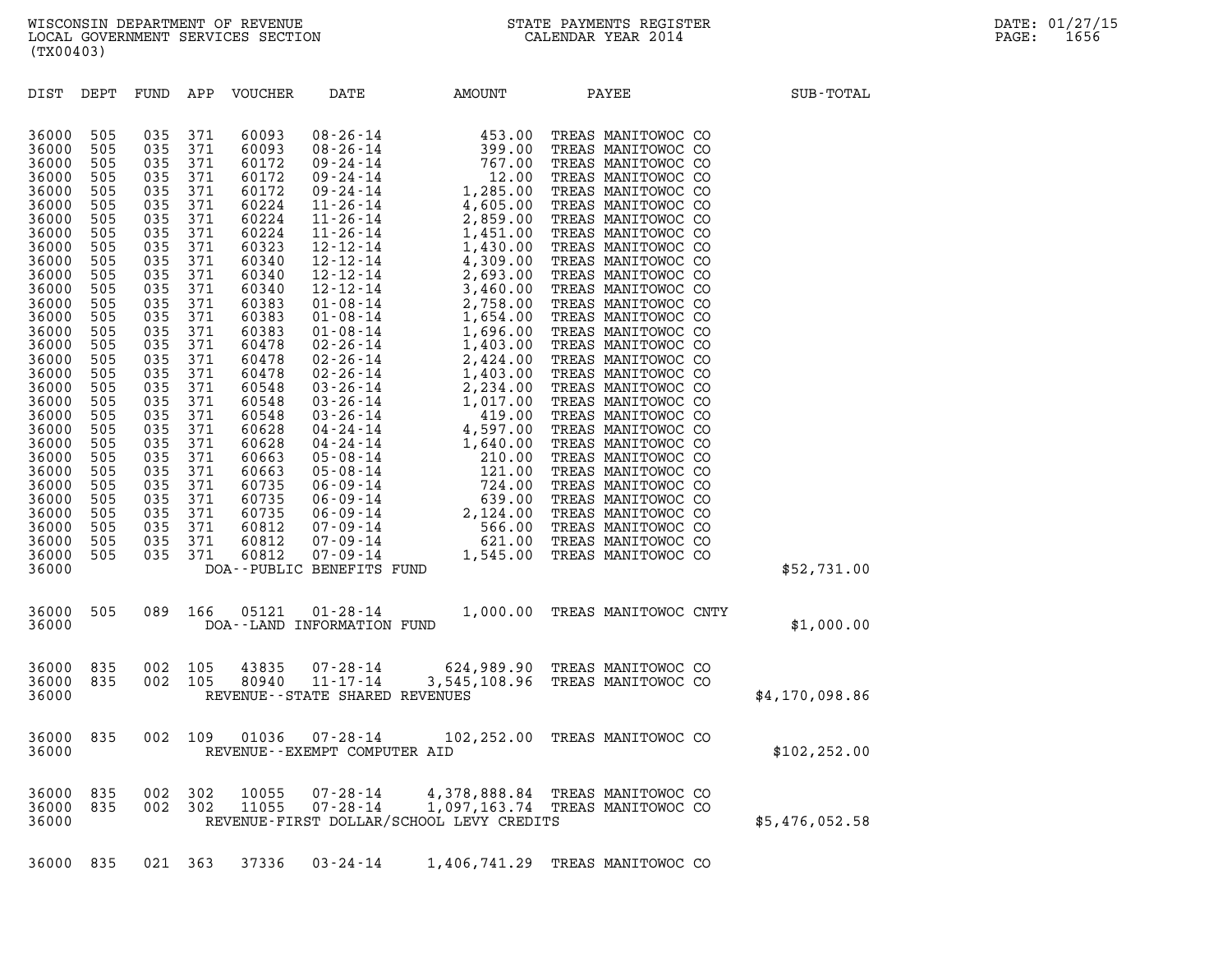| (TX00403)                                                                                                                                                                                                                                                                                                                                                                                                                                                                                                             |                                                                                                                                                                                                                                                                                                                                                                                                                                                |                                                                                                                                                                                                                                                                                                                  |                                                                                                                                                                                                                                                                                                                                                                                                                                                                                                                                                          |              |                                                                    |                |
|-----------------------------------------------------------------------------------------------------------------------------------------------------------------------------------------------------------------------------------------------------------------------------------------------------------------------------------------------------------------------------------------------------------------------------------------------------------------------------------------------------------------------|------------------------------------------------------------------------------------------------------------------------------------------------------------------------------------------------------------------------------------------------------------------------------------------------------------------------------------------------------------------------------------------------------------------------------------------------|------------------------------------------------------------------------------------------------------------------------------------------------------------------------------------------------------------------------------------------------------------------------------------------------------------------|----------------------------------------------------------------------------------------------------------------------------------------------------------------------------------------------------------------------------------------------------------------------------------------------------------------------------------------------------------------------------------------------------------------------------------------------------------------------------------------------------------------------------------------------------------|--------------|--------------------------------------------------------------------|----------------|
| DIST<br>DEPT                                                                                                                                                                                                                                                                                                                                                                                                                                                                                                          | APP<br>FUND                                                                                                                                                                                                                                                                                                                                                                                                                                    | VOUCHER                                                                                                                                                                                                                                                                                                          | DATE<br>AMOUNT                                                                                                                                                                                                                                                                                                                                                                                                                                                                                                                                           |              | PAYEE                                                              | SUB-TOTAL      |
| 36000<br>505<br>36000<br>505<br>36000<br>505<br>36000<br>505<br>36000<br>505<br>36000<br>505<br>36000<br>505<br>36000<br>505<br>36000<br>505<br>36000<br>505<br>36000<br>505<br>36000<br>505<br>36000<br>505<br>36000<br>505<br>36000<br>505<br>36000<br>505<br>36000<br>505<br>36000<br>505<br>36000<br>505<br>36000<br>505<br>36000<br>505<br>36000<br>505<br>36000<br>505<br>36000<br>505<br>36000<br>505<br>36000<br>505<br>36000<br>505<br>36000<br>505<br>36000<br>505<br>36000<br>505<br>36000<br>505<br>36000 | 035<br>371<br>035<br>371<br>035<br>371<br>035<br>371<br>035<br>371<br>035<br>371<br>035<br>371<br>035<br>371<br>035<br>371<br>035<br>371<br>035<br>371<br>035<br>371<br>035<br>371<br>035<br>371<br>035<br>371<br>035<br>371<br>035<br>371<br>035<br>371<br>035<br>371<br>035<br>371<br>035<br>371<br>035<br>371<br>035<br>371<br>035<br>371<br>035<br>371<br>035<br>371<br>035<br>371<br>035<br>371<br>035<br>371<br>035<br>371<br>035<br>371 | 60093<br>60093<br>60172<br>60172<br>60172<br>60224<br>60224<br>60224<br>60323<br>60340<br>60340<br>60340<br>60383<br>60383<br>60383<br>60478<br>60478<br>60478<br>60548<br>60548<br>60548<br>60628<br>60628<br>60663<br>60663<br>60735<br>60735<br>60735<br>60812<br>60812<br>60812<br>DOA--PUBLIC BENEFITS FUND | $08 - 26 - 14$<br>$08 - 26 - 14$<br>$09 - 24 - 14$<br>$09 - 24 - 14$<br>$09 - 24 - 14$<br>$11 - 26 - 14$<br>$11 - 26 - 14$<br>$11 - 26 - 14$<br>$12 - 12 - 14$<br>$12 - 12 - 14$<br>$12 - 12 - 14$<br>$12 - 12 - 14$<br>$01 - 08 - 14$<br>$01 - 08 - 14$<br>$01 - 08 - 14$<br>$02 - 26 - 14$<br>$02 - 26 - 14$<br>$02 - 26 - 14$<br>$03 - 26 - 14$<br>$03 - 26 - 14$<br>$03 - 26 - 14$<br>04-24-14<br>04-24-14<br>$05 - 08 - 14$<br>$05 - 08 - 14$<br>$06 - 09 - 14$<br>$06 - 09 - 14$<br>$06 - 09 - 14$<br>07-09-14<br>$07 - 09 - 14$<br>$07 - 09 - 14$ |              |                                                                    | \$52,731.00    |
| 36000<br>505<br>36000                                                                                                                                                                                                                                                                                                                                                                                                                                                                                                 | 089<br>166                                                                                                                                                                                                                                                                                                                                                                                                                                     | 05121<br>DOA--LAND INFORMATION FUND                                                                                                                                                                                                                                                                              | $01 - 28 - 14$                                                                                                                                                                                                                                                                                                                                                                                                                                                                                                                                           | 1,000.00     | TREAS MANITOWOC CNTY                                               | \$1,000.00     |
| 36000<br>835<br>36000<br>835<br>36000                                                                                                                                                                                                                                                                                                                                                                                                                                                                                 | 002<br>105<br>002<br>105                                                                                                                                                                                                                                                                                                                                                                                                                       | 43835<br>80940                                                                                                                                                                                                                                                                                                   | $07 - 28 - 14$<br>$11 - 17 - 14$<br>REVENUE - - STATE SHARED REVENUES                                                                                                                                                                                                                                                                                                                                                                                                                                                                                    |              | 624,989.90 TREAS MANITOWOC CO<br>3,545,108.96 TREAS MANITOWOC CO   | \$4,170,098.86 |
| 835<br>36000<br>36000                                                                                                                                                                                                                                                                                                                                                                                                                                                                                                 | 002<br>109                                                                                                                                                                                                                                                                                                                                                                                                                                     | 01036                                                                                                                                                                                                                                                                                                            | $07 - 28 - 14$<br>REVENUE - - EXEMPT COMPUTER AID                                                                                                                                                                                                                                                                                                                                                                                                                                                                                                        | 102,252.00   | TREAS MANITOWOC CO                                                 | \$102,252.00   |
| 36000<br>835<br>36000<br>835<br>36000                                                                                                                                                                                                                                                                                                                                                                                                                                                                                 | 002<br>302<br>002<br>302                                                                                                                                                                                                                                                                                                                                                                                                                       | 10055<br>11055                                                                                                                                                                                                                                                                                                   | $07 - 28 - 14$<br>$07 - 28 - 14$<br>REVENUE-FIRST DOLLAR/SCHOOL LEVY CREDITS                                                                                                                                                                                                                                                                                                                                                                                                                                                                             |              | 4,378,888.84 TREAS MANITOWOC CO<br>1,097,163.74 TREAS MANITOWOC CO | \$5,476,052.58 |
| 36000<br>835                                                                                                                                                                                                                                                                                                                                                                                                                                                                                                          | 021 363                                                                                                                                                                                                                                                                                                                                                                                                                                        | 37336                                                                                                                                                                                                                                                                                                            | $03 - 24 - 14$                                                                                                                                                                                                                                                                                                                                                                                                                                                                                                                                           | 1,406,741.29 | TREAS MANITOWOC CO                                                 |                |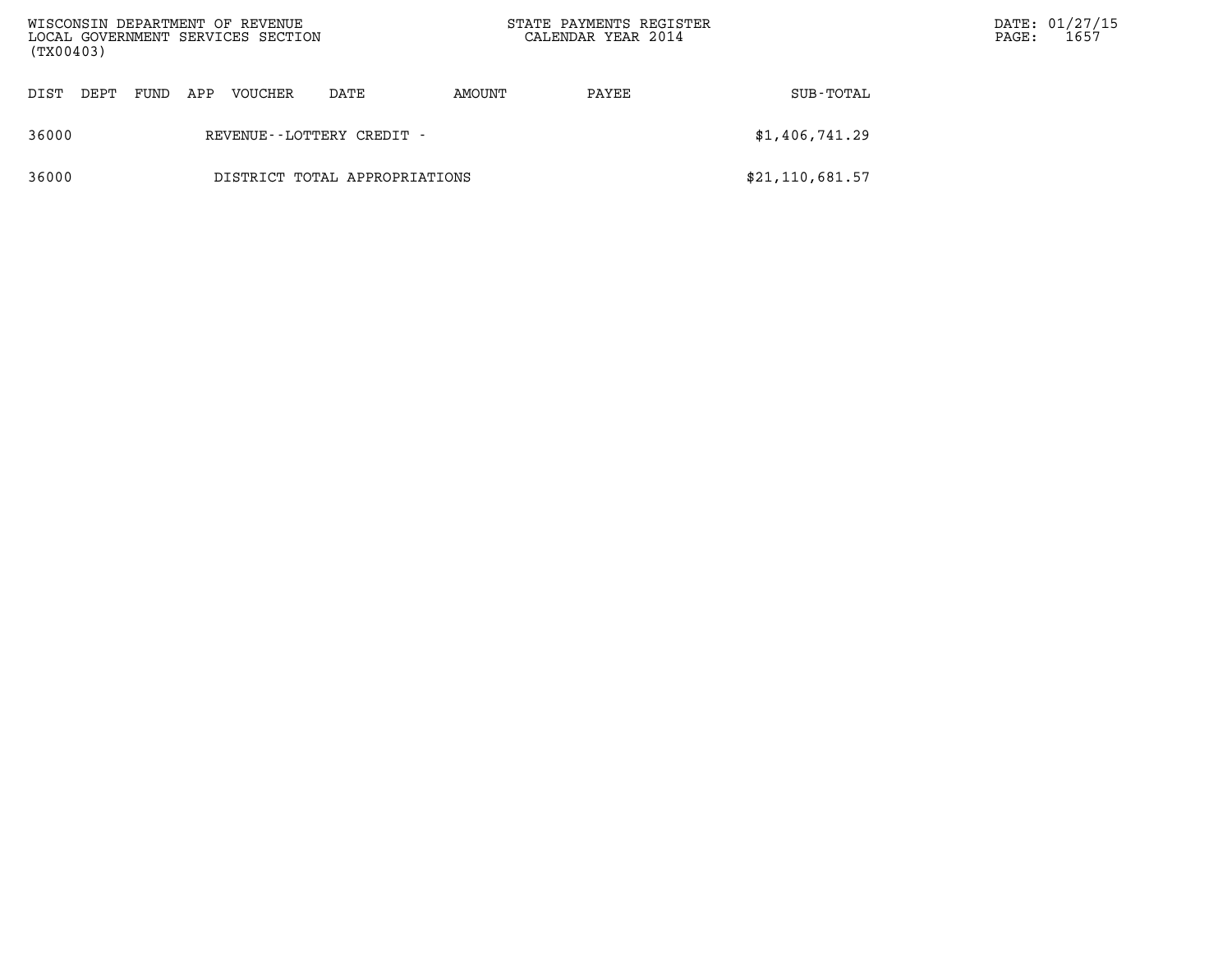| WISCONSIN DEPARTMENT OF REVENUE<br>LOCAL GOVERNMENT SERVICES SECTION<br>(TX00403) |                               |      |     |         |                              | STATE PAYMENTS REGISTER<br>CALENDAR YEAR 2014 |       | $\mathtt{PAGE}$ : | DATE: 01/27/15<br>1657 |  |
|-----------------------------------------------------------------------------------|-------------------------------|------|-----|---------|------------------------------|-----------------------------------------------|-------|-------------------|------------------------|--|
| DIST                                                                              | DEPT                          | FUND | APP | VOUCHER | DATE                         | AMOUNT                                        | PAYEE | SUB-TOTAL         |                        |  |
| 36000                                                                             |                               |      |     |         | REVENUE - - LOTTERY CREDIT - |                                               |       | \$1,406,741.29    |                        |  |
| 36000                                                                             | DISTRICT TOTAL APPROPRIATIONS |      |     |         |                              |                                               |       | \$21, 110, 681.57 |                        |  |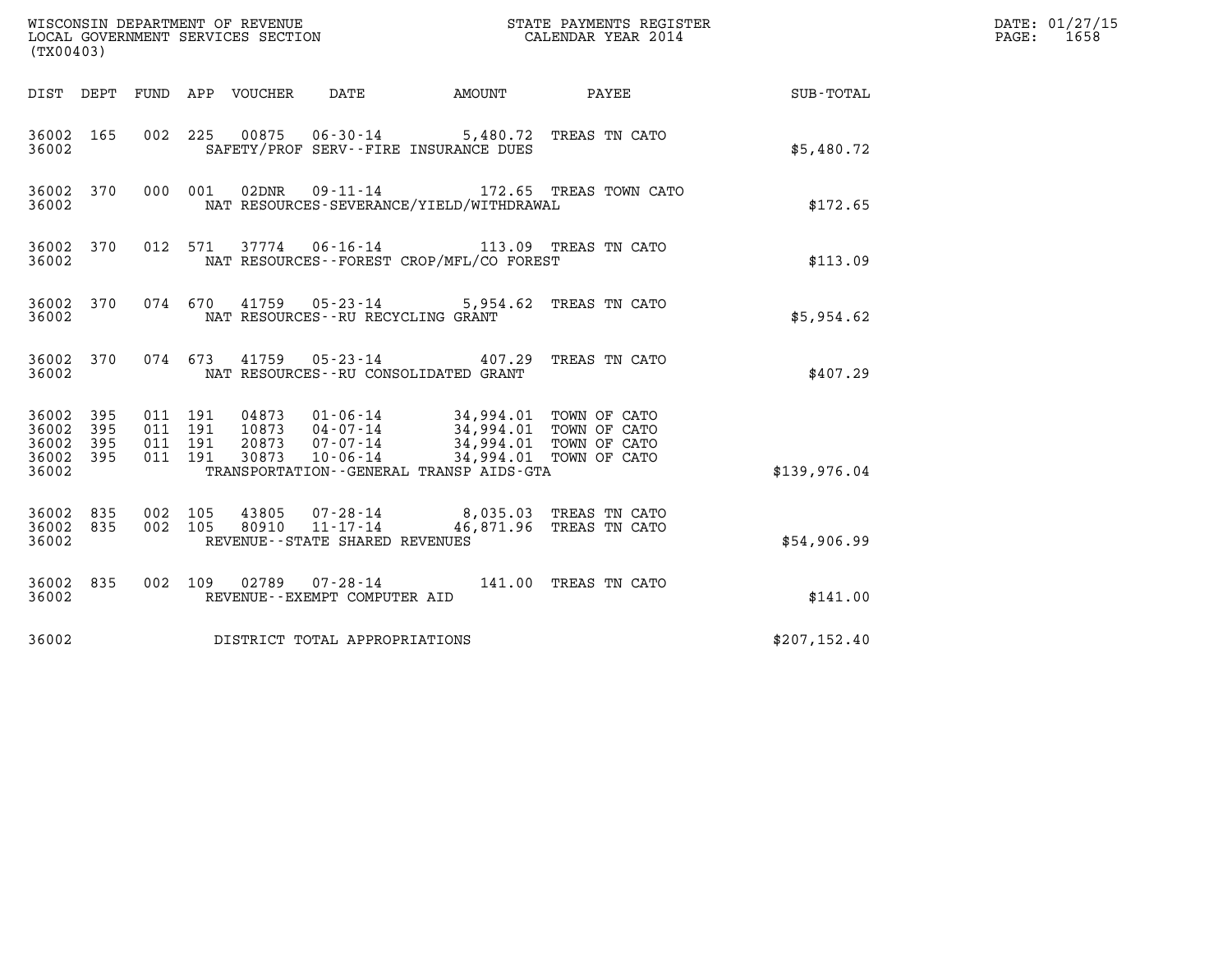| (TX00403)                                                       |                                          | WISCONSIN DEPARTMENT OF REVENUE<br>LOCAL GOVERNMENT SERVICES SECTION<br>STATE PAYMENTS REGISTER<br>CALENDAR YEAR 2014                                                                                                      |               | DATE: 01/27/15<br>$\mathtt{PAGE:}$<br>1658 |
|-----------------------------------------------------------------|------------------------------------------|----------------------------------------------------------------------------------------------------------------------------------------------------------------------------------------------------------------------------|---------------|--------------------------------------------|
|                                                                 |                                          | DIST DEPT FUND APP VOUCHER<br>DATE                                                                                                                                                                                         |               |                                            |
| 36002 165<br>36002                                              | 002 225                                  | 06-30-14 5,480.72 TREAS TN CATO<br>00875<br>SAFETY/PROF SERV--FIRE INSURANCE DUES                                                                                                                                          | \$5,480.72    |                                            |
| 36002 370<br>36002                                              |                                          | $09 - 11 - 14$<br>000 001<br>02DNR<br>172.65 TREAS TOWN CATO<br>NAT RESOURCES-SEVERANCE/YIELD/WITHDRAWAL                                                                                                                   | \$172.65      |                                            |
| 36002 370<br>36002                                              |                                          | 37774 06-16-14 113.09 TREAS TN CATO<br>012 571<br>NAT RESOURCES - - FOREST CROP/MFL/CO FOREST                                                                                                                              | \$113.09      |                                            |
| 36002 370<br>36002                                              |                                          | 074 670 41759 05-23-14 5,954.62 TREAS TN CATO<br>NAT RESOURCES - - RU RECYCLING GRANT                                                                                                                                      | \$5,954.62    |                                            |
| 36002 370<br>36002                                              |                                          | 074 673 41759 05-23-14 407.29 TREAS TN CATO<br>NAT RESOURCES--RU CONSOLIDATED GRANT                                                                                                                                        | \$407.29      |                                            |
| 36002 395<br>36002<br>395<br>36002<br>395<br>36002 395<br>36002 | 011 191<br>011 191<br>011 191<br>011 191 | 04873  01-06-14  34,994.01  TOWN OF CATO<br>10873  04-07-14  34,994.01  TOWN OF CATO<br>20873  07-07-14  34,994.01  TOWN OF CATO<br>30873<br>10-06-14<br>34,994.01 TOWN OF CATO<br>TRANSPORTATION--GENERAL TRANSP AIDS-GTA | \$139.976.04  |                                            |
| 36002 835<br>36002 835<br>36002                                 | 002 105<br>002 105                       | 43805  07-28-14  8,035.03  TREAS TN CATO<br>80910  11-17-14  46,871.96  TREAS TN CATO<br>REVENUE - - STATE SHARED REVENUES                                                                                                 | \$54,906.99   |                                            |
| 36002 835<br>36002                                              |                                          | 002 109 02789 07-28-14 141.00 TREAS TN CATO<br>REVENUE--EXEMPT COMPUTER AID                                                                                                                                                | \$141.00      |                                            |
| 36002                                                           |                                          | DISTRICT TOTAL APPROPRIATIONS                                                                                                                                                                                              | \$207, 152.40 |                                            |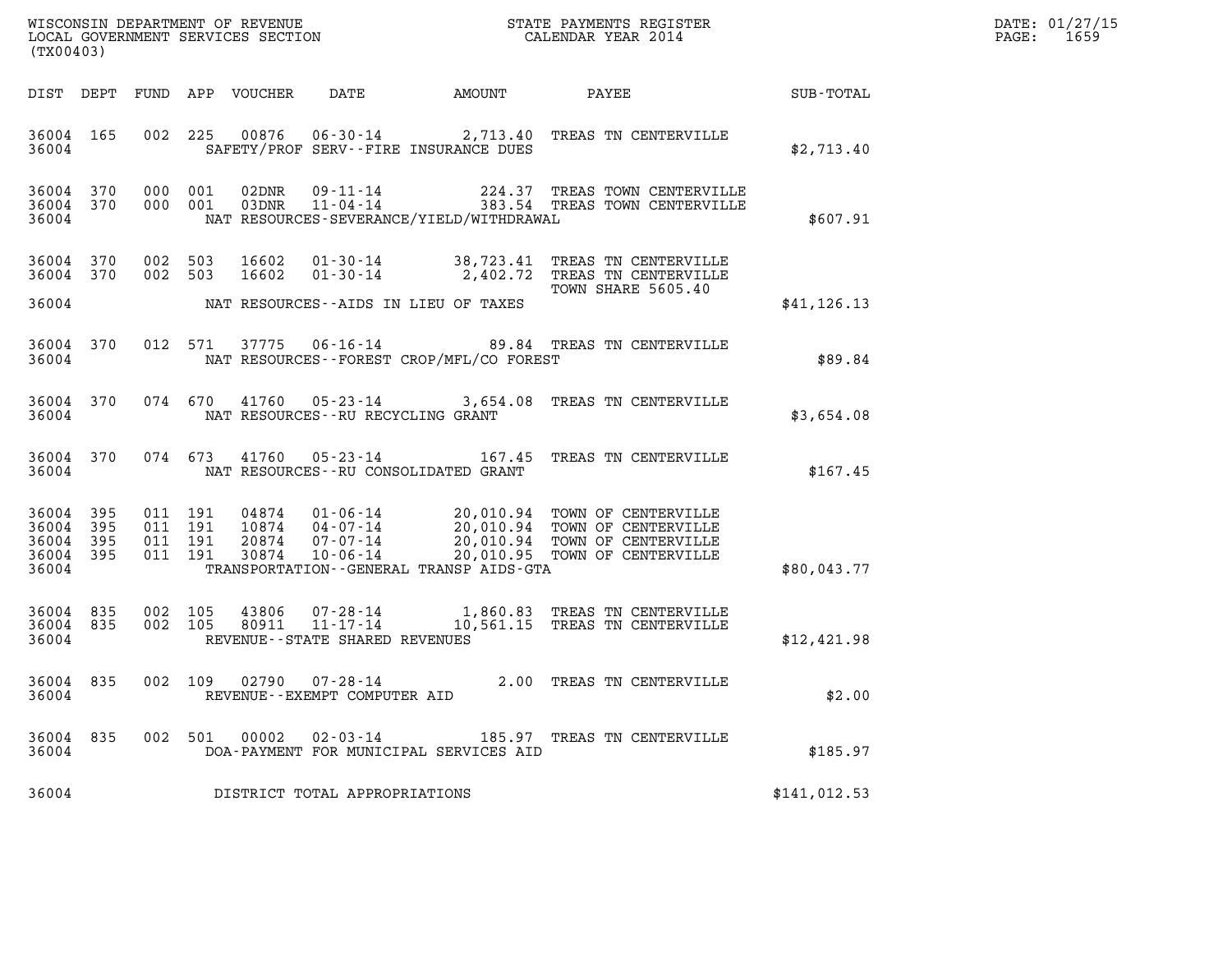| $\mathtt{DATE}$ : | 01/27/15 |
|-------------------|----------|
| PAGE:             | 1659     |

| (TX00403)                                         |              |                                          |                            |                                                                 |                                              |                                                                                                                                                 |              | DATE: 01/27/15<br>$\mathtt{PAGE}$ :<br>1659 |
|---------------------------------------------------|--------------|------------------------------------------|----------------------------|-----------------------------------------------------------------|----------------------------------------------|-------------------------------------------------------------------------------------------------------------------------------------------------|--------------|---------------------------------------------|
|                                                   |              |                                          | DIST DEPT FUND APP VOUCHER | DATE                                                            | AMOUNT                                       | PAYEE                                                                                                                                           | SUB-TOTAL    |                                             |
| 36004 165<br>36004                                |              |                                          |                            | SAFETY/PROF SERV--FIRE INSURANCE DUES                           |                                              | 002 225 00876 06-30-14 2,713.40 TREAS TN CENTERVILLE                                                                                            | \$2,713.40   |                                             |
| 36004 370<br>36004 370<br>36004                   |              | 000 001<br>000 001                       | 02DNR                      | 09-11-14<br>$03DNR$ $11 - 04 - 14$                              | NAT RESOURCES-SEVERANCE/YIELD/WITHDRAWAL     | 224.37 TREAS TOWN CENTERVILLE<br>383.54 TREAS TOWN CENTERVILLE                                                                                  | \$607.91     |                                             |
| 36004 370<br>36004 370                            |              | 002 503<br>002 503                       | 16602<br>16602             | 01-30-14                                                        |                                              | 01-30-14 38,723.41 TREAS TN CENTERVILLE<br>2,402.72 TREAS TN CENTERVILLE                                                                        |              |                                             |
| 36004                                             |              |                                          |                            | NAT RESOURCES--AIDS IN LIEU OF TAXES                            |                                              | TOWN SHARE 5605.40                                                                                                                              | \$41, 126.13 |                                             |
| 36004 370<br>36004                                |              | 012 571                                  | 37775                      | $06 - 16 - 14$                                                  | NAT RESOURCES - - FOREST CROP/MFL/CO FOREST  | 89.84 TREAS TN CENTERVILLE                                                                                                                      | \$89.84      |                                             |
| 36004 370<br>36004                                |              | 074 670                                  | 41760                      | NAT RESOURCES - - RU RECYCLING GRANT                            |                                              | 05-23-14 3,654.08 TREAS TN CENTERVILLE                                                                                                          | \$3,654.08   |                                             |
| 36004 370<br>36004                                |              | 074 673                                  | 41760                      | 05-23-14<br>NAT RESOURCES - - RU CONSOLIDATED GRANT             |                                              | 167.45 TREAS TN CENTERVILLE                                                                                                                     | \$167.45     |                                             |
| 36004 395<br>36004<br>36004<br>36004 395<br>36004 | 395<br>- 395 | 011 191<br>011 191<br>011 191<br>011 191 | 04874<br>20874<br>30874    | 10874 04-07-14<br>07-07-14<br>$10 - 06 - 14$                    | TRANSPORTATION - - GENERAL TRANSP AIDS - GTA | $01 - 06 - 14$ 20,010.94 TOWN OF CENTERVILLE<br>20,010.94 TOWN OF CENTERVILLE<br>20,010.94 TOWN OF CENTERVILLE<br>20,010.95 TOWN OF CENTERVILLE | \$80,043.77  |                                             |
|                                                   |              |                                          |                            |                                                                 |                                              |                                                                                                                                                 |              |                                             |
| 36004 835<br>36004 835<br>36004                   |              | 002 105<br>002 105                       | 43806<br>80911             | 07-28-14<br>$11 - 17 - 14$<br>REVENUE - - STATE SHARED REVENUES |                                              | 1,860.83 TREAS TN CENTERVILLE<br>10,561.15 TREAS TN CENTERVILLE                                                                                 | \$12,421.98  |                                             |
| 36004 835<br>36004                                |              | 002 109                                  |                            | $02790$ $07 - 28 - 14$<br>REVENUE--EXEMPT COMPUTER AID          |                                              | 2.00 TREAS TN CENTERVILLE                                                                                                                       | \$2.00       |                                             |
| 36004 835<br>36004                                |              |                                          | 00002<br>002 501           | $02 - 03 - 14$                                                  | DOA-PAYMENT FOR MUNICIPAL SERVICES AID       | 185.97 TREAS TN CENTERVILLE                                                                                                                     | \$185.97     |                                             |
| 36004                                             |              |                                          |                            | DISTRICT TOTAL APPROPRIATIONS                                   |                                              |                                                                                                                                                 | \$141,012.53 |                                             |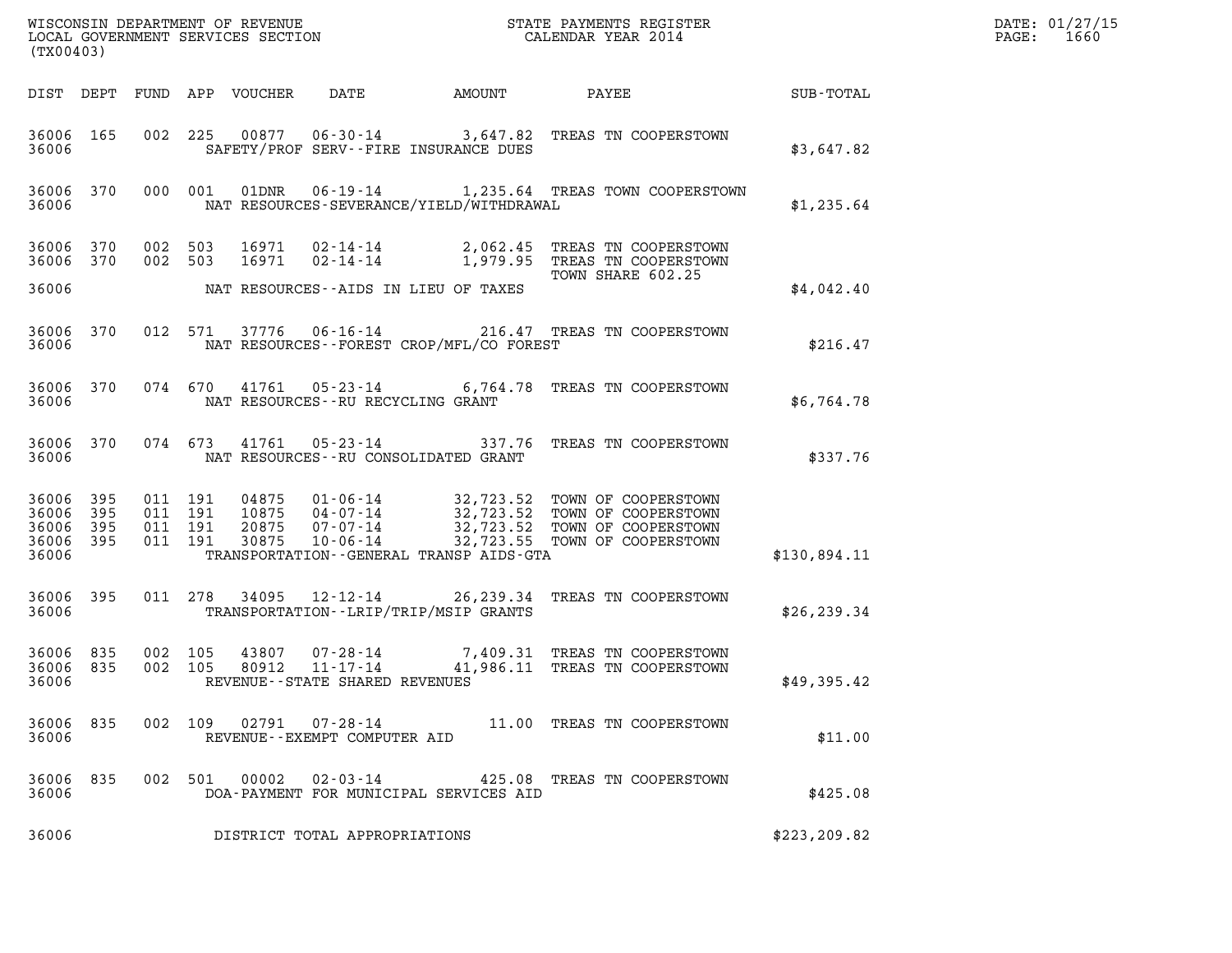|                                          | (TX00403)        |                                          |  |               |                                                     |                                                |                                                                                                                                                                                                                                                                       |               | DATE: 01/27/15<br>1660<br>$\mathtt{PAGE:}$ |
|------------------------------------------|------------------|------------------------------------------|--|---------------|-----------------------------------------------------|------------------------------------------------|-----------------------------------------------------------------------------------------------------------------------------------------------------------------------------------------------------------------------------------------------------------------------|---------------|--------------------------------------------|
|                                          |                  |                                          |  |               |                                                     |                                                |                                                                                                                                                                                                                                                                       |               |                                            |
| 36006                                    |                  |                                          |  |               |                                                     | SAFETY/PROF SERV--FIRE INSURANCE DUES          | 36006 165 002 225 00877 06-30-14 3,647.82 TREAS TN COOPERSTOWN                                                                                                                                                                                                        | \$3.647.82    |                                            |
| 36006                                    |                  |                                          |  |               |                                                     | NAT RESOURCES-SEVERANCE/YIELD/WITHDRAWAL       | 36006 370 000 001 01DNR 06-19-14 1,235.64 TREAS TOWN COOPERSTOWN                                                                                                                                                                                                      | \$1,235.64    |                                            |
|                                          |                  |                                          |  |               |                                                     | 36006 MAT RESOURCES--AIDS IN LIEU OF TAXES     | $\begin{array}{cccccc} 36006 & 370 & 002 & 503 & 16971 & 02\cdot 14\cdot 14 & & 2,062\cdot 45 & \text{TREAS TN COOPERSTOWN} \\ 36006 & 370 & 002 & 503 & 16971 & 02\cdot 14\cdot 14 & & 1,979\cdot 95 & \text{TREAS TN COOPERSTOWN} \end{array}$<br>TOWN SHARE 602.25 |               |                                            |
|                                          |                  |                                          |  |               |                                                     |                                                |                                                                                                                                                                                                                                                                       | \$4,042.40    |                                            |
| 36006                                    |                  |                                          |  |               |                                                     | NAT RESOURCES--FOREST CROP/MFL/CO FOREST       | 36006 370 012 571 37776 06-16-14 216.47 TREAS TN COOPERSTOWN                                                                                                                                                                                                          | \$216.47      |                                            |
| 36006                                    |                  |                                          |  |               | NAT RESOURCES -- RU RECYCLING GRANT                 |                                                | 36006 370 074 670 41761 05-23-14 6,764.78 TREAS TN COOPERSTOWN                                                                                                                                                                                                        | \$6,764.78    |                                            |
| 36006                                    |                  |                                          |  |               |                                                     | NAT RESOURCES--RU CONSOLIDATED GRANT           | 36006 370 074 673 41761 05-23-14 337.76 TREAS TN COOPERSTOWN                                                                                                                                                                                                          | \$337.76      |                                            |
| 36006 395<br>36006<br>36006 395<br>36006 | 395<br>36006 395 | 011 191<br>011 191<br>011 191<br>011 191 |  |               |                                                     | TRANSPORTATION - - GENERAL TRANSP AIDS - GTA   | $\begin{tabular}{cccc} 04875 & 01-06-14 & 32,723.52 & TOWN OF COOPERSTOWN \\ 10875 & 04-07-14 & 32,723.52 & TOWN OF COOPERSTOWN \\ 20875 & 07-07-14 & 32,723.52 & TOWN OF COOPERSTOWN \\ 30875 & 10-06-14 & 32,723.55 & TOWN OF COOPERSTOWN \\ \end{tabular}$         | \$130,894.11  |                                            |
|                                          | 36006 395        |                                          |  |               |                                                     | 36006 TRANSPORTATION - - LRIP/TRIP/MSIP GRANTS | 011  278  34095  12-12-14  26, 239.34  TREAS  TN COOPERSTOWN                                                                                                                                                                                                          | \$26, 239.34  |                                            |
| 36006 835<br>36006 835<br>36006          |                  | 002 105<br>002 105                       |  |               | 80912 11-17-14<br>REVENUE - - STATE SHARED REVENUES |                                                | 43807 07-28-14 7,409.31 TREAS TN COOPERSTOWN<br>41,986.11 TREAS TN COOPERSTOWN                                                                                                                                                                                        | \$49,395.42   |                                            |
| 36006 835<br>36006                       |                  |                                          |  | 002 109 02791 | REVENUE--EXEMPT COMPUTER AID                        |                                                | 07-28-14 11.00 TREAS TN COOPERSTOWN                                                                                                                                                                                                                                   | \$11.00       |                                            |
| 36006 835<br>36006                       |                  | 002 501                                  |  | 00002         | $02 - 03 - 14$                                      | DOA-PAYMENT FOR MUNICIPAL SERVICES AID         | 425.08 TREAS TN COOPERSTOWN                                                                                                                                                                                                                                           | \$425.08      |                                            |
| 36006                                    |                  |                                          |  |               | DISTRICT TOTAL APPROPRIATIONS                       |                                                |                                                                                                                                                                                                                                                                       | \$223, 209.82 |                                            |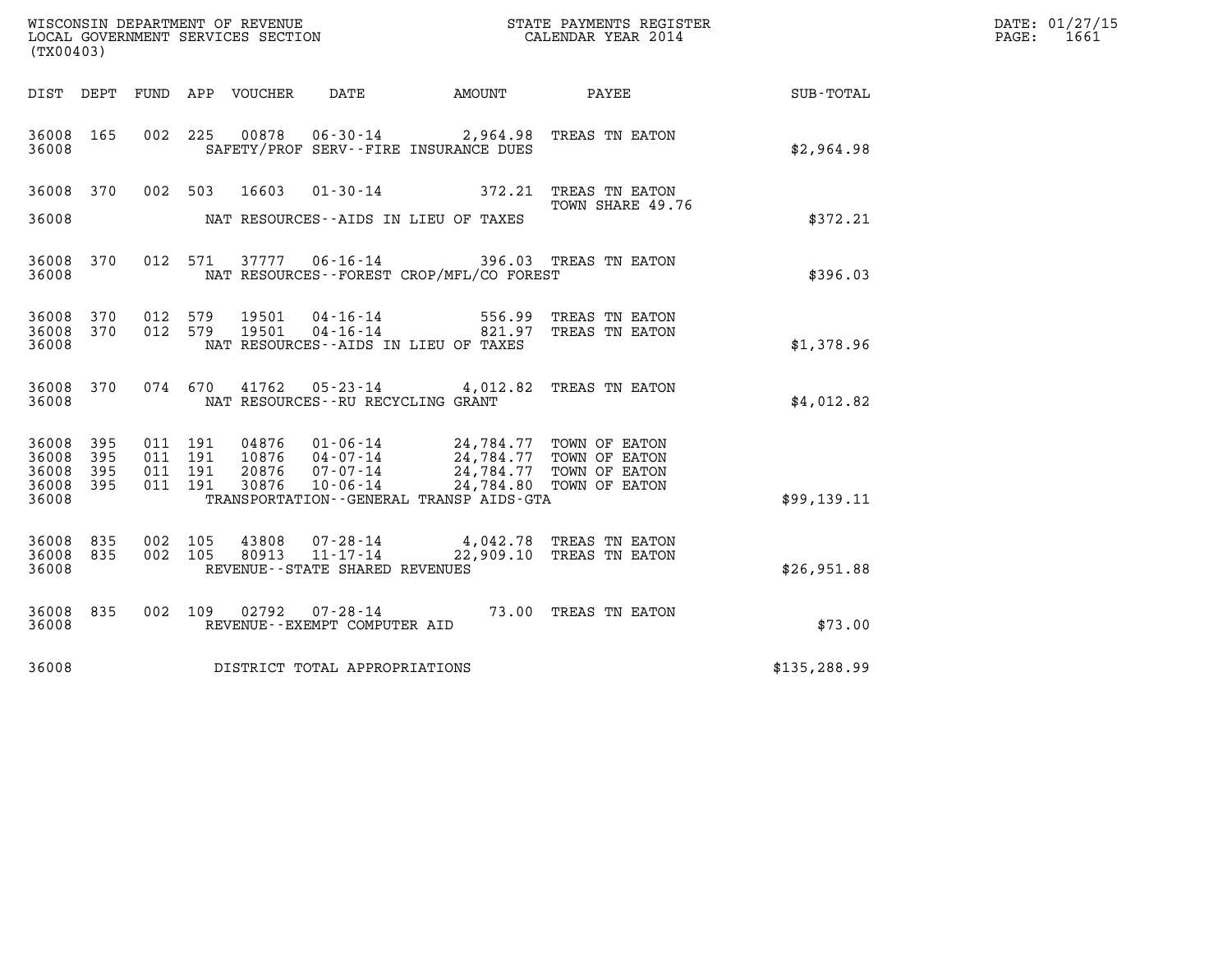| (TX00403)                   |            |                    |                            |                |                                                                       |                                                                  |                                                    |               | DATE: 01/27/15<br>PAGE:<br>1661 |
|-----------------------------|------------|--------------------|----------------------------|----------------|-----------------------------------------------------------------------|------------------------------------------------------------------|----------------------------------------------------|---------------|---------------------------------|
|                             |            |                    | DIST DEPT FUND APP VOUCHER |                | DATE                                                                  | AMOUNT                                                           | PAYEE                                              | SUB-TOTAL     |                                 |
| 36008 165<br>36008          |            | 002                | 225                        | 00878          |                                                                       | $06 - 30 - 14$ 2,964.98<br>SAFETY/PROF SERV--FIRE INSURANCE DUES | TREAS TN EATON                                     | \$2,964.98    |                                 |
| 36008                       | 370        | 002 503            |                            | 16603          | $01 - 30 - 14$                                                        | 372.21                                                           | TREAS TN EATON<br>TOWN SHARE 49.76                 |               |                                 |
| 36008                       |            |                    |                            |                |                                                                       | NAT RESOURCES--AIDS IN LIEU OF TAXES                             |                                                    | \$372.21      |                                 |
| 36008 370<br>36008          |            |                    | 012 571                    | 37777 06-16-14 |                                                                       | NAT RESOURCES - - FOREST CROP/MFL/CO FOREST                      | 396.03 TREAS TN EATON                              | \$396.03      |                                 |
| 36008 370<br>36008<br>36008 | 370        | 012 579<br>012 579 |                            | 19501<br>19501 | 04-16-14<br>$04 - 16 - 14$                                            | 821.97<br>NAT RESOURCES -- AIDS IN LIEU OF TAXES                 | 556.99 TREAS TN EATON<br>TREAS TN EATON            | \$1,378.96    |                                 |
|                             |            |                    |                            |                |                                                                       |                                                                  |                                                    |               |                                 |
| 36008 370<br>36008          |            | 074 670            |                            | 41762          | $05 - 23 - 14$<br>NAT RESOURCES--RU RECYCLING GRANT                   | 4,012.82                                                         | TREAS TN EATON                                     | \$4,012.82    |                                 |
| 36008<br>36008              | 395<br>395 | 011 191<br>011 191 |                            | 04876<br>10876 | $01 - 06 - 14$<br>04-07-14                                            |                                                                  | 24,784.77 TOWN OF EATON<br>24,784.77 TOWN OF EATON |               |                                 |
| 36008<br>36008              | 395<br>395 | 011<br>011 191     | 191                        | 20876<br>30876 | $07 - 07 - 14$<br>$10 - 06 - 14$                                      |                                                                  | 24,784.77 TOWN OF EATON<br>24,784.80 TOWN OF EATON |               |                                 |
| 36008                       |            |                    |                            |                |                                                                       | TRANSPORTATION - - GENERAL TRANSP AIDS - GTA                     |                                                    | \$99,139.11   |                                 |
| 36008<br>36008<br>36008     | 835<br>835 | 002<br>002         | 105<br>105                 | 43808<br>80913 | $07 - 28 - 14$<br>$11 - 17 - 14$<br>REVENUE - - STATE SHARED REVENUES | 22,909.10                                                        | 4,042.78 TREAS TN EATON<br>TREAS TN EATON          | \$26,951.88   |                                 |
| 36008 835<br>36008          |            | 002 109            |                            | 02792          | 07-28-14<br>REVENUE--EXEMPT COMPUTER AID                              |                                                                  | 73.00 TREAS TN EATON                               | \$73.00       |                                 |
| 36008                       |            |                    |                            |                | DISTRICT TOTAL APPROPRIATIONS                                         |                                                                  |                                                    | \$135, 288.99 |                                 |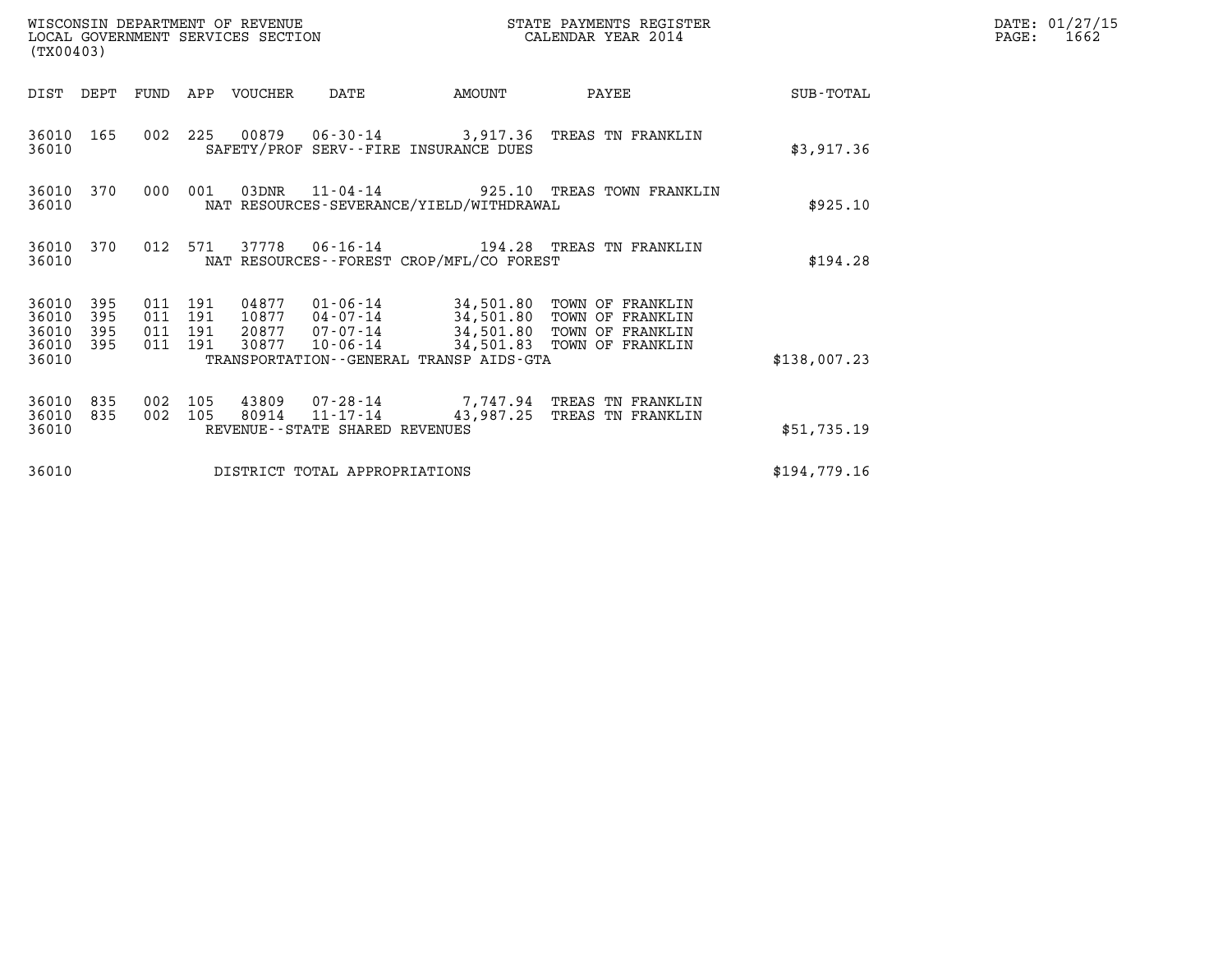| (TX00403)                                 |                          |                                  |            | WISCONSIN DEPARTMENT OF REVENUE<br>LOCAL GOVERNMENT SERVICES SECTION |                                                  | STATE PAYMENTS REGISTER<br>CALENDAR YEAR 2014 |                                                                                                                                        | DATE: 01/27/15<br>$\mathtt{PAGE:}$<br>1662 |  |
|-------------------------------------------|--------------------------|----------------------------------|------------|----------------------------------------------------------------------|--------------------------------------------------|-----------------------------------------------|----------------------------------------------------------------------------------------------------------------------------------------|--------------------------------------------|--|
| DIST                                      | DEPT                     |                                  |            | FUND APP VOUCHER                                                     | DATE                                             | AMOUNT                                        | PAYEE                                                                                                                                  | SUB-TOTAL                                  |  |
| 36010 165<br>36010                        |                          |                                  |            |                                                                      |                                                  | SAFETY/PROF SERV--FIRE INSURANCE DUES         | 002 225 00879 06-30-14 3,917.36 TREAS TN FRANKLIN                                                                                      | \$3,917.36                                 |  |
| 36010                                     | 36010 370                | 000                              | 001        |                                                                      | 03DNR 11-04-14                                   | NAT RESOURCES-SEVERANCE/YIELD/WITHDRAWAL      | 925.10 TREAS TOWN FRANKLIN                                                                                                             | \$925.10                                   |  |
| 36010 370<br>36010                        |                          |                                  | 012 571    |                                                                      |                                                  | NAT RESOURCES - - FOREST CROP/MFL/CO FOREST   |                                                                                                                                        | \$194.28                                   |  |
| 36010<br>36010<br>36010<br>36010<br>36010 | 395<br>395<br>395<br>395 | 011 191<br>011<br>011<br>011 191 | 191<br>191 | 04877<br>10877<br>20877<br>30877                                     | $07 - 07 - 14$<br>10-06-14                       | TRANSPORTATION - - GENERAL TRANSP AIDS - GTA  | 01-06-14 34,501.80 TOWN OF FRANKLIN<br>04-07-14 34,501.80 TOWN OF FRANKLIN<br>34,501.80 TOWN OF FRANKLIN<br>34,501.83 TOWN OF FRANKLIN | \$138,007.23                               |  |
| 36010<br>36010<br>36010                   | 835<br>835               | 002<br>002                       | 105<br>105 | 80914                                                                | $11 - 17 - 14$<br>REVENUE--STATE SHARED REVENUES |                                               | 43809 07-28-14 7,747.94 TREAS TN FRANKLIN<br>43,987.25 TREAS TN FRANKLIN                                                               | \$51,735.19                                |  |
| 36010                                     |                          |                                  |            |                                                                      | DISTRICT TOTAL APPROPRIATIONS                    |                                               |                                                                                                                                        | \$194,779.16                               |  |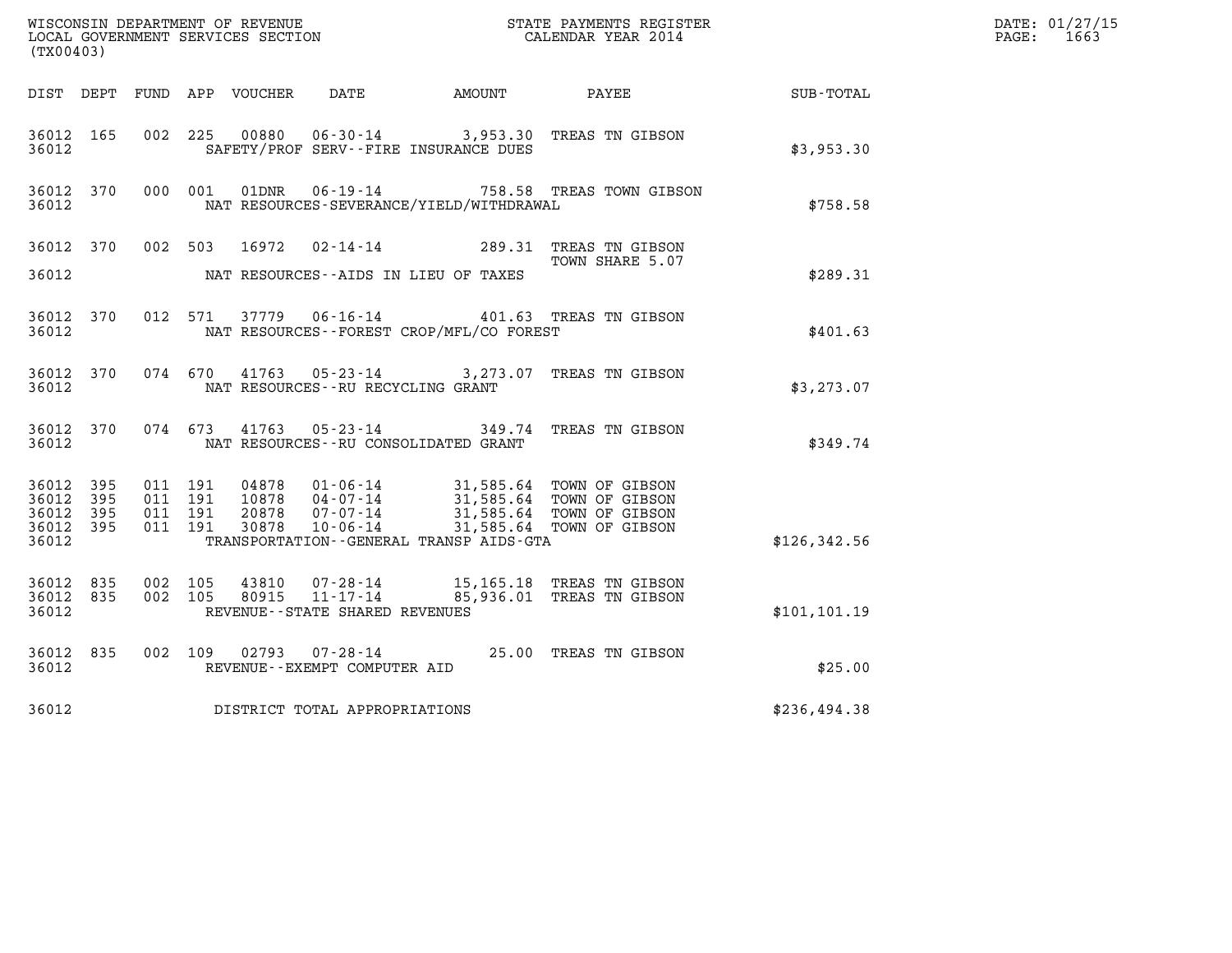| $\tt WISCONSIM DEPARTMENT OF REVENUE$ $\tt WISCONSIMENTS REGISTER$<br>LOCAL GOVERNMENT SERVICES SECTION $\tt CALENDAR YEAR$<br>2014 |            |                    |         |                            |                                                              |                                             |                                                                                          |               | DATE: 01/27/15<br>$\mathtt{PAGE:}$<br>1663 |
|-------------------------------------------------------------------------------------------------------------------------------------|------------|--------------------|---------|----------------------------|--------------------------------------------------------------|---------------------------------------------|------------------------------------------------------------------------------------------|---------------|--------------------------------------------|
| (TX00403)                                                                                                                           |            |                    |         |                            |                                                              |                                             |                                                                                          |               |                                            |
|                                                                                                                                     |            |                    |         | DIST DEPT FUND APP VOUCHER | DATE                                                         | AMOUNT                                      | PAYEE                                                                                    | SUB-TOTAL     |                                            |
| 36012 165<br>36012                                                                                                                  |            | 002 225            |         | 00880                      |                                                              | SAFETY/PROF SERV--FIRE INSURANCE DUES       | 06-30-14 3,953.30 TREAS TN GIBSON                                                        | \$3,953.30    |                                            |
| 36012 370<br>36012                                                                                                                  |            | 000 001            |         | 01DNR                      | $06 - 19 - 14$                                               | NAT RESOURCES-SEVERANCE/YIELD/WITHDRAWAL    | 758.58 TREAS TOWN GIBSON                                                                 | \$758.58      |                                            |
| 36012 370                                                                                                                           |            |                    | 002 503 | 16972                      |                                                              |                                             | 02-14-14 289.31 TREAS TN GIBSON<br>TOWN SHARE 5.07                                       |               |                                            |
| 36012                                                                                                                               |            |                    |         |                            |                                                              | NAT RESOURCES--AIDS IN LIEU OF TAXES        |                                                                                          | \$289.31      |                                            |
| 36012 370<br>36012                                                                                                                  |            |                    |         | 012 571 37779              |                                                              | NAT RESOURCES - - FOREST CROP/MFL/CO FOREST | 06-16-14 401.63 TREAS TN GIBSON                                                          | \$401.63      |                                            |
| 36012 370<br>36012                                                                                                                  |            | 074 670            |         | 41763                      | NAT RESOURCES - - RU RECYCLING GRANT                         |                                             | 05-23-14 3,273.07 TREAS TN GIBSON                                                        | \$3, 273.07   |                                            |
| 36012 370<br>36012                                                                                                                  |            | 074 673            |         | 41763                      | $05 - 23 - 14$                                               | NAT RESOURCES - - RU CONSOLIDATED GRANT     | 349.74 TREAS TN GIBSON                                                                   | \$349.74      |                                            |
| 36012<br>36012                                                                                                                      | 395<br>395 | 011 191<br>011 191 |         |                            |                                                              |                                             | 04878  01-06-14  31,585.64  TOWN OF GIBSON<br>10878  04-07-14  31,585.64  TOWN OF GIBSON |               |                                            |
| 36012<br>36012 395<br>36012                                                                                                         | 395        | 011 191<br>011 191 |         | 30878                      | 20878 07-07-14<br>10-06-14                                   | TRANSPORTATION--GENERAL TRANSP AIDS-GTA     | 31,585.64 TOWN OF GIBSON<br>31,585.64 TOWN OF GIBSON                                     | \$126, 342.56 |                                            |
| 36012 835<br>36012 835<br>36012                                                                                                     |            | 002 105<br>002 105 |         | 43810<br>80915             | 07-28-14<br>$11 - 17 - 14$<br>REVENUE--STATE SHARED REVENUES |                                             | 15,165.18 TREAS TN GIBSON<br>85,936.01 TREAS TN GIBSON                                   | \$101, 101.19 |                                            |
|                                                                                                                                     |            |                    |         |                            |                                                              |                                             |                                                                                          |               |                                            |
| 36012 835<br>36012                                                                                                                  |            | 002 109            |         | 02793                      | $07 - 28 - 14$<br>REVENUE - - EXEMPT COMPUTER AID            |                                             | 25.00 TREAS TN GIBSON                                                                    | \$25.00       |                                            |
| 36012                                                                                                                               |            |                    |         |                            | DISTRICT TOTAL APPROPRIATIONS                                |                                             |                                                                                          | \$236,494.38  |                                            |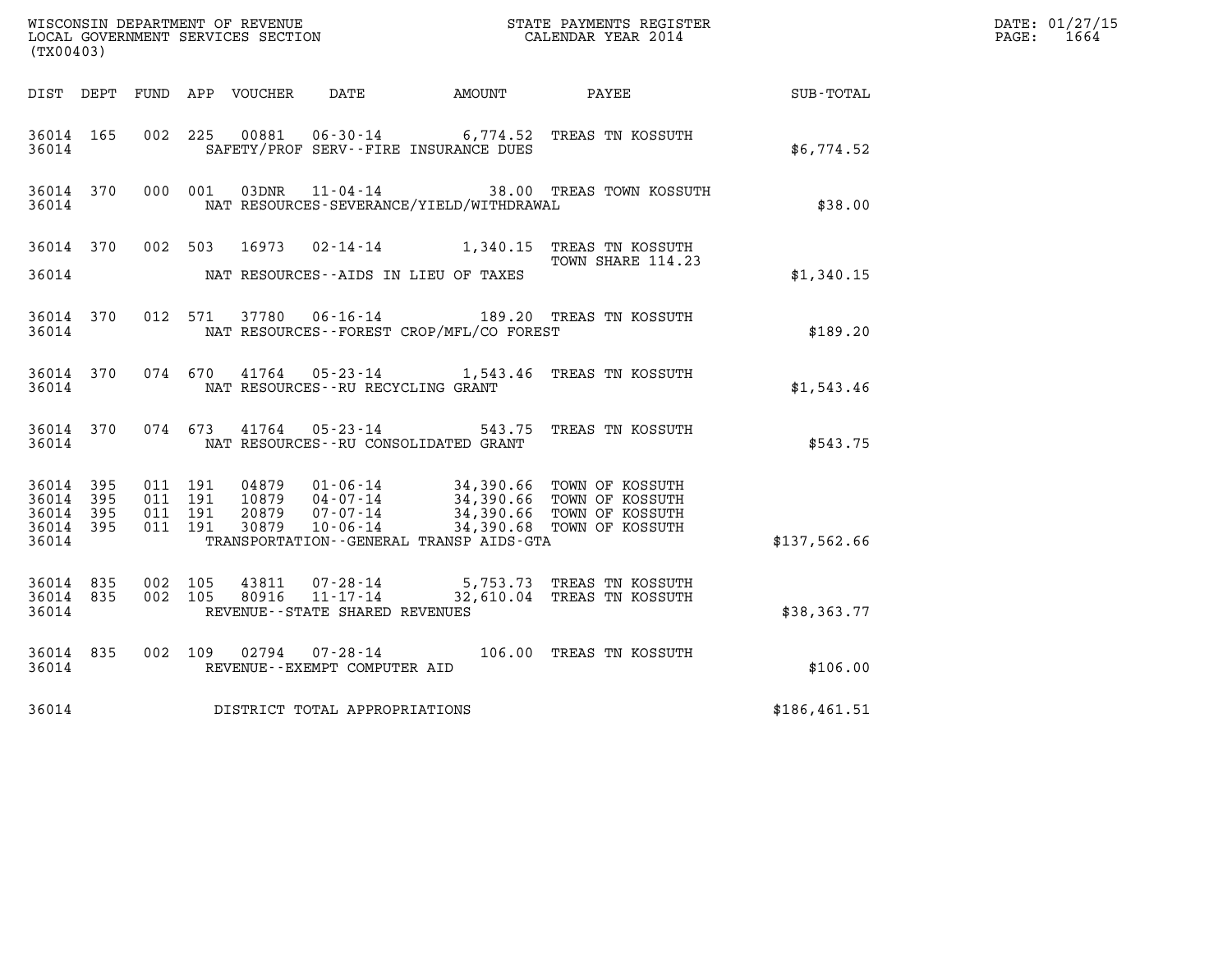| (TX00403)                       |           |                    |         |                            |                                                   |                                          |                                                                                                                                           |               | DATE: 01/27/15<br>$\mathtt{PAGE:}$<br>1664 |
|---------------------------------|-----------|--------------------|---------|----------------------------|---------------------------------------------------|------------------------------------------|-------------------------------------------------------------------------------------------------------------------------------------------|---------------|--------------------------------------------|
|                                 |           |                    |         | DIST DEPT FUND APP VOUCHER | DATE                                              | <b>AMOUNT</b>                            | PAYEE                                                                                                                                     | SUB-TOTAL     |                                            |
| 36014 165<br>36014              |           |                    | 002 225 | 00881                      |                                                   | SAFETY/PROF SERV--FIRE INSURANCE DUES    | 06-30-14 6,774.52 TREAS TN KOSSUTH                                                                                                        | \$6,774.52    |                                            |
| 36014 370<br>36014              |           |                    | 000 001 | 03DNR                      |                                                   | NAT RESOURCES-SEVERANCE/YIELD/WITHDRAWAL | 11-04-14 38.00 TREAS TOWN KOSSUTH                                                                                                         | \$38.00       |                                            |
|                                 | 36014 370 |                    | 002 503 |                            |                                                   |                                          | 16973  02-14-14   1,340.15   TREAS TN KOSSUTH<br>TOWN SHARE 114.23                                                                        |               |                                            |
| 36014                           |           |                    |         |                            |                                                   | NAT RESOURCES--AIDS IN LIEU OF TAXES     |                                                                                                                                           | \$1,340.15    |                                            |
| 36014                           | 36014 370 |                    |         |                            |                                                   | NAT RESOURCES--FOREST CROP/MFL/CO FOREST | 012 571 37780 06-16-14 189.20 TREAS TN KOSSUTH                                                                                            | \$189.20      |                                            |
| 36014 370<br>36014              |           |                    | 074 670 |                            | NAT RESOURCES - - RU RECYCLING GRANT              |                                          | 41764  05-23-14   1,543.46  TREAS TN KOSSUTH                                                                                              | \$1,543.46    |                                            |
| 36014 370<br>36014              |           |                    | 074 673 | 41764                      |                                                   | NAT RESOURCES - - RU CONSOLIDATED GRANT  | 05-23-14 543.75 TREAS TN KOSSUTH                                                                                                          | \$543.75      |                                            |
| 36014 395<br>36014              | 395       | 011 191<br>011 191 |         |                            |                                                   |                                          | 04879  01-06-14  34,390.66  TOWN OF KOSSUTH<br>10879  04-07-14  34,390.66  TOWN OF KOSSUTH<br>20879  07-07-14  34,390.66  TOWN OF KOSSUTH |               |                                            |
| 36014<br>36014 395<br>36014     | 395       | 011 191<br>011 191 |         | 30879                      | $10 - 06 - 14$                                    | TRANSPORTATION--GENERAL TRANSP AIDS-GTA  | 34,390.68 TOWN OF KOSSUTH                                                                                                                 | \$137,562.66  |                                            |
| 36014 835<br>36014 835<br>36014 |           | 002 105<br>002 105 |         | 43811<br>80916             | $11 - 17 - 14$<br>REVENUE--STATE SHARED REVENUES  |                                          | 07-28-14 5,753.73 TREAS TN KOSSUTH<br>32,610.04 TREAS TN KOSSUTH                                                                          | \$38,363.77   |                                            |
|                                 |           |                    |         |                            |                                                   |                                          |                                                                                                                                           |               |                                            |
| 36014 835<br>36014              |           | 002 109            |         | 02794                      | $07 - 28 - 14$<br>REVENUE - - EXEMPT COMPUTER AID |                                          | 106.00 TREAS TN KOSSUTH                                                                                                                   | \$106.00      |                                            |
| 36014                           |           |                    |         |                            | DISTRICT TOTAL APPROPRIATIONS                     |                                          |                                                                                                                                           | \$186, 461.51 |                                            |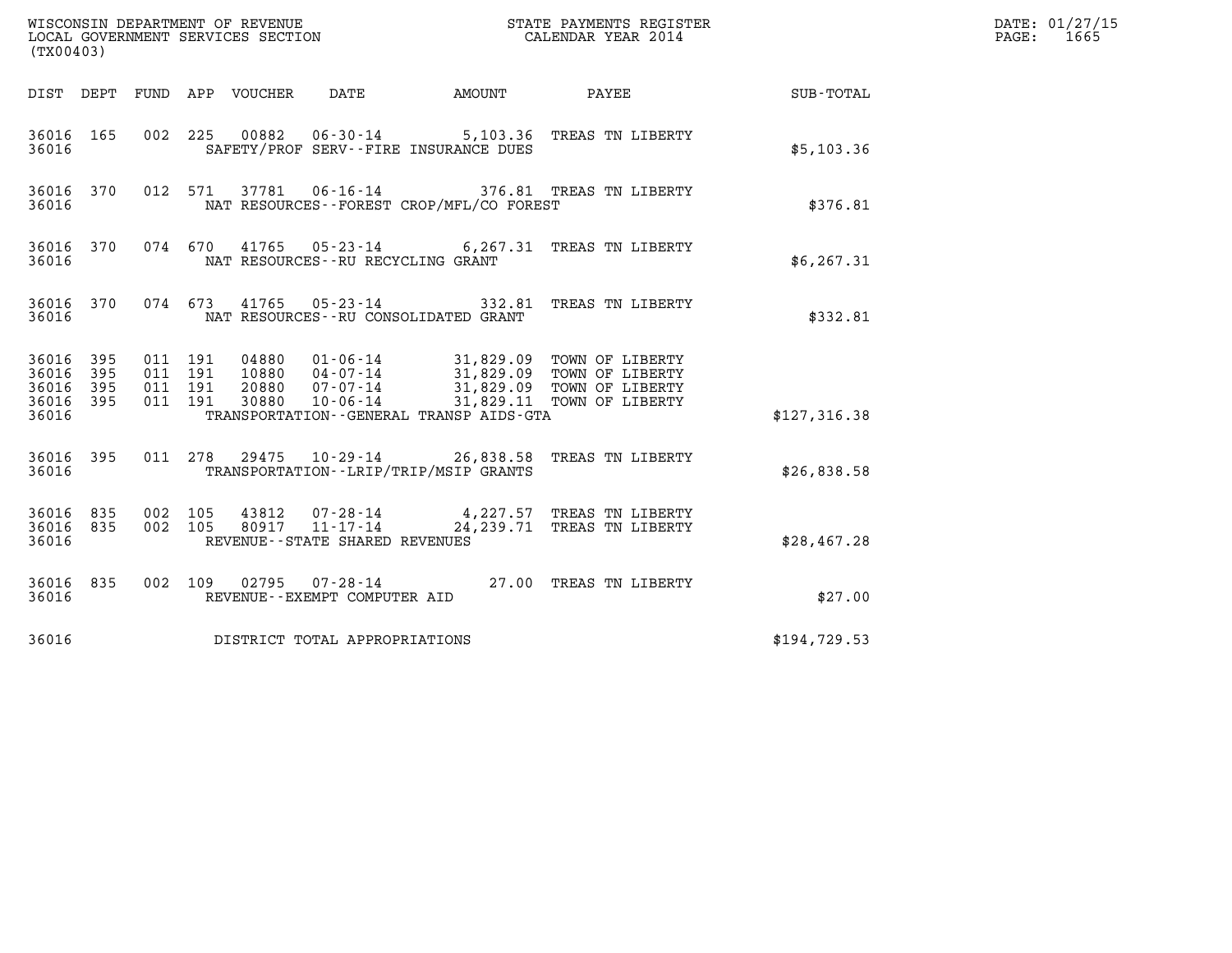| (TX00403)                                         |            |                                          |                                 |                                      |                                          |                                                                                                                                                                                          |              | DATE: 01/27/15<br>$\mathtt{PAGE:}$<br>1665 |
|---------------------------------------------------|------------|------------------------------------------|---------------------------------|--------------------------------------|------------------------------------------|------------------------------------------------------------------------------------------------------------------------------------------------------------------------------------------|--------------|--------------------------------------------|
|                                                   |            |                                          | DIST DEPT FUND APP VOUCHER DATE |                                      |                                          | AMOUNT PAYEE SUB-TOTAL                                                                                                                                                                   |              |                                            |
| 36016 165<br>36016                                |            | 002 225                                  |                                 |                                      | SAFETY/PROF SERV--FIRE INSURANCE DUES    | 00882  06-30-14  5,103.36  TREAS TN LIBERTY                                                                                                                                              | \$5,103.36   |                                            |
| 36016 370<br>36016                                |            |                                          |                                 |                                      | NAT RESOURCES--FOREST CROP/MFL/CO FOREST | 012 571 37781 06-16-14 376.81 TREAS TN LIBERTY                                                                                                                                           | \$376.81     |                                            |
| 36016 370<br>36016                                |            |                                          |                                 | NAT RESOURCES - - RU RECYCLING GRANT |                                          | 074 670 41765 05-23-14 6,267.31 TREAS TN LIBERTY                                                                                                                                         | \$6, 267.31  |                                            |
| 36016 370<br>36016                                |            |                                          |                                 |                                      | NAT RESOURCES -- RU CONSOLIDATED GRANT   | 074 673 41765 05-23-14 332.81 TREAS TN LIBERTY                                                                                                                                           | \$332.81     |                                            |
| 36016 395<br>36016<br>36016<br>36016 395<br>36016 | 395<br>395 | 011 191<br>011 191<br>011 191<br>011 191 |                                 |                                      | TRANSPORTATION--GENERAL TRANSP AIDS-GTA  | 04880  01-06-14  31,829.09  TOWN OF LIBERTY<br>10880  04-07-14  31,829.09  TOWN OF LIBERTY<br>20880  07-07-14  31,829.09  TOWN OF LIBERTY<br>30880  10-06-14  31,829.11  TOWN OF LIBERTY | \$127,316.38 |                                            |
| 36016 395<br>36016                                |            |                                          |                                 |                                      | TRANSPORTATION - - LRIP/TRIP/MSIP GRANTS | 011 278 29475 10-29-14 26,838.58 TREAS TN LIBERTY                                                                                                                                        | \$26,838.58  |                                            |
| 36016 835<br>36016 835<br>36016                   |            | 002 105<br>002 105                       |                                 | REVENUE - - STATE SHARED REVENUES    |                                          | 43812  07-28-14  4,227.57 TREAS TN LIBERTY<br>80917  11-17-14  24,239.71 TREAS TN LIBERTY                                                                                                | \$28,467.28  |                                            |
| 36016 835<br>36016                                |            |                                          |                                 | REVENUE--EXEMPT COMPUTER AID         |                                          | 002 109 02795 07-28-14 27.00 TREAS TN LIBERTY                                                                                                                                            | \$27.00      |                                            |
| 36016                                             |            |                                          |                                 | DISTRICT TOTAL APPROPRIATIONS        |                                          |                                                                                                                                                                                          | \$194,729.53 |                                            |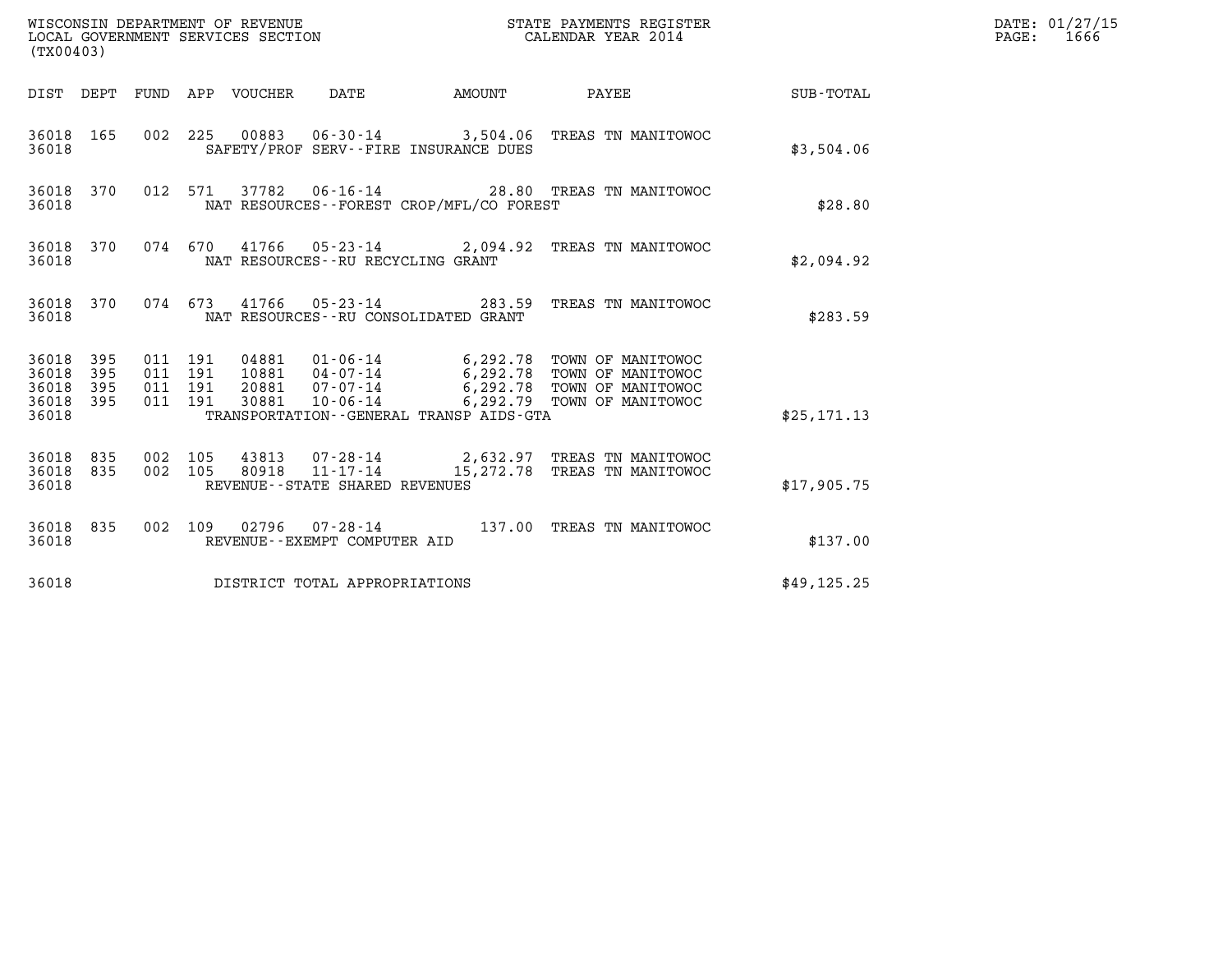| (TX00403)                                                       |                                                                                                                                                                                                                                                                                     |               | STATE PAYMENTS REGISTER      |              | DATE: 01/27/15<br>$\mathtt{PAGE:}$<br>1666 |
|-----------------------------------------------------------------|-------------------------------------------------------------------------------------------------------------------------------------------------------------------------------------------------------------------------------------------------------------------------------------|---------------|------------------------------|--------------|--------------------------------------------|
|                                                                 | DIST DEPT FUND APP VOUCHER DATE                                                                                                                                                                                                                                                     | <b>AMOUNT</b> | <b>PAYEE</b>                 | SUB-TOTAL    |                                            |
| 36018 165<br>36018                                              | 002 225 00883 06-30-14 3,504.06 TREAS TN MANITOWOC<br>SAFETY/PROF SERV--FIRE INSURANCE DUES                                                                                                                                                                                         |               |                              | \$3,504.06   |                                            |
| 36018 370<br>36018                                              | 012 571 37782 06-16-14 28.80 TREAS TN MANITOWOC<br>NAT RESOURCES--FOREST CROP/MFL/CO FOREST                                                                                                                                                                                         |               |                              | \$28.80      |                                            |
| 36018 370<br>36018                                              | 074 670 41766 05-23-14 2,094.92 TREAS TN MANITOWOC<br>NAT RESOURCES--RU RECYCLING GRANT                                                                                                                                                                                             |               |                              | \$2,094.92   |                                            |
| 36018 370<br>36018                                              | 074 673 41766 05-23-14 283.59 TREAS TN MANITOWOC<br>NAT RESOURCES -- RU CONSOLIDATED GRANT                                                                                                                                                                                          |               |                              | \$283.59     |                                            |
| 36018 395<br>36018<br>395<br>36018<br>395<br>36018 395<br>36018 | 04881  01-06-14  6,292.78  TOWN OF MANITOWOC<br>011 191<br>10881  04-07-14  6,292.78  TOWN OF MANITOWOC<br>011 191<br>20881  07-07-14  6,292.78  TOWN OF MANITOWOC<br>30881  10-06-14  6,292.79  TOWN OF MANITOWOC<br>011 191<br>011 191<br>TRANSPORTATION--GENERAL TRANSP AIDS-GTA |               |                              | \$25, 171.13 |                                            |
| 36018 835<br>835<br>36018<br>36018                              | 43813  07-28-14  2,632.97  TREAS TN MANITOWOC<br>002 105<br>002 105<br>80918<br>11-17-14<br>REVENUE - - STATE SHARED REVENUES                                                                                                                                                       |               | 15,272.78 TREAS TN MANITOWOC | \$17,905.75  |                                            |
| 36018 835<br>36018                                              | 002 109 02796 07-28-14 137.00 TREAS TN MANITOWOC<br>REVENUE--EXEMPT COMPUTER AID                                                                                                                                                                                                    |               |                              | \$137.00     |                                            |
| 36018                                                           | DISTRICT TOTAL APPROPRIATIONS                                                                                                                                                                                                                                                       |               |                              | \$49, 125.25 |                                            |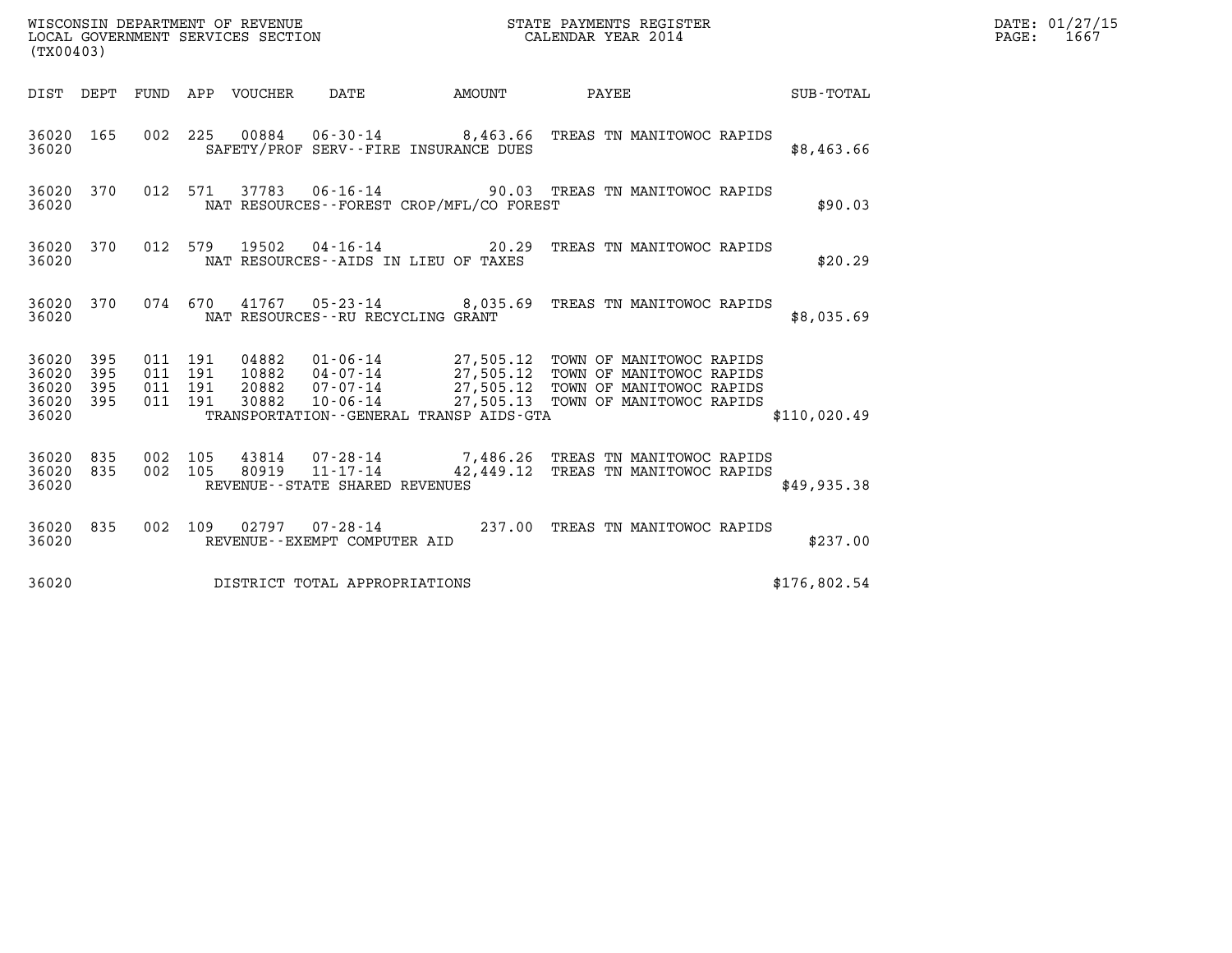| (TX00403)                                                          |                                                                                                                         |        | STATE PAYMENTS REGISTER                                                                                                                                                                  |              | DATE: 01/27/15<br>$\mathtt{PAGE}$ :<br>1667 |
|--------------------------------------------------------------------|-------------------------------------------------------------------------------------------------------------------------|--------|------------------------------------------------------------------------------------------------------------------------------------------------------------------------------------------|--------------|---------------------------------------------|
| DIST DEPT FUND APP VOUCHER                                         | DATE                                                                                                                    | AMOUNT | <b>PAYEE</b>                                                                                                                                                                             | SUB-TOTAL    |                                             |
| 36020 165<br>36020                                                 | 002 225 00884 06-30-14 8,463.66 TREAS TN MANITOWOC RAPIDS<br>SAFETY/PROF SERV--FIRE INSURANCE DUES                      |        |                                                                                                                                                                                          | \$8,463.66   |                                             |
| 36020 370<br>36020                                                 | 012 571 37783 06-16-14 90.03 TREAS TN MANITOWOC RAPIDS<br>NAT RESOURCES--FOREST CROP/MFL/CO FOREST                      |        |                                                                                                                                                                                          | \$90.03      |                                             |
| 36020 370<br>36020                                                 | 012 579 19502 04-16-14 20.29 TREAS TN MANITOWOC RAPIDS<br>NAT RESOURCES--AIDS IN LIEU OF TAXES                          |        |                                                                                                                                                                                          | \$20.29      |                                             |
| 36020 370<br>36020                                                 | 074 670 41767 05-23-14 8,035.69 TREAS TN MANITOWOC RAPIDS<br>NAT RESOURCES--RU RECYCLING GRANT                          |        |                                                                                                                                                                                          | \$8,035.69   |                                             |
| 36020 395<br>36020<br>395<br>395<br>36020<br>395<br>36020<br>36020 | 011 191<br>04882<br>011 191<br>10882<br>011 191<br>20882<br>011 191<br>30882<br>TRANSPORTATION--GENERAL TRANSP AIDS-GTA |        | 01-06-14 27,505.12 TOWN OF MANITOWOC RAPIDS<br>04-07-14 27,505.12 TOWN OF MANITOWOC RAPIDS<br>07-07-14 27,505.12 IOWN OF MANITOWOC RAPIDS<br>10-06-14 27,505.13 TOWN OF MANITOWOC RAPIDS | \$110,020.49 |                                             |
| 36020 835<br>835<br>36020<br>36020                                 | 002 105<br>43814<br>002 105<br>$11 - 17 - 14$<br>80919<br>REVENUE - - STATE SHARED REVENUES                             |        | 07-28-14 7,486.26 TREAS TN MANITOWOC RAPIDS<br>42,449.12 TREAS TN MANITOWOC RAPIDS                                                                                                       | \$49,935.38  |                                             |
| 36020 835<br>36020                                                 | 002 109 02797 07-28-14<br>REVENUE--EXEMPT COMPUTER AID                                                                  |        | 237.00 TREAS TN MANITOWOC RAPIDS                                                                                                                                                         | \$237.00     |                                             |
| 36020                                                              | DISTRICT TOTAL APPROPRIATIONS                                                                                           |        |                                                                                                                                                                                          | \$176,802.54 |                                             |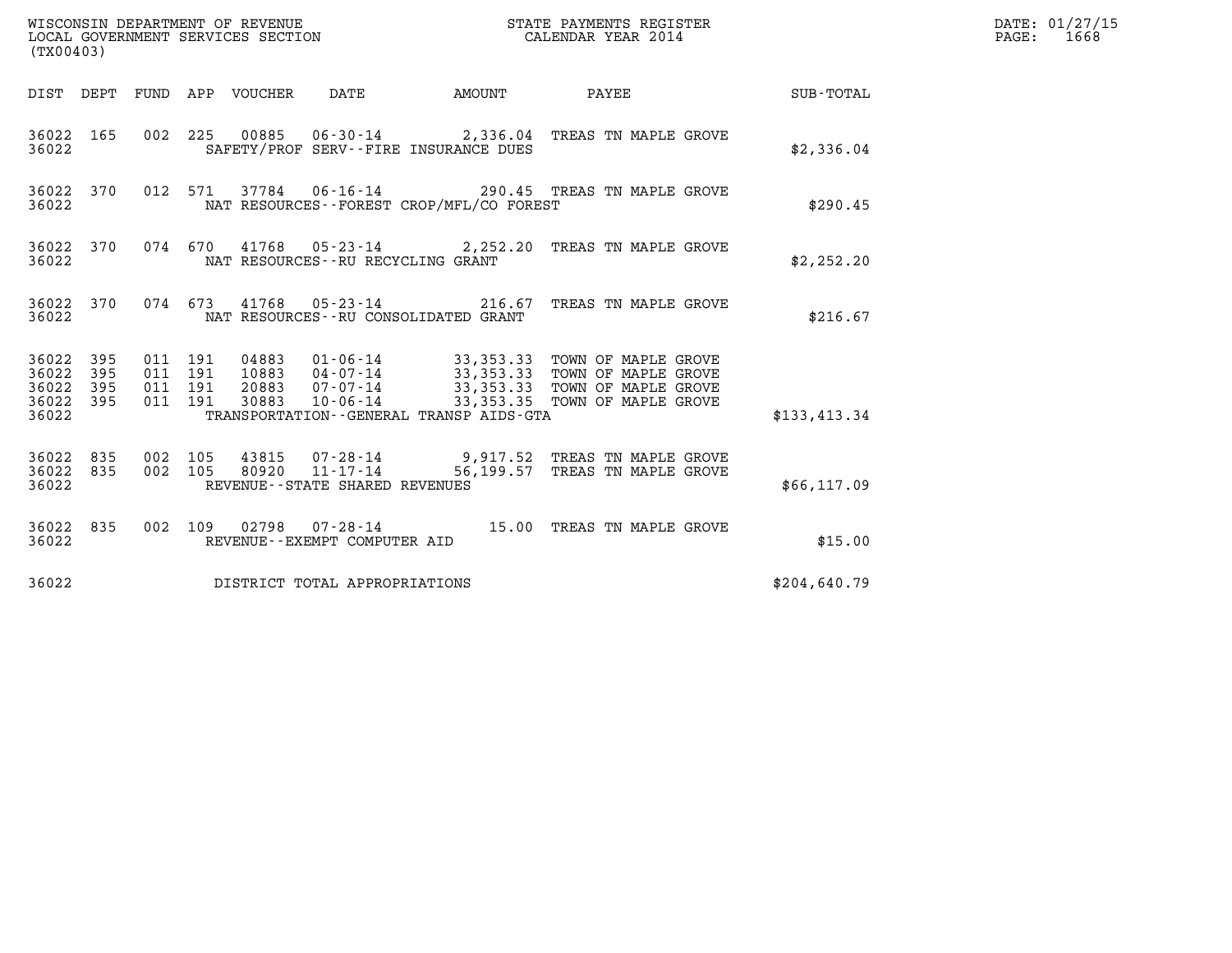| (TX00403)                                         |            |                    |                    |                                 |                                               |                                          |                                                                                                                                                                            |              | DATE: 01/27/15<br>$\mathtt{PAGE:}$<br>1668 |
|---------------------------------------------------|------------|--------------------|--------------------|---------------------------------|-----------------------------------------------|------------------------------------------|----------------------------------------------------------------------------------------------------------------------------------------------------------------------------|--------------|--------------------------------------------|
|                                                   |            |                    |                    | DIST DEPT FUND APP VOUCHER DATE |                                               | AMOUNT PAYEE                             |                                                                                                                                                                            | SUB-TOTAL    |                                            |
| 36022                                             | 36022 165  |                    |                    |                                 |                                               | SAFETY/PROF SERV--FIRE INSURANCE DUES    | 002 225 00885 06-30-14 2,336.04 TREAS TN MAPLE GROVE                                                                                                                       | \$2,336.04   |                                            |
| 36022                                             | 36022 370  |                    |                    |                                 |                                               | NAT RESOURCES--FOREST CROP/MFL/CO FOREST | 012 571 37784 06-16-14 290.45 TREAS TN MAPLE GROVE                                                                                                                         | \$290.45     |                                            |
| 36022                                             | 36022 370  |                    |                    |                                 | NAT RESOURCES--RU RECYCLING GRANT             |                                          | 074 670 41768 05-23-14 2,252.20 TREAS TN MAPLE GROVE                                                                                                                       | \$2,252.20   |                                            |
| 36022                                             |            |                    |                    |                                 |                                               | NAT RESOURCES - - RU CONSOLIDATED GRANT  | 36022 370 074 673 41768 05-23-14 216.67 TREAS TN MAPLE GROVE                                                                                                               | \$216.67     |                                            |
| 36022 395<br>36022<br>36022<br>36022 395<br>36022 | 395<br>395 | 011 191<br>011 191 | 011 191<br>011 191 | 04883<br>20883<br>30883         |                                               | TRANSPORTATION--GENERAL TRANSP AIDS-GTA  | 01-06-14 33,353.33 TOWN OF MAPLE GROVE<br>10883 04-07-14 33,353.33 TOWN OF MAPLE GROVE<br>07-07-14 33,353.33 TOWN OF MAPLE GROVE<br>10-06-14 33,353.35 TOWN OF MAPLE GROVE | \$133,413.34 |                                            |
| 36022 835<br>36022 835<br>36022                   |            | 002 105<br>002 105 |                    | 43815<br>80920                  | 11-17-14<br>REVENUE - - STATE SHARED REVENUES |                                          | 07-28-14 9,917.52 TREAS TN MAPLE GROVE<br>56,199.57 TREAS TN MAPLE GROVE                                                                                                   | \$66,117.09  |                                            |
| 36022 835<br>36022                                |            |                    |                    |                                 | REVENUE--EXEMPT COMPUTER AID                  |                                          | 002 109 02798 07-28-14 15.00 TREAS TN MAPLE GROVE                                                                                                                          | \$15.00      |                                            |
| 36022                                             |            |                    |                    |                                 | DISTRICT TOTAL APPROPRIATIONS                 |                                          |                                                                                                                                                                            | \$204,640.79 |                                            |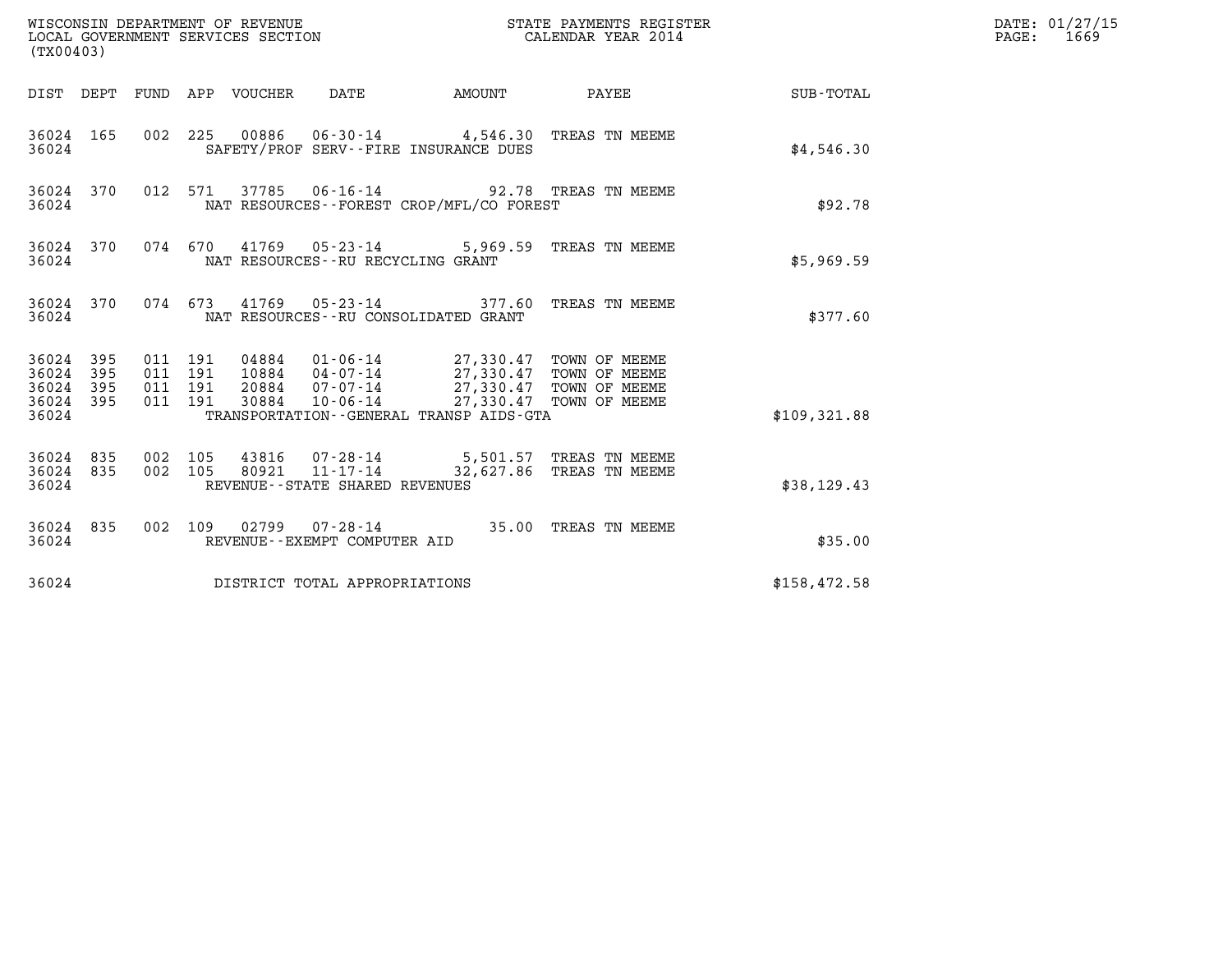| (TX00403)                                         |            |                    |                               |                                 | WISCONSIN DEPARTMENT OF REVENUE<br>LOCAL GOVERNMENT SERVICES SECTION |                                                                                                                                                                                                                     | STATE PAYMENTS REGISTER<br>CALENDAR YEAR 2014                         |              | DATE: 01/27/15<br>$\mathtt{PAGE:}$<br>1669 |
|---------------------------------------------------|------------|--------------------|-------------------------------|---------------------------------|----------------------------------------------------------------------|---------------------------------------------------------------------------------------------------------------------------------------------------------------------------------------------------------------------|-----------------------------------------------------------------------|--------------|--------------------------------------------|
|                                                   |            |                    |                               | DIST DEPT FUND APP VOUCHER DATE |                                                                      | AMOUNT                                                                                                                                                                                                              | <b>PAYEE</b>                                                          | SUB-TOTAL    |                                            |
| 36024                                             | 36024 165  |                    |                               |                                 |                                                                      | SAFETY/PROF SERV--FIRE INSURANCE DUES                                                                                                                                                                               | 002 225 00886 06-30-14 4,546.30 TREAS TN MEEME                        | \$4,546.30   |                                            |
| 36024                                             | 36024 370  |                    |                               |                                 |                                                                      | NAT RESOURCES--FOREST CROP/MFL/CO FOREST                                                                                                                                                                            | 012 571 37785 06-16-14 92.78 TREAS TN MEEME                           | \$92.78      |                                            |
| 36024                                             | 36024 370  |                    |                               |                                 | NAT RESOURCES--RU RECYCLING GRANT                                    |                                                                                                                                                                                                                     | 074 670 41769 05-23-14 5,969.59 TREAS TN MEEME                        | \$5,969.59   |                                            |
| 36024                                             |            |                    |                               |                                 |                                                                      | NAT RESOURCES -- RU CONSOLIDATED GRANT                                                                                                                                                                              | 36024 370 074 673 41769 05-23-14 377.60 TREAS TN MEEME                | \$377.60     |                                            |
| 36024 395<br>36024<br>36024<br>36024 395<br>36024 | 395<br>395 | 011 191            | 011 191<br>011 191<br>011 191 |                                 |                                                                      | 04884 01-06-14 27,330.47 TOWN OF MEEME<br>10884 04-07-14 27,330.47 TOWN OF MEEME<br>20884  07-07-14  27,330.47 TOWN OF MEEME<br>30884  10-06-14  27,330.47 TOWN OF MEEME<br>TRANSPORTATION--GENERAL TRANSP AIDS-GTA | 27,330.47 TOWN OF MEEME                                               | \$109,321.88 |                                            |
| 36024 835<br>36024 835<br>36024                   |            | 002 105<br>002 105 |                               | 80921                           | $11 - 17 - 14$<br>REVENUE - - STATE SHARED REVENUES                  |                                                                                                                                                                                                                     | 43816  07-28-14  5,501.57  TREAS TN MEEME<br>32,627.86 TREAS TN MEEME | \$38,129.43  |                                            |
| 36024 835<br>36024                                |            |                    |                               |                                 | REVENUE--EXEMPT COMPUTER AID                                         |                                                                                                                                                                                                                     | 002 109 02799 07-28-14 35.00 TREAS TN MEEME                           | \$35.00      |                                            |
| 36024                                             |            |                    |                               |                                 | DISTRICT TOTAL APPROPRIATIONS                                        |                                                                                                                                                                                                                     |                                                                       | \$158,472.58 |                                            |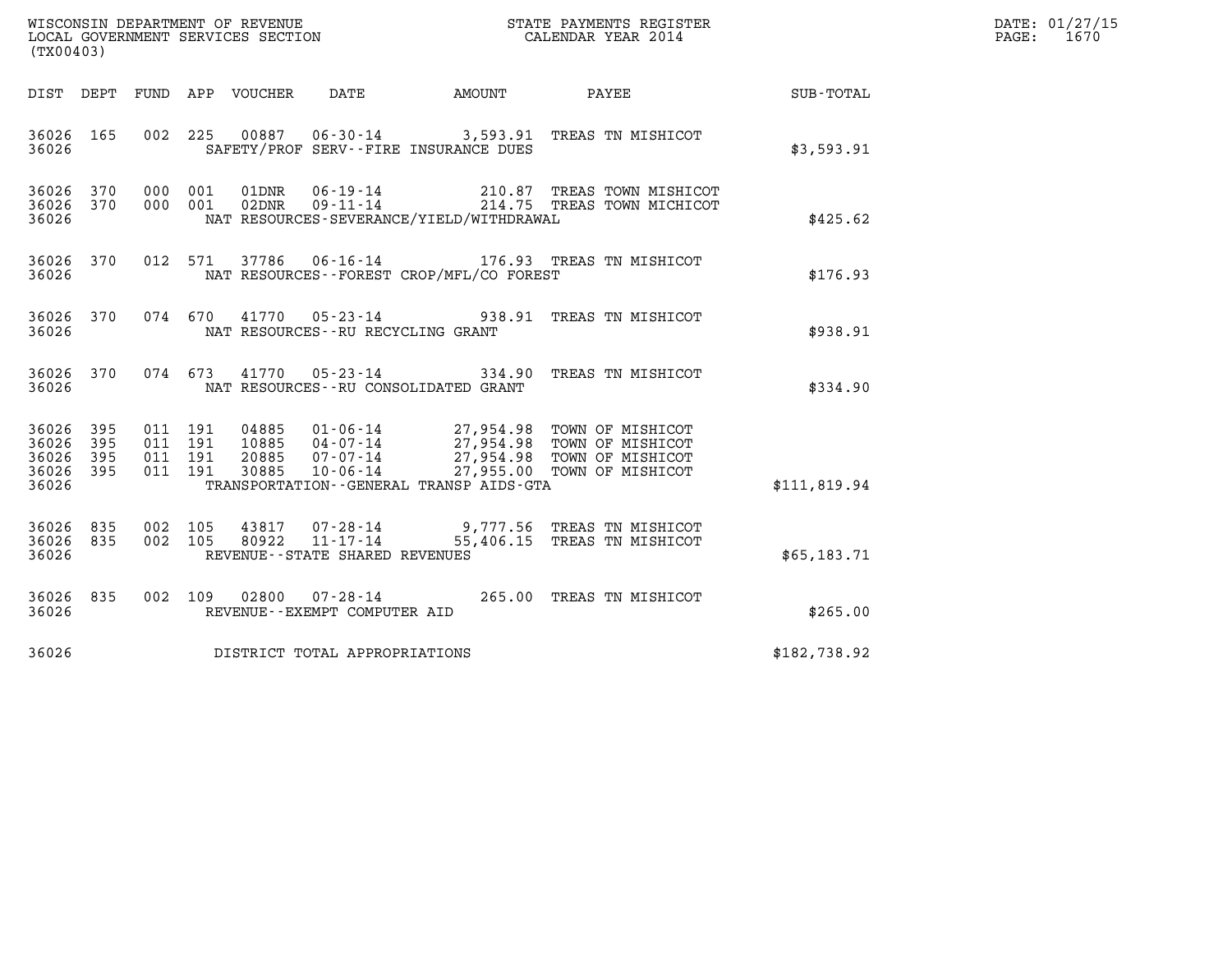| WISCONSIN DEPARTMENT OF REVENUE<br>LOCAL GOVERNMENT SERVICES SECTION<br>(TY) | STATE PAYMENTS REGISTER<br>CALENDAR YEAR 2014 | DATE: 01/27/15<br>1670<br>PAGE: |
|------------------------------------------------------------------------------|-----------------------------------------------|---------------------------------|

| (TX00403)                                                                                         |                                                                                                                                                                                                                                                                                       |                          |                  |
|---------------------------------------------------------------------------------------------------|---------------------------------------------------------------------------------------------------------------------------------------------------------------------------------------------------------------------------------------------------------------------------------------|--------------------------|------------------|
| DIST DEPT                                                                                         | FUND APP VOUCHER DATE<br><b>AMOUNT</b>                                                                                                                                                                                                                                                | PAYEE                    | <b>SUB-TOTAL</b> |
| 165<br>002<br>36026<br>36026                                                                      | 225<br>00887  06-30-14  3,593.91  TREAS TN MISHICOT<br>SAFETY/PROF SERV--FIRE INSURANCE DUES                                                                                                                                                                                          |                          | \$3,593.91       |
| 000<br>36026<br>370<br>36026<br>370<br>000<br>36026                                               | 06-19-14 210.87 TREAS TOWN MISHICOT<br>09-11-14 214.75 TREAS TOWN MICHICOT<br>001<br>01DNR<br>001<br>02DNR<br>NAT RESOURCES-SEVERANCE/YIELD/WITHDRAWAL                                                                                                                                |                          | \$425.62         |
| 370<br>012<br>36026<br>36026                                                                      | 571<br>37786<br>06-16-14 176.93 TREAS TN MISHICOT<br>NAT RESOURCES - - FOREST CROP/MFL/CO FOREST                                                                                                                                                                                      |                          | \$176.93         |
| 370<br>36026<br>36026                                                                             | 074 670<br>41770  05-23-14  938.91<br>NAT RESOURCES - - RU RECYCLING GRANT                                                                                                                                                                                                            | TREAS TN MISHICOT        | \$938.91         |
| 36026 370<br>36026                                                                                | 074 673<br>41770  05-23-14  334.90  TREAS TN MISHICOT<br>NAT RESOURCES - - RU CONSOLIDATED GRANT                                                                                                                                                                                      |                          | \$334.90         |
| 395<br>36026<br>011<br>36026<br>395<br>011<br>36026<br>395<br>011<br>36026<br>395<br>011<br>36026 | 01-06-14 27,954.98 TOWN OF MISHICOT<br>04-07-14 27,954.98 TOWN OF MISHICOT<br>191<br>04885<br>191<br>10885<br>07-07-14 27,954.98 TOWN OF MISHICOT<br>10-06-14 27,955.00 TOWN OF MISHICOT<br>191<br>20885<br>$07 - 07 - 14$<br>191<br>30885<br>TRANSPORTATION--GENERAL TRANSP AIDS-GTA |                          | \$111,819.94     |
| 835<br>002<br>36026<br>36026<br>835<br>002<br>36026                                               | 105<br>43817<br>07-28-14 9,777.56 TREAS TN MISHICOT<br>11-17-14 55,406.15 TREAS TN MISHICOT<br>105<br>80922<br>REVENUE - - STATE SHARED REVENUES                                                                                                                                      |                          | \$65,183.71      |
| 002<br>36026<br>835<br>36026                                                                      | $07 - 28 - 14$<br>109<br>02800<br>REVENUE--EXEMPT COMPUTER AID                                                                                                                                                                                                                        | 265.00 TREAS TN MISHICOT | \$265.00         |
| 36026                                                                                             | DISTRICT TOTAL APPROPRIATIONS                                                                                                                                                                                                                                                         |                          | \$182,738.92     |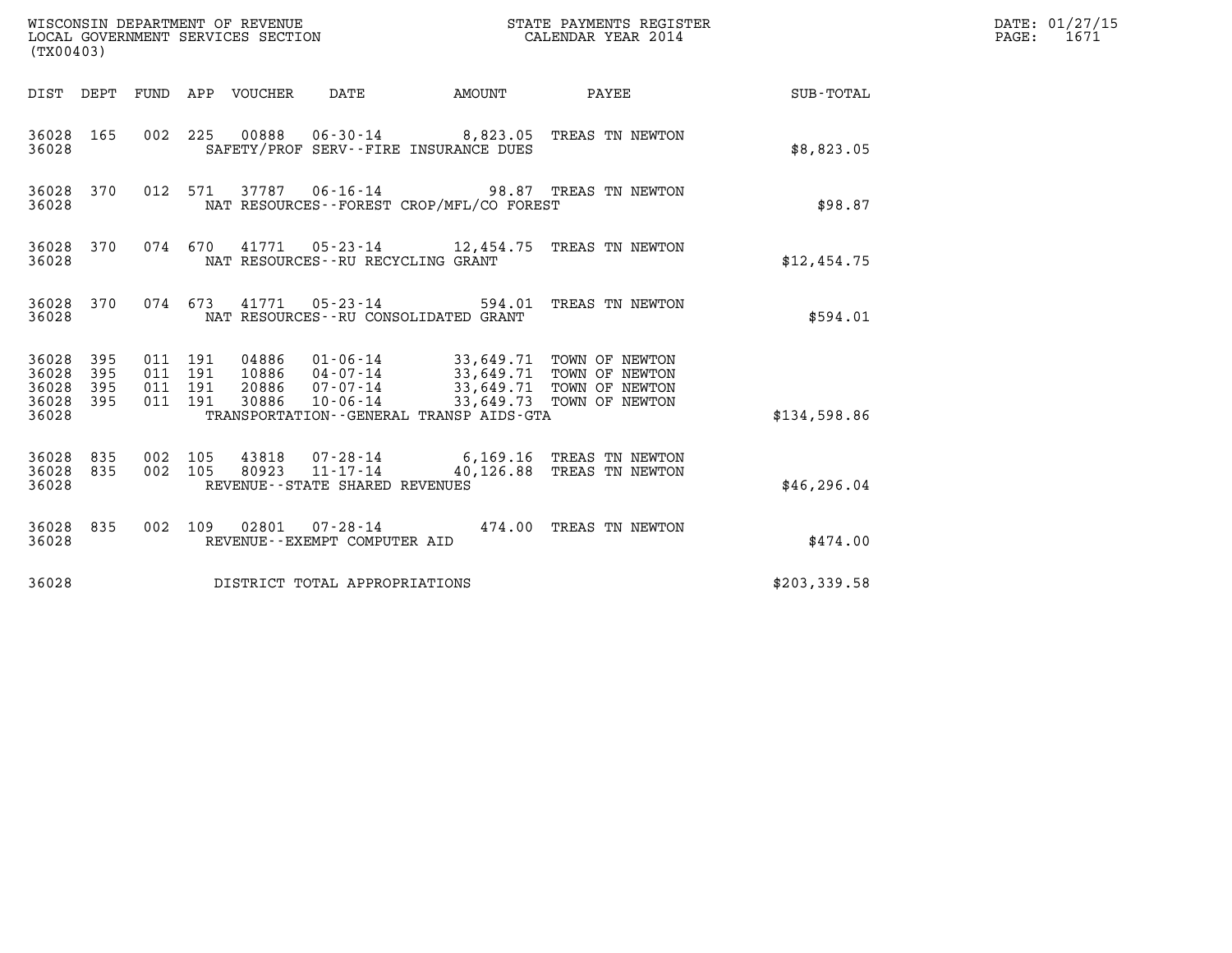| (TX00403)                                     |                   |                    |                    |                                  | WISCONSIN DEPARTMENT OF REVENUE<br>LOCAL GOVERNMENT SERVICES SECTION |                                          | STATE PAYMENTS REGISTER<br>CALENDAR YEAR 2014                                                                         |              | DATE: 01/27/15<br>$\mathtt{PAGE}$ :<br>1671 |
|-----------------------------------------------|-------------------|--------------------|--------------------|----------------------------------|----------------------------------------------------------------------|------------------------------------------|-----------------------------------------------------------------------------------------------------------------------|--------------|---------------------------------------------|
|                                               |                   |                    |                    | DIST DEPT FUND APP VOUCHER       | DATE                                                                 | <b>EXAMPLE THE AMOUNT</b>                | PAYEE                                                                                                                 | SUB-TOTAL    |                                             |
| 36028 165<br>36028                            |                   |                    |                    |                                  | SAFETY/PROF SERV--FIRE INSURANCE DUES                                |                                          | 002 225 00888 06-30-14 8,823.05 TREAS TN NEWTON                                                                       | \$8,823.05   |                                             |
| 36028 370<br>36028                            |                   |                    |                    |                                  |                                                                      | NAT RESOURCES--FOREST CROP/MFL/CO FOREST | 012 571 37787 06-16-14 98.87 TREAS TN NEWTON                                                                          | \$98.87      |                                             |
| 36028 370<br>36028                            |                   |                    | 074 670            |                                  | NAT RESOURCES--RU RECYCLING GRANT                                    |                                          | 41771  05-23-14  12,454.75  TREAS TN NEWTON                                                                           | \$12,454.75  |                                             |
| 36028 370<br>36028                            |                   |                    |                    |                                  | NAT RESOURCES - - RU CONSOLIDATED GRANT                              |                                          | 074 673 41771 05-23-14 594.01 TREAS TN NEWTON                                                                         | \$594.01     |                                             |
| 36028 395<br>36028<br>36028<br>36028<br>36028 | 395<br>395<br>395 | 011 191<br>011 191 | 011 191<br>011 191 | 04886<br>10886<br>20886<br>30886 | 04-07-14<br>07-07-14<br>$10 - 06 - 14$                               | TRANSPORTATION--GENERAL TRANSP AIDS-GTA  | 01-06-14 33,649.71 TOWN OF NEWTON<br>33,649.71 TOWN OF NEWTON<br>33,649.71 TOWN OF NEWTON<br>33,649.73 TOWN OF NEWTON | \$134,598.86 |                                             |
| 36028 835<br>36028<br>36028                   | 835               | 002 105<br>002 105 |                    | 43818<br>80923                   | 07-28-14<br>11-17-14<br>REVENUE - - STATE SHARED REVENUES            |                                          | 6,169.16 TREAS TN NEWTON<br>40,126.88 TREAS TN NEWTON                                                                 | \$46, 296.04 |                                             |
| 36028 835<br>36028                            |                   |                    |                    |                                  | REVENUE--EXEMPT COMPUTER AID                                         |                                          | 002 109 02801 07-28-14 474.00 TREAS TN NEWTON                                                                         | \$474.00     |                                             |
| 36028                                         |                   |                    |                    |                                  | DISTRICT TOTAL APPROPRIATIONS                                        |                                          |                                                                                                                       | \$203,339.58 |                                             |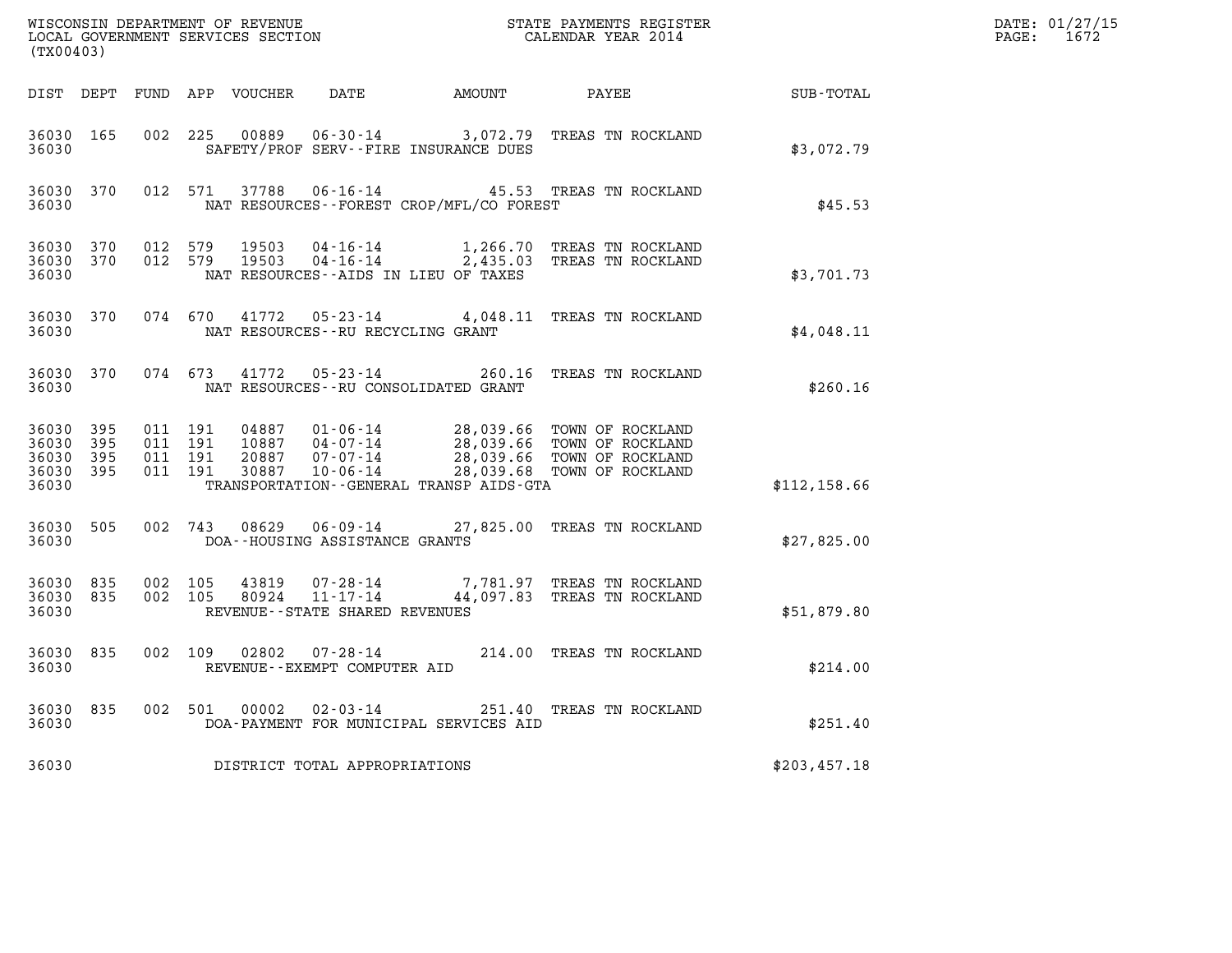| (TX00403)                                         |            |         |                               | WISCONSIN DEPARTMENT OF REVENUE<br>LOCAL GOVERNMENT SERVICES SECTION |                                                        |                                              | STATE PAYMENTS REGISTER<br>CALENDAR YEAR 2014                                                                                                                                                                                                                          |              | DATE: 01/27/15<br>PAGE: 1672 |
|---------------------------------------------------|------------|---------|-------------------------------|----------------------------------------------------------------------|--------------------------------------------------------|----------------------------------------------|------------------------------------------------------------------------------------------------------------------------------------------------------------------------------------------------------------------------------------------------------------------------|--------------|------------------------------|
|                                                   |            |         |                               | DIST DEPT FUND APP VOUCHER                                           |                                                        |                                              | DATE AMOUNT PAYEE                                                                                                                                                                                                                                                      | SUB-TOTAL    |                              |
| 36030 165<br>36030                                |            |         | 002 225                       | 00889                                                                |                                                        | SAFETY/PROF SERV--FIRE INSURANCE DUES        | 06-30-14 3,072.79 TREAS TN ROCKLAND                                                                                                                                                                                                                                    | \$3,072.79   |                              |
| 36030 370<br>36030                                |            |         |                               |                                                                      |                                                        | NAT RESOURCES -- FOREST CROP/MFL/CO FOREST   | 012 571 37788 06-16-14 45.53 TREAS TN ROCKLAND                                                                                                                                                                                                                         | \$45.53      |                              |
| 36030 370<br>36030 370<br>36030                   |            |         | 012 579<br>012 579            |                                                                      |                                                        | NAT RESOURCES--AIDS IN LIEU OF TAXES         | 19503  04-16-14   1,266.70 TREAS TN ROCKLAND<br>19503  04-16-14   2,435.03 TREAS TN ROCKLAND                                                                                                                                                                           | \$3,701.73   |                              |
| 36030 370<br>36030                                |            |         | 074 670                       | 41772                                                                | NAT RESOURCES--RU RECYCLING GRANT                      |                                              | 05-23-14 4,048.11 TREAS TN ROCKLAND                                                                                                                                                                                                                                    | \$4,048.11   |                              |
| 36030                                             | 36030 370  |         | 074 673                       |                                                                      | 41772 05-23-14                                         | NAT RESOURCES - - RU CONSOLIDATED GRANT      | 260.16 TREAS TN ROCKLAND                                                                                                                                                                                                                                               | \$260.16     |                              |
| 36030 395<br>36030<br>36030<br>36030 395<br>36030 | 395<br>395 | 011 191 | 011 191<br>011 191<br>011 191 | 30887                                                                | $10 - 06 - 14$                                         | TRANSPORTATION - - GENERAL TRANSP AIDS - GTA | 04887  01-06-14  28,039.66  TOWN OF ROCKLAND<br>10887  04-07-14  28,039.66  TOWN OF ROCKLAND<br>20887  07-07-14  28,039.66  TOWN OF ROCKLAND<br>28,039.68 TOWN OF ROCKLAND                                                                                             | \$112,158.66 |                              |
| 36030 505<br>36030                                |            |         | 002 743                       |                                                                      | DOA--HOUSING ASSISTANCE GRANTS                         |                                              | 08629  06-09-14  27,825.00  TREAS TN ROCKLAND                                                                                                                                                                                                                          | \$27,825.00  |                              |
| 36030 835<br>36030 835<br>36030                   |            |         | 002 105<br>002 105            | 43819<br>80924                                                       | REVENUE--STATE SHARED REVENUES                         |                                              | $0.7 - 28 - 14$<br>$1.1 - 1.7 - 14$<br>$7.781.97$<br>$7.93$<br>$7.781.97$<br>$7.781.97$<br>$7.781.97$<br>$7.781.97$<br>$7.781.97$<br>$7.781.97$<br>$7.781.97$<br>$7.781.97$<br>$7.781.97$<br>$7.781.97$<br>$7.781.97$<br>$7.781.97$<br>$7.781.97$<br>$7.781.97$<br>$7$ | \$51,879.80  |                              |
| 36030 835<br>36030                                |            |         |                               |                                                                      | 002 109 02802 07-28-14<br>REVENUE--EXEMPT COMPUTER AID |                                              | 214.00 TREAS TN ROCKLAND                                                                                                                                                                                                                                               | \$214.00     |                              |
| 36030 835<br>36030                                |            |         |                               |                                                                      |                                                        | DOA-PAYMENT FOR MUNICIPAL SERVICES AID       | 002 501 00002 02-03-14 251.40 TREAS TN ROCKLAND                                                                                                                                                                                                                        | \$251.40     |                              |
| 36030                                             |            |         |                               |                                                                      | DISTRICT TOTAL APPROPRIATIONS                          |                                              |                                                                                                                                                                                                                                                                        | \$203,457.18 |                              |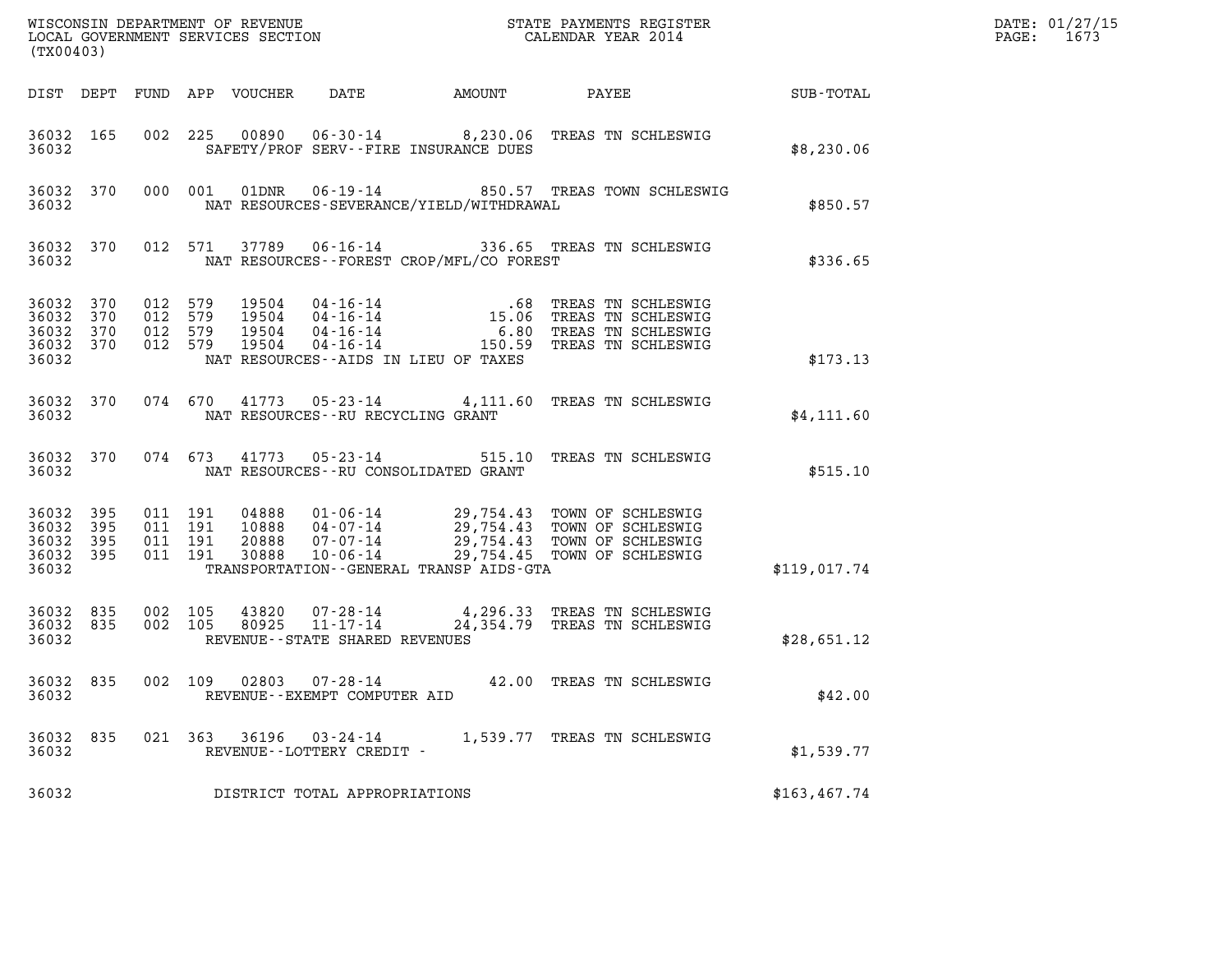| (TX00403)                                             |            |                                          |                                                        |                                                                 |                                              |                                                                                                                                            |                  | DATE: 01/27/15<br>$\mathtt{PAGE:}$<br>1673 |
|-------------------------------------------------------|------------|------------------------------------------|--------------------------------------------------------|-----------------------------------------------------------------|----------------------------------------------|--------------------------------------------------------------------------------------------------------------------------------------------|------------------|--------------------------------------------|
|                                                       |            |                                          | DIST DEPT FUND APP VOUCHER                             | DATE                                                            | AMOUNT                                       | PAYEE                                                                                                                                      | <b>SUB-TOTAL</b> |                                            |
| 36032 165<br>36032                                    |            |                                          |                                                        | SAFETY/PROF SERV--FIRE INSURANCE DUES                           |                                              | 002 225 00890 06-30-14 8,230.06 TREAS TN SCHLESWIG                                                                                         | \$8,230.06       |                                            |
| 36032 370<br>36032                                    |            |                                          | 000 001<br>01DNR                                       |                                                                 | NAT RESOURCES-SEVERANCE/YIELD/WITHDRAWAL     | 06-19-14 650.57 TREAS TOWN SCHLESWIG                                                                                                       | \$850.57         |                                            |
| 36032 370<br>36032                                    |            |                                          | 012 571<br>37789                                       |                                                                 | NAT RESOURCES--FOREST CROP/MFL/CO FOREST     | 06-16-14 336.65 TREAS TN SCHLESWIG                                                                                                         | \$336.65         |                                            |
| 36032 370<br>36032<br>36032<br>36032 370<br>36032     | 370<br>370 | 012 579<br>012 579<br>012 579<br>012 579 |                                                        | NAT RESOURCES--AIDS IN LIEU OF TAXES                            |                                              |                                                                                                                                            | \$173.13         |                                            |
| 36032 370<br>36032                                    |            |                                          | 074 670                                                | NAT RESOURCES - - RU RECYCLING GRANT                            |                                              | 41773  05-23-14  4,111.60  TREAS TN SCHLESWIG                                                                                              | \$4,111.60       |                                            |
| 36032 370<br>36032                                    |            | 074 673                                  | 41773                                                  | $05 - 23 - 14$<br>NAT RESOURCES - - RU CONSOLIDATED GRANT       |                                              | 515.10 TREAS TN SCHLESWIG                                                                                                                  | \$515.10         |                                            |
| 36032 395<br>36032 395<br>36032<br>36032 395<br>36032 | 395        | 011 191<br>011 191                       | 011 191<br>04888<br>10888<br>20888<br>011 191<br>30888 | 07-07-14<br>$10 - 06 - 14$                                      | TRANSPORTATION - - GENERAL TRANSP AIDS - GTA | 01-06-14 29,754.43 TOWN OF SCHLESWIG<br>04-07-14 29,754.43 TOWN OF SCHLESWIG<br>29,754.43 TOWN OF SCHLESWIG<br>29,754.45 TOWN OF SCHLESWIG | \$119,017.74     |                                            |
| 36032 835<br>36032 835<br>36032                       |            | 002 105<br>002 105                       | 43820<br>80925                                         | 07-28-14<br>$11 - 17 - 14$<br>REVENUE - - STATE SHARED REVENUES |                                              | 4,296.33 TREAS TN SCHLESWIG<br>24,354.79 TREAS TN SCHLESWIG                                                                                | \$28,651.12      |                                            |
| 36032 835<br>36032                                    |            | 002 109                                  |                                                        | $02803$ $07 - 28 - 14$<br>REVENUE--EXEMPT COMPUTER AID          |                                              | 42.00 TREAS TN SCHLESWIG                                                                                                                   | \$42.00          |                                            |
| 36032 835<br>36032                                    |            |                                          |                                                        | 021 363 36196 03-24-14<br>REVENUE--LOTTERY CREDIT -             |                                              | 1,539.77 TREAS TN SCHLESWIG                                                                                                                | \$1,539.77       |                                            |
| 36032                                                 |            |                                          |                                                        | DISTRICT TOTAL APPROPRIATIONS                                   |                                              |                                                                                                                                            | \$163, 467.74    |                                            |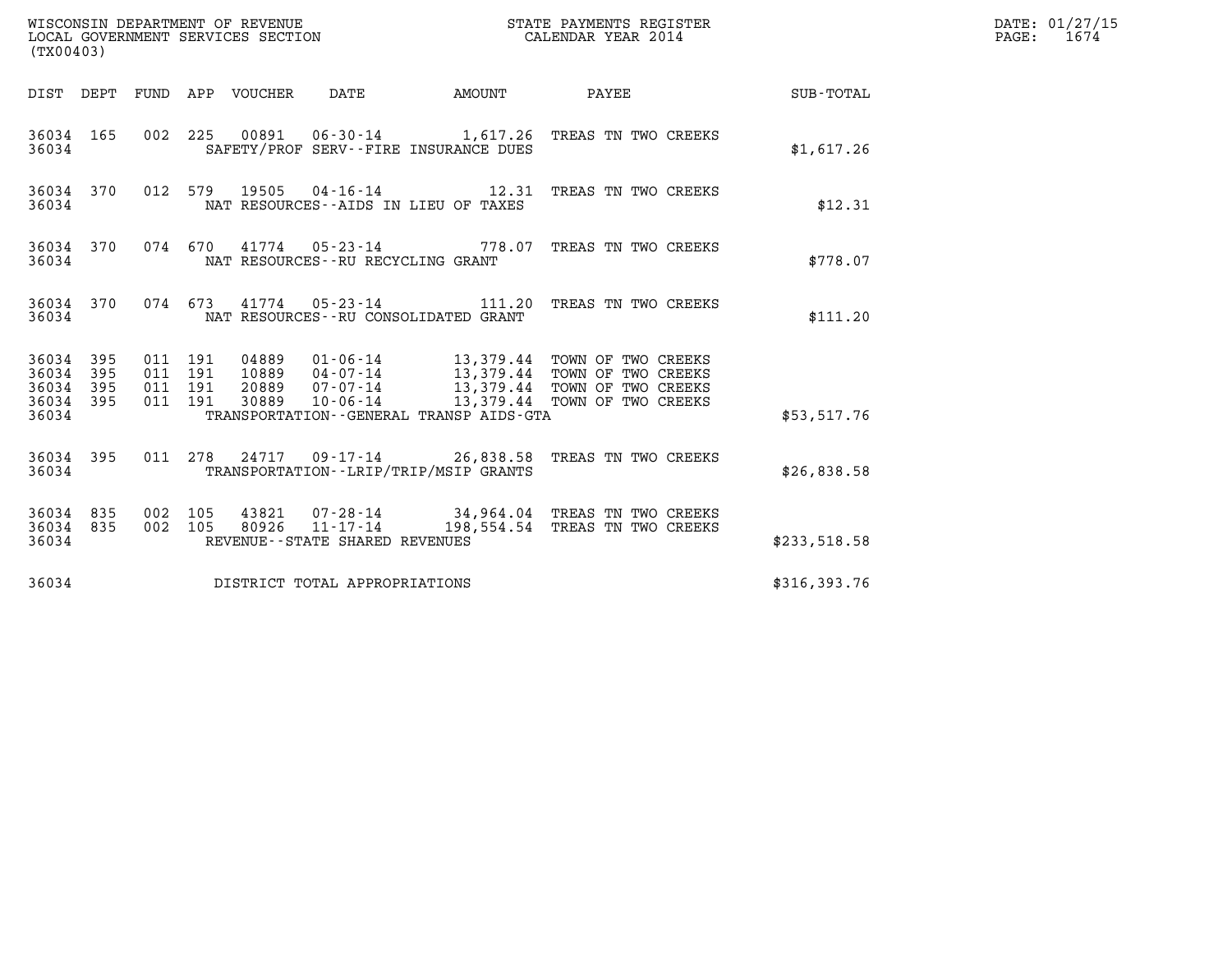| (TX00403)                                         |            |                    |                    |                                 | WISCONSIN DEPARTMENT OF REVENUE<br>LOCAL GOVERNMENT SERVICES SECTION |                                         | STATE PAYMENTS REGISTER<br>CALENDAR YEAR 2014                                                                                                                                             |              | DATE: 01/27/15<br>$\mathtt{PAGE:}$<br>1674 |
|---------------------------------------------------|------------|--------------------|--------------------|---------------------------------|----------------------------------------------------------------------|-----------------------------------------|-------------------------------------------------------------------------------------------------------------------------------------------------------------------------------------------|--------------|--------------------------------------------|
|                                                   |            |                    |                    | DIST DEPT FUND APP VOUCHER DATE |                                                                      | <b>EXAMPLE THE PROPERTY OF STATE</b>    | PAYEE                                                                                                                                                                                     | SUB-TOTAL    |                                            |
| 36034 165<br>36034                                |            |                    |                    |                                 | SAFETY/PROF SERV--FIRE INSURANCE DUES                                |                                         | 002 225 00891 06-30-14 1,617.26 TREAS TN TWO CREEKS                                                                                                                                       | \$1,617.26   |                                            |
| 36034                                             | 36034 370  |                    |                    | 012 579 19505                   | NAT RESOURCES--AIDS IN LIEU OF TAXES                                 |                                         | 04-16-14 12.31 TREAS TN TWO CREEKS                                                                                                                                                        | \$12.31      |                                            |
| 36034 370<br>36034                                |            |                    |                    |                                 | NAT RESOURCES--RU RECYCLING GRANT                                    |                                         | 074 670 41774 05-23-14 778.07 TREAS TN TWO CREEKS                                                                                                                                         | \$778.07     |                                            |
| 36034                                             | 36034 370  |                    |                    |                                 | NAT RESOURCES - - RU CONSOLIDATED GRANT                              |                                         | 074 673 41774 05-23-14 111.20 TREAS TN TWO CREEKS                                                                                                                                         | \$111.20     |                                            |
| 36034 395<br>36034<br>36034<br>36034 395<br>36034 | 395<br>395 | 011 191<br>011 191 | 011 191<br>011 191 | 04889                           |                                                                      | TRANSPORTATION--GENERAL TRANSP AIDS-GTA | 01-06-14 13,379.44 TOWN OF TWO CREEKS<br>10889  04-07-14  13,379.44  TOWN OF TWO CREEKS<br>20889  07-07-14  13,379.44  TOWN OF TWO CREEKS  30889  10-06-14  13,379.44  TOWN OF TWO CREEKS | \$53,517.76  |                                            |
| 36034                                             | 36034 395  |                    |                    |                                 | TRANSPORTATION - - LRIP/TRIP/MSIP GRANTS                             |                                         | 011  278  24717  09-17-14  26,838.58  TREAS  TW  CREEKS                                                                                                                                   | \$26,838.58  |                                            |
| 36034 835<br>36034 835<br>36034                   |            | 002 105            | 002 105            |                                 | REVENUE - - STATE SHARED REVENUES                                    |                                         | 43821 07-28-14 34,964.04 TREAS TN TWO CREEKS<br>80926  11-17-14  198,554.54  TREAS TN TWO CREEKS                                                                                          | \$233,518.58 |                                            |
| 36034                                             |            |                    |                    |                                 | DISTRICT TOTAL APPROPRIATIONS                                        |                                         |                                                                                                                                                                                           | \$316,393.76 |                                            |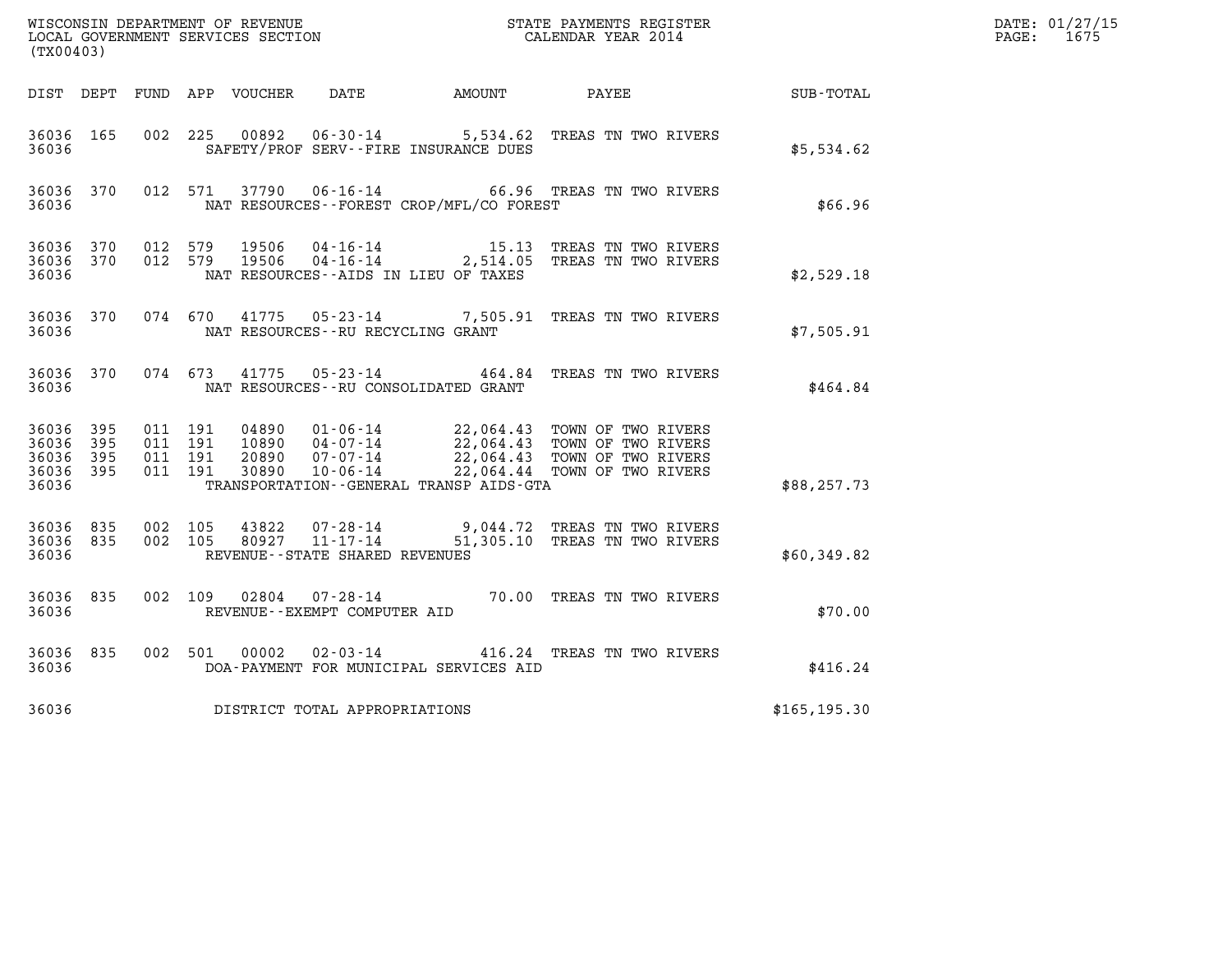|                                           |                              |                                          | WISCONSIN DEPARTMENT OF REVENUE<br>LOCAL GOVERNMENT SERVICES SECTION |                                                              |                                              | STATE PAYMENTS REGISTER<br>CALENDAR YEAR 2014                                                                                |               | DATE: 01/27/15<br>PAGE: 1675 |
|-------------------------------------------|------------------------------|------------------------------------------|----------------------------------------------------------------------|--------------------------------------------------------------|----------------------------------------------|------------------------------------------------------------------------------------------------------------------------------|---------------|------------------------------|
| (TX00403)                                 |                              |                                          |                                                                      |                                                              |                                              |                                                                                                                              |               |                              |
|                                           |                              |                                          | DIST DEPT FUND APP VOUCHER DATE                                      |                                                              | AMOUNT                                       | PAYEE                                                                                                                        | SUB-TOTAL     |                              |
| 36036 165<br>36036                        |                              | 002 225                                  | 00892                                                                |                                                              | SAFETY/PROF SERV--FIRE INSURANCE DUES        | 06-30-14 5,534.62 TREAS TN TWO RIVERS                                                                                        | \$5,534.62    |                              |
| 36036 370<br>36036                        |                              | 012 571                                  |                                                                      | 37790 06-16-14                                               | NAT RESOURCES - - FOREST CROP/MFL/CO FOREST  | 66.96 TREAS TN TWO RIVERS                                                                                                    | \$66.96       |                              |
| 36036 370<br>36036<br>36036               | 370                          | 012 579<br>012 579                       | 19506<br>19506                                                       | 04-16-14                                                     | NAT RESOURCES--AIDS IN LIEU OF TAXES         | 15.13 TREAS TN TWO RIVERS<br>04-16-14 2,514.05 TREAS TN TWO RIVERS                                                           | \$2,529.18    |                              |
| 36036 370<br>36036                        |                              |                                          |                                                                      | NAT RESOURCES - - RU RECYCLING GRANT                         |                                              | 074 670 41775 05-23-14 7,505.91 TREAS TN TWO RIVERS                                                                          | \$7,505.91    |                              |
| 36036 370<br>36036                        |                              | 074 673                                  | 41775                                                                | 05-23-14                                                     | NAT RESOURCES - - RU CONSOLIDATED GRANT      | 464.84 TREAS TN TWO RIVERS                                                                                                   | \$464.84      |                              |
| 36036<br>36036<br>36036<br>36036<br>36036 | - 395<br>395<br>395<br>- 395 | 011 191<br>011 191<br>011 191<br>011 191 | 04890<br>10890<br>20890<br>30890                                     | $01 - 06 - 14$<br>04-07-14<br>$07 - 07 - 14$<br>10-06-14     | TRANSPORTATION - - GENERAL TRANSP AIDS - GTA | 22,064.43 TOWN OF TWO RIVERS<br>22,064.43 TOWN OF TWO RIVERS<br>22,064.43 TOWN OF TWO RIVERS<br>22,064.44 TOWN OF TWO RIVERS | \$88, 257.73  |                              |
| 36036<br>36036 835<br>36036               | 835                          | 002 105<br>002 105                       | 43822                                                                | 07-28-14<br>80927 11-17-14<br>REVENUE--STATE SHARED REVENUES |                                              | 9,044.72 TREAS TN TWO RIVERS<br>51,305.10 TREAS TN TWO RIVERS                                                                | \$60,349.82   |                              |
| 36036 835<br>36036                        |                              | 002 109                                  | 02804                                                                | 07-28-14<br>REVENUE--EXEMPT COMPUTER AID                     |                                              | 70.00 TREAS TN TWO RIVERS                                                                                                    | \$70.00       |                              |
| 36036 835<br>36036                        |                              | 002 501                                  | 00002                                                                | $02 - 03 - 14$                                               | DOA-PAYMENT FOR MUNICIPAL SERVICES AID       | 416.24 TREAS TN TWO RIVERS                                                                                                   | \$416.24      |                              |
| 36036                                     |                              |                                          |                                                                      | DISTRICT TOTAL APPROPRIATIONS                                |                                              |                                                                                                                              | \$165, 195.30 |                              |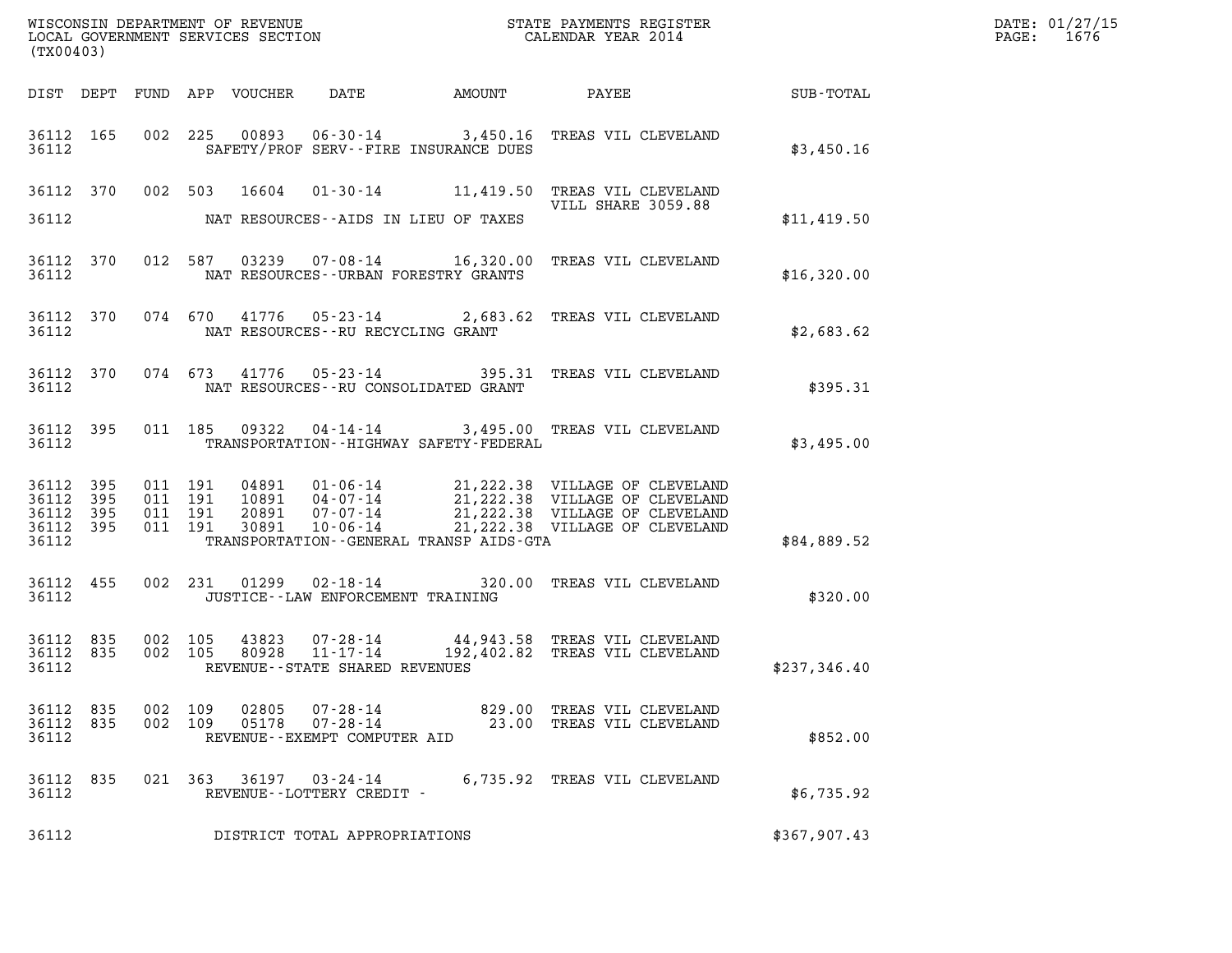| (TX00403)                       |                    |                |                                            |                                                                                                                                                                                                                                                                                                                                 |              | WISCONSIN DEPARTMENT OF REVENUE<br>LOCAL GOVERNMENT SERVICES SECTION<br>CALENDAR YEAR 2014<br>CALENDAR YEAR 2014 |
|---------------------------------|--------------------|----------------|--------------------------------------------|---------------------------------------------------------------------------------------------------------------------------------------------------------------------------------------------------------------------------------------------------------------------------------------------------------------------------------|--------------|------------------------------------------------------------------------------------------------------------------|
|                                 |                    |                |                                            |                                                                                                                                                                                                                                                                                                                                 |              |                                                                                                                  |
| 36112                           |                    |                | SAFETY/PROF SERV--FIRE INSURANCE DUES      | 36112 165 002 225 00893 06-30-14 3,450.16 TREAS VIL CLEVELAND                                                                                                                                                                                                                                                                   | \$3,450.16   |                                                                                                                  |
|                                 |                    |                | 36112 NAT RESOURCES--AIDS IN LIEU OF TAXES | 36112 370 002 503 16604 01-30-14 11,419.50 TREAS VIL CLEVELAND<br>VILL SHARE 3059.88                                                                                                                                                                                                                                            | \$11,419.50  |                                                                                                                  |
|                                 |                    |                | 36112 NAT RESOURCES--URBAN FORESTRY GRANTS | 36112 370 012 587 03239 07-08-14 16,320.00 TREAS VIL CLEVELAND                                                                                                                                                                                                                                                                  | \$16,320.00  |                                                                                                                  |
|                                 |                    |                | 36112 NAT RESOURCES--RU RECYCLING GRANT    | 36112 370 074 670 41776 05-23-14 2,683.62 TREAS VIL CLEVELAND                                                                                                                                                                                                                                                                   | \$2,683.62   |                                                                                                                  |
|                                 |                    |                | 36112 NAT RESOURCES--RU CONSOLIDATED GRANT | 36112 370 074 673 41776 05-23-14 395.31 TREAS VIL CLEVELAND                                                                                                                                                                                                                                                                     | \$395.31     |                                                                                                                  |
| 36112                           |                    |                |                                            | 36112 395 011 185 09322 04-14-14 3,495.00 TREAS VIL CLEVELAND<br>TRANSPORTATION - - HIGHWAY SAFETY - FEDERAL                                                                                                                                                                                                                    | \$3,495.00   |                                                                                                                  |
| 36112                           |                    |                | TRANSPORTATION--GENERAL TRANSP AIDS-GTA    | $\begin{array}{cccccccc} 3\,6\,112 & 395 & 011 & 191 & 04\,891 & 01\cdot 06\cdot 14 & 21\,, 222\,.38 & \text{VILLAGE OF CLEVELAND} \\ 3\,6\,112 & 395 & 011 & 191 & 10891 & 04\cdot 07\cdot 14 & 21\,, 222\,.38 & \text{VILLAGE OF CLEVELAND} \\ 3\,6\,112 & 395 & 011 & 191 & 20891 & 07\cdot 07\cdot 14 & 21\,, 222\,.38 & \$ | \$84,889.52  |                                                                                                                  |
|                                 |                    |                | 36112 JUSTICE - LAW ENFORCEMENT TRAINING   | 36112 455 002 231 01299 02-18-14 320.00 TREAS VIL CLEVELAND                                                                                                                                                                                                                                                                     | \$320.00     |                                                                                                                  |
| 36112                           |                    |                | REVENUE--STATE SHARED REVENUES             | 36112 835 002 105 43823 07-28-14 44,943.58 TREAS VIL CLEVELAND<br>36112 835 002 105 80928 11-17-14 192,402.82 TREAS VIL CLEVELAND                                                                                                                                                                                               | \$237,346.40 |                                                                                                                  |
| 36112 835<br>36112 835<br>36112 | 002 109<br>002 109 | 02805<br>05178 | 07-28-14<br>REVENUE--EXEMPT COMPUTER AID   | 07-28-14 629.00 TREAS VIL CLEVELAND<br>23.00 TREAS VIL CLEVELAND                                                                                                                                                                                                                                                                | \$852.00     |                                                                                                                  |
| 36112 835<br>36112              |                    |                | REVENUE--LOTTERY CREDIT -                  | 021  363  36197  03-24-14  6,735.92  TREAS VIL CLEVELAND                                                                                                                                                                                                                                                                        | \$6,735.92   |                                                                                                                  |
| 36112                           |                    |                | DISTRICT TOTAL APPROPRIATIONS              |                                                                                                                                                                                                                                                                                                                                 | \$367,907.43 |                                                                                                                  |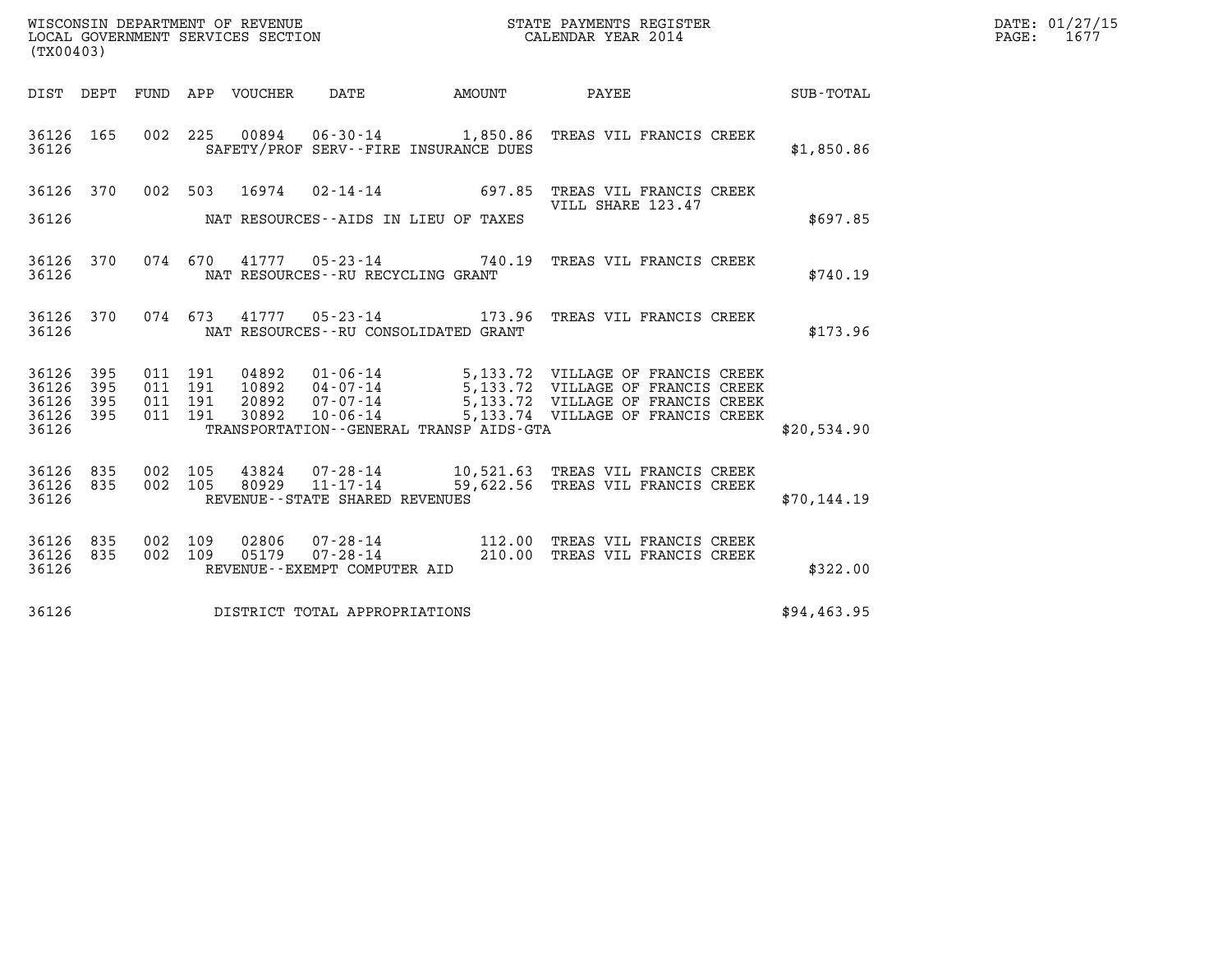| (TX00403)                                    |     |                                          |                |                                   |                                         | WISCONSIN DEPARTMENT OF REVENUE<br>LOCAL GOVERNMENT SERVICES SECTION<br>CALENDAR YEAR 2014                                                                                                                               | $\mathbb{R}^n$ | DATE: 01/27/15<br>PAGE: 1677 |
|----------------------------------------------|-----|------------------------------------------|----------------|-----------------------------------|-----------------------------------------|--------------------------------------------------------------------------------------------------------------------------------------------------------------------------------------------------------------------------|----------------|------------------------------|
|                                              |     |                                          |                |                                   |                                         | DIST DEPT FUND APP VOUCHER DATE AMOUNT PAYEE SUB-TOTAL                                                                                                                                                                   |                |                              |
| 36126 165<br>36126                           |     |                                          |                |                                   | SAFETY/PROF SERV--FIRE INSURANCE DUES   | 002 225 00894 06-30-14 1,850.86 TREAS VIL FRANCIS CREEK                                                                                                                                                                  | \$1,850.86     |                              |
| 36126 370                                    |     |                                          |                |                                   |                                         | 002 503 16974 02-14-14 697.85 TREAS VIL FRANCIS CREEK                                                                                                                                                                    |                |                              |
| 36126                                        |     |                                          |                |                                   | NAT RESOURCES--AIDS IN LIEU OF TAXES    | VILL SHARE 123.47                                                                                                                                                                                                        | \$697.85       |                              |
| 36126 370<br>36126                           |     |                                          |                | NAT RESOURCES--RU RECYCLING GRANT |                                         | 074 670 41777 05-23-14 740.19 TREAS VIL FRANCIS CREEK                                                                                                                                                                    | \$740.19       |                              |
| 36126 370<br>36126                           |     |                                          |                |                                   | NAT RESOURCES - - RU CONSOLIDATED GRANT | 074 673 41777 05-23-14 173.96 TREAS VIL FRANCIS CREEK                                                                                                                                                                    | \$173.96       |                              |
| 36126 395<br>36126<br>36126 395<br>36126 395 | 395 | 011 191<br>011 191<br>011 191<br>011 191 |                |                                   |                                         | 04892  01-06-14  5,133.72  VILLAGE OF FRANCIS CREEK<br>10892  04-07-14  5,133.72  VILLAGE OF FRANCIS CREEK<br>20892  07-07-14  5,133.72  VILLAGE OF FRANCIS CREEK<br>30892  10-06-14  5,133.74  VILLAGE OF FRANCIS CREEK |                |                              |
| 36126                                        |     |                                          |                |                                   | TRANSPORTATION--GENERAL TRANSP AIDS-GTA |                                                                                                                                                                                                                          | \$20,534.90    |                              |
| 36126 835<br>36126 835<br>36126              |     | 002 105<br>002 105                       |                | REVENUE--STATE SHARED REVENUES    |                                         | 43824  07-28-14   10,521.63   TREAS VIL FRANCIS CREEK<br>80929   11-17-14   59,622.56   TREAS VIL FRANCIS CREEK                                                                                                          | \$70, 144.19   |                              |
| 36126 835<br>36126 835<br>36126              |     | 002 109<br>002 109                       | 02806<br>05179 | REVENUE--EXEMPT COMPUTER AID      |                                         | 07-28-14 112.00 TREAS VIL FRANCIS CREEK<br>07-28-14 210.00 TREAS VIL FRANCIS CREEK                                                                                                                                       | \$322.00       |                              |
| 36126                                        |     |                                          |                | DISTRICT TOTAL APPROPRIATIONS     |                                         |                                                                                                                                                                                                                          | \$94,463.95    |                              |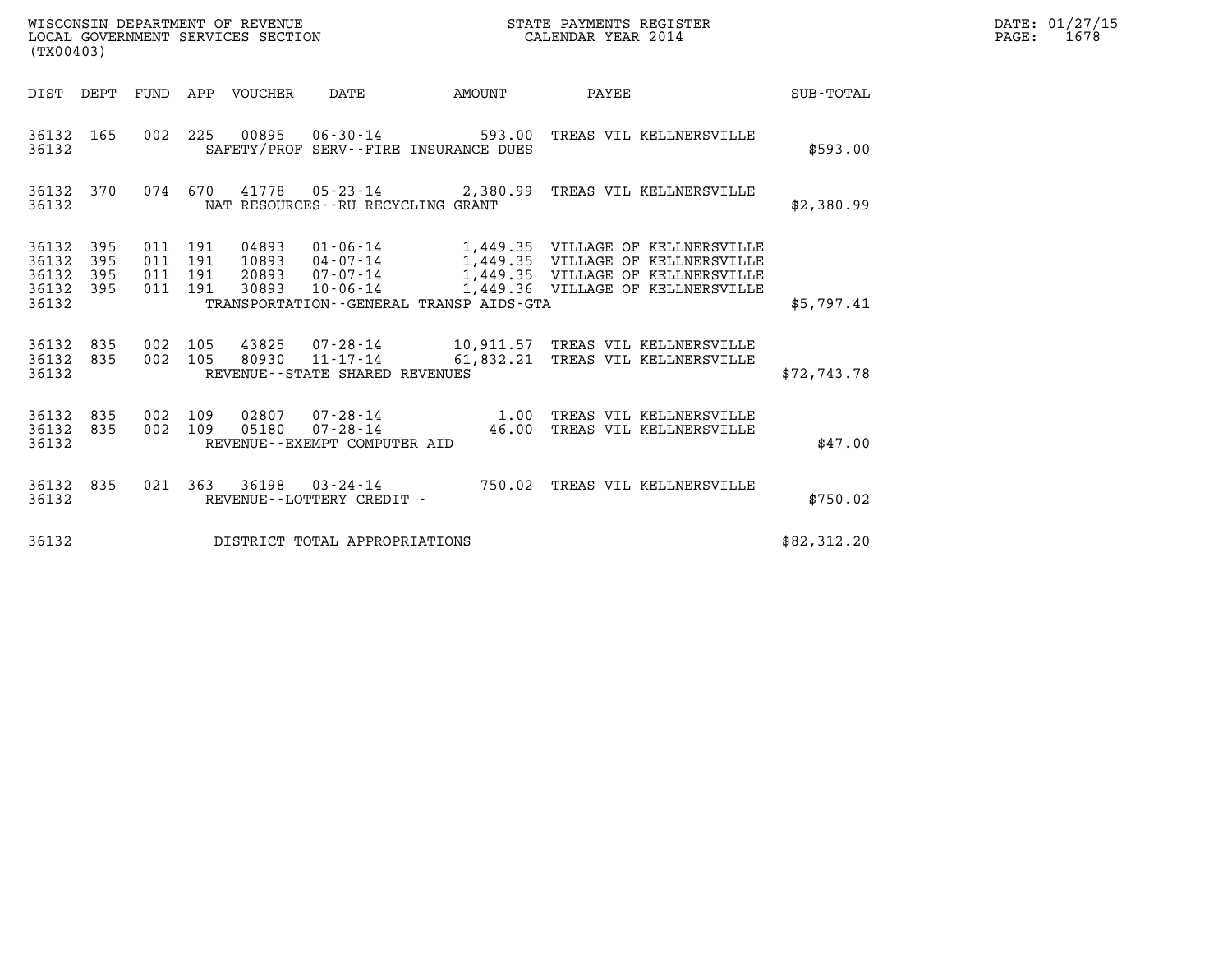| WISCONSIN DEPARTMENT OF REVENUE   | STATE PAYMENTS REGISTER | DATE: 01/27/15 |
|-----------------------------------|-------------------------|----------------|
| LOCAL GOVERNMENT SERVICES SECTION | CALENDAR YEAR 2014      | 1678<br>PAGE:  |

|                                           | WISCONSIN DEPARTMENT OF REVENUE<br>STATE PAYMENTS REGISTER<br>LOCAL GOVERNMENT SERVICES SECTION<br>CALENDAR YEAR 2014<br>(TX00403) |                          |                          |                                  |                                                                                               |           |                                                                                                                                                  |                  |  |  |
|-------------------------------------------|------------------------------------------------------------------------------------------------------------------------------------|--------------------------|--------------------------|----------------------------------|-----------------------------------------------------------------------------------------------|-----------|--------------------------------------------------------------------------------------------------------------------------------------------------|------------------|--|--|
| DIST                                      | DEPT                                                                                                                               | FUND                     | APP                      | <b>VOUCHER</b>                   | DATE                                                                                          | AMOUNT    | PAYEE                                                                                                                                            | <b>SUB-TOTAL</b> |  |  |
| 36132<br>36132                            | 165                                                                                                                                | 002                      | 225                      | 00895                            | $06 - 30 - 14$<br>SAFETY/PROF SERV--FIRE INSURANCE DUES                                       | 593.00    | TREAS VIL KELLNERSVILLE                                                                                                                          | \$593.00         |  |  |
| 36132<br>36132                            | 370                                                                                                                                | 074                      | 670                      | 41778                            | 05-23-14 2,380.99<br>NAT RESOURCES - - RU RECYCLING GRANT                                     |           | TREAS VIL KELLNERSVILLE                                                                                                                          | \$2,380.99       |  |  |
| 36132<br>36132<br>36132<br>36132<br>36132 | 395<br>395<br>395<br>395                                                                                                           | 011<br>011<br>011<br>011 | 191<br>191<br>191<br>191 | 04893<br>10893<br>20893<br>30893 | $01 - 06 - 14$<br>04-07-14<br>07-07-14<br>10-06-14<br>TRANSPORTATION--GENERAL TRANSP AIDS-GTA |           | 1,449.35 VILLAGE OF KELLNERSVILLE<br>1,449.35 VILLAGE OF KELLNERSVILLE<br>1,449.35 VILLAGE OF KELLNERSVILLE<br>1,449.36 VILLAGE OF KELLNERSVILLE | \$5,797.41       |  |  |
| 36132<br>36132<br>36132                   | 835<br>835                                                                                                                         | 002<br>002               | 105<br>105               | 43825<br>80930                   | 07-28-14<br>$11 - 17 - 14$<br>REVENUE--STATE SHARED REVENUES                                  | 61,832.21 | 10,911.57 TREAS VIL KELLNERSVILLE<br>TREAS VIL KELLNERSVILLE                                                                                     | \$72,743.78      |  |  |
| 36132<br>36132<br>36132                   | 835<br>835                                                                                                                         | 002<br>002               | 109<br>109               | 02807<br>05180                   | $07 - 28 - 14$<br>$07 - 28 - 14$<br>REVENUE--EXEMPT COMPUTER AID                              | 46.00     | 1.00 TREAS VIL KELLNERSVILLE<br>TREAS VIL KELLNERSVILLE                                                                                          | \$47.00          |  |  |
| 36132<br>36132                            | 835                                                                                                                                | 021                      | 363                      | 36198                            | $03 - 24 - 14$<br>REVENUE - - LOTTERY CREDIT -                                                | 750.02    | TREAS VIL KELLNERSVILLE                                                                                                                          | \$750.02         |  |  |
| 36132                                     |                                                                                                                                    |                          |                          |                                  | DISTRICT TOTAL APPROPRIATIONS                                                                 |           |                                                                                                                                                  | \$82,312.20      |  |  |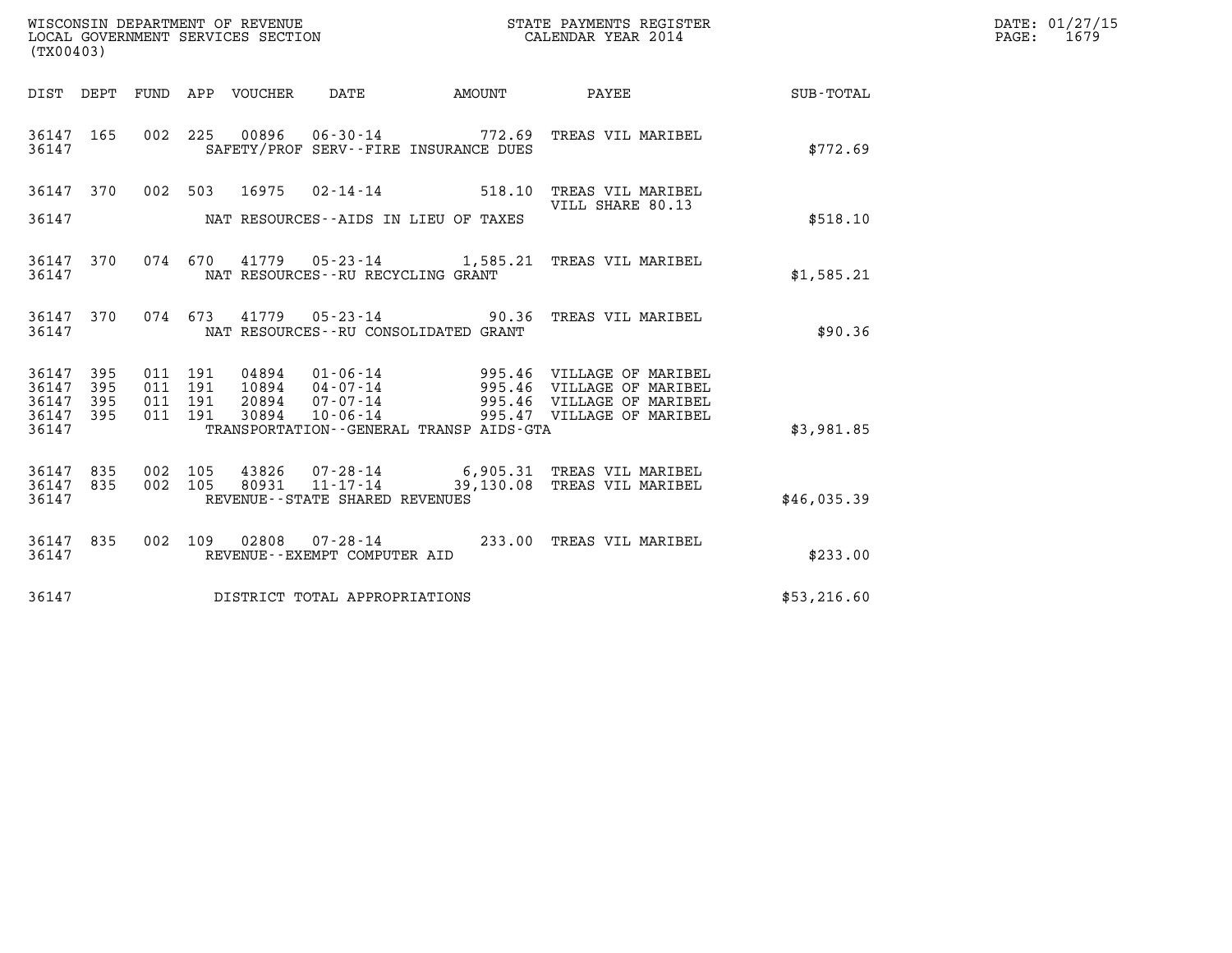| (TX00403)                       |            |                    |         |                |                                                        |                                                                        |                                                                                                                |             | DATE: 01/27/15<br>PAGE: 1679 |
|---------------------------------|------------|--------------------|---------|----------------|--------------------------------------------------------|------------------------------------------------------------------------|----------------------------------------------------------------------------------------------------------------|-------------|------------------------------|
|                                 |            |                    |         |                |                                                        |                                                                        | DIST DEPT FUND APP VOUCHER DATE AMOUNT PAYEE SUB-TOTAL                                                         |             |                              |
| 36147 165<br>36147              |            |                    |         |                |                                                        | 002 225 00896 06-30-14 772.69<br>SAFETY/PROF SERV--FIRE INSURANCE DUES | TREAS VIL MARIBEL                                                                                              | \$772.69    |                              |
|                                 |            |                    |         |                |                                                        |                                                                        | 36147 370 002 503 16975 02-14-14 518.10 TREAS VIL MARIBEL<br>VILL SHARE 80.13                                  |             |                              |
| 36147                           |            |                    |         |                |                                                        | NAT RESOURCES--AIDS IN LIEU OF TAXES                                   |                                                                                                                | \$518.10    |                              |
| 36147 370<br>36147              |            |                    |         |                | NAT RESOURCES -- RU RECYCLING GRANT                    |                                                                        | 074 670 41779 05-23-14 1,585.21 TREAS VIL MARIBEL                                                              | \$1,585.21  |                              |
| 36147 370<br>36147              |            |                    |         |                |                                                        | NAT RESOURCES -- RU CONSOLIDATED GRANT                                 | 074  673  41779  05-23-14  90.36  TREAS VIL MARIBEL                                                            | \$90.36     |                              |
| 36147<br>36147                  | 395<br>395 | 011 191<br>011 191 |         | 04894<br>10894 |                                                        |                                                                        | 01-06-14 995.46 VILLAGE OF MARIBEL<br>04-07-14 995.46 VILLAGE OF MARIBEL<br>07-07-14 995.46 VILLAGE OF MARIBEL |             |                              |
| 36147<br>36147<br>36147         | 395<br>395 | 011 191<br>011 191 |         | 20894<br>30894 | $10 - 06 - 14$                                         | TRANSPORTATION--GENERAL TRANSP AIDS-GTA                                | 995.47 VILLAGE OF MARIBEL                                                                                      | \$3,981.85  |                              |
| 36147 835<br>36147 835<br>36147 |            | 002 105            | 002 105 |                | 80931 $11 - 17 - 14$<br>REVENUE--STATE SHARED REVENUES |                                                                        | 43826  07-28-14  6,905.31  TREAS VIL MARIBEL<br>39,130.08 TREAS VIL MARIBEL                                    | \$46,035.39 |                              |
| 36147 835<br>36147              |            |                    |         |                | REVENUE--EXEMPT COMPUTER AID                           |                                                                        | 002 109 02808 07-28-14 233.00 TREAS VIL MARIBEL                                                                | \$233.00    |                              |
| 36147                           |            |                    |         |                | DISTRICT TOTAL APPROPRIATIONS                          |                                                                        |                                                                                                                | \$53,216.60 |                              |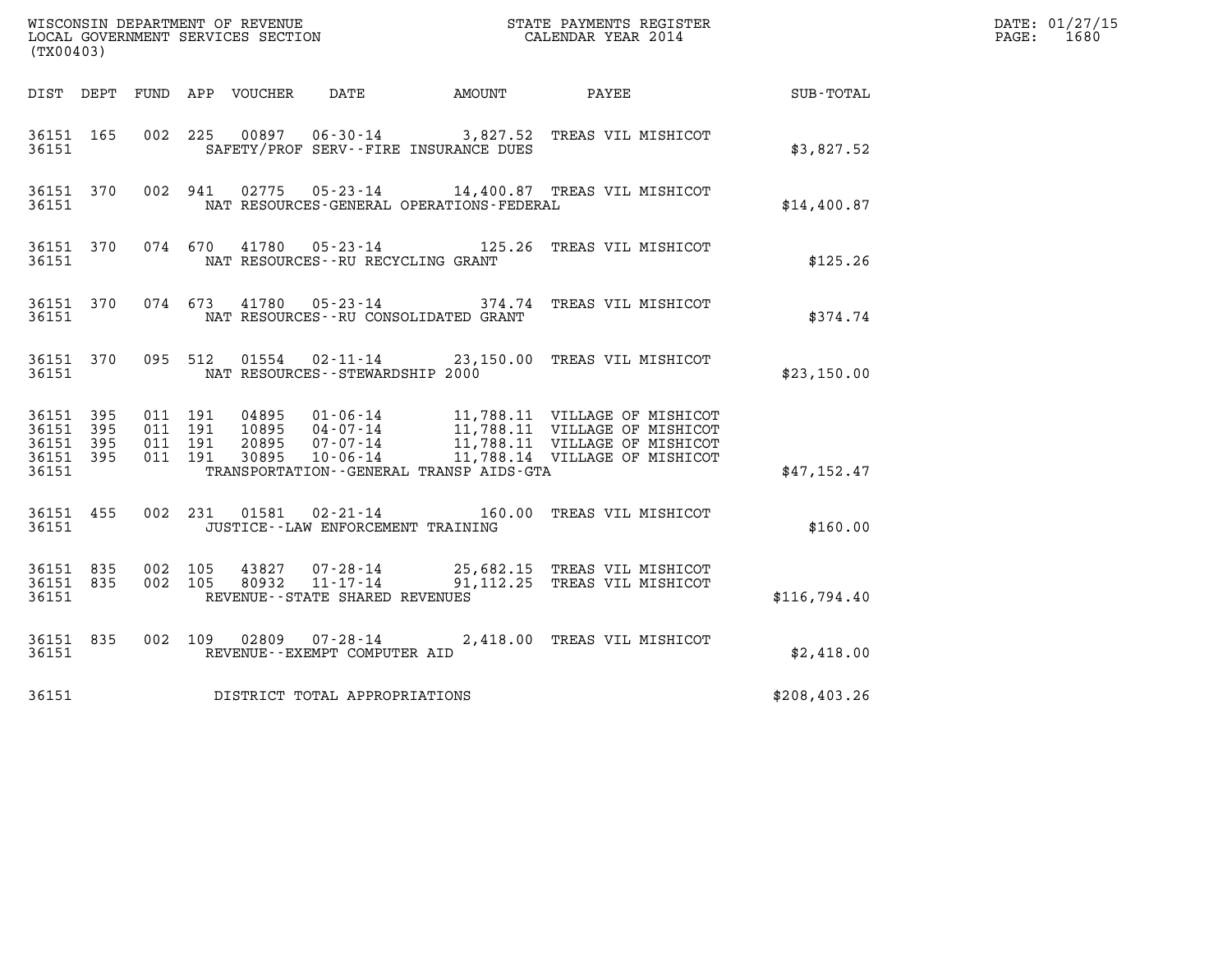| (TX00403)                                                 |                                          |                |                                      |                                              |                                                                                |              | DATE: 01/27/15<br>$\mathtt{PAGE}$ :<br>1680 |
|-----------------------------------------------------------|------------------------------------------|----------------|--------------------------------------|----------------------------------------------|--------------------------------------------------------------------------------|--------------|---------------------------------------------|
|                                                           |                                          |                |                                      | DIST DEPT FUND APP VOUCHER DATE AMOUNT PAYEE |                                                                                | SUB-TOTAL    |                                             |
| 36151 165<br>36151                                        |                                          |                |                                      | SAFETY/PROF SERV--FIRE INSURANCE DUES        | 002 225 00897 06-30-14 3,827.52 TREAS VIL MISHICOT                             | \$3,827.52   |                                             |
| 36151 370<br>36151                                        |                                          |                |                                      | NAT RESOURCES-GENERAL OPERATIONS-FEDERAL     | 002 941 02775 05-23-14 14,400.87 TREAS VIL MISHICOT                            | \$14,400.87  |                                             |
| 36151 370<br>36151                                        |                                          |                | NAT RESOURCES - - RU RECYCLING GRANT |                                              | 074 670 41780 05-23-14 125.26 TREAS VIL MISHICOT                               | \$125.26     |                                             |
| 36151 370<br>36151                                        |                                          |                | 074 673 41780 05-23-14               | NAT RESOURCES - - RU CONSOLIDATED GRANT      | 374.74 TREAS VIL MISHICOT                                                      | \$374.74     |                                             |
| 36151 370<br>36151                                        |                                          |                | NAT RESOURCES - - STEWARDSHIP 2000   |                                              | 095 512 01554 02-11-14 23,150.00 TREAS VIL MISHICOT                            | \$23,150.00  |                                             |
| 36151 395<br>36151 395<br>36151 395<br>36151 395<br>36151 | 011 191<br>011 191<br>011 191<br>011 191 |                |                                      | TRANSPORTATION--GENERAL TRANSP AIDS-GTA      |                                                                                | \$47,152.47  |                                             |
| 36151 455<br>36151                                        |                                          |                | JUSTICE - - LAW ENFORCEMENT TRAINING |                                              | 002 231 01581 02-21-14 160.00 TREAS VIL MISHICOT                               | \$160.00     |                                             |
| 36151 835<br>36151 835<br>36151                           | 002 105<br>002 105                       | 43827<br>80932 | REVENUE--STATE SHARED REVENUES       |                                              | 07-28-14 25,682.15 TREAS VIL MISHICOT<br>11-17-14 91,112.25 TREAS VIL MISHICOT | \$116,794.40 |                                             |
| 36151 835<br>36151                                        |                                          |                | REVENUE--EXEMPT COMPUTER AID         |                                              | 002 109 02809 07-28-14 2,418.00 TREAS VIL MISHICOT                             | \$2,418.00   |                                             |
| 36151                                                     |                                          |                | DISTRICT TOTAL APPROPRIATIONS        |                                              |                                                                                | \$208,403.26 |                                             |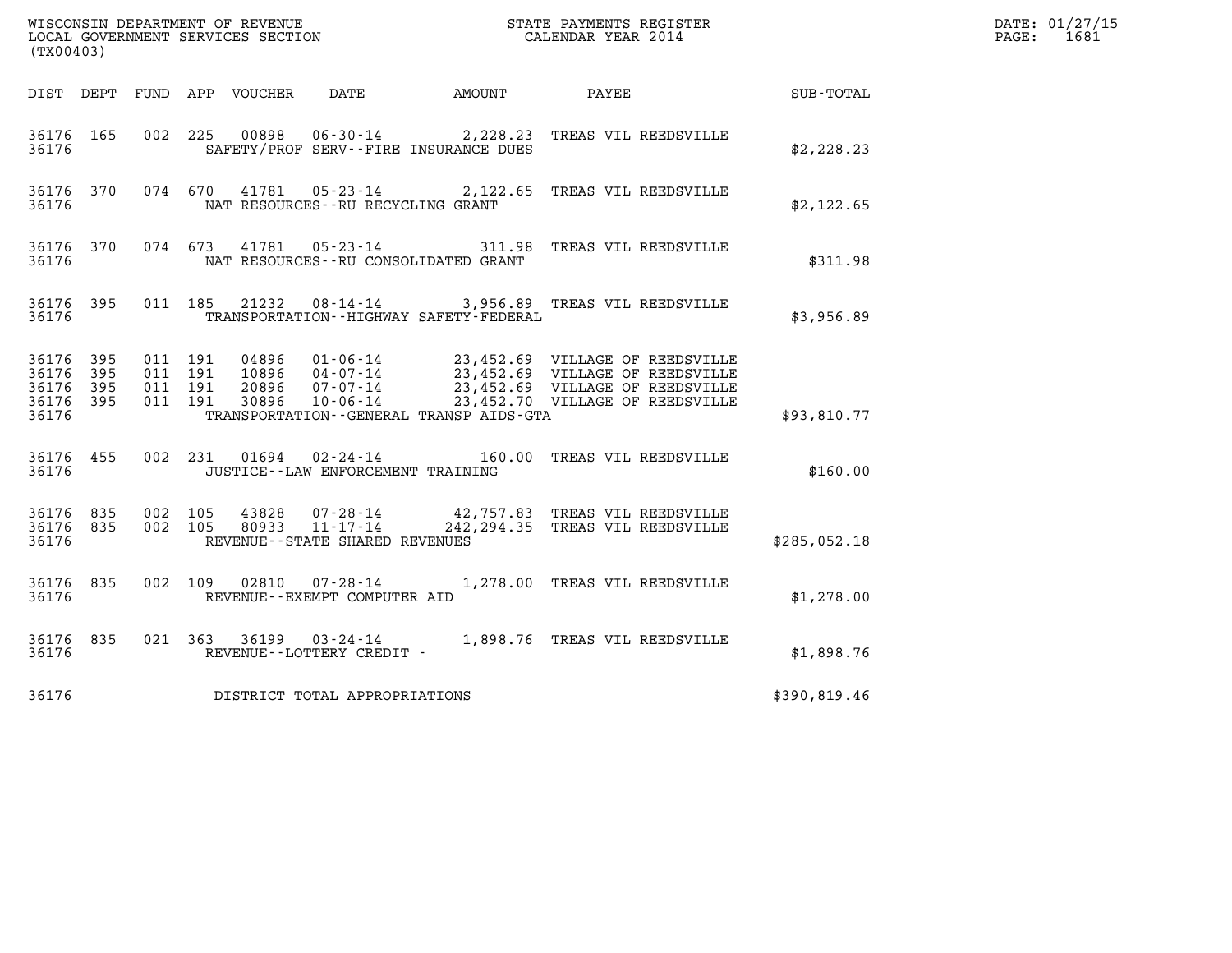| (TX00403)                                             |                        |                                          |                |                                                     |                                              |                                                                                                                                                                                                                  |                  | DATE: 01/27/15<br>PAGE: 1681 |
|-------------------------------------------------------|------------------------|------------------------------------------|----------------|-----------------------------------------------------|----------------------------------------------|------------------------------------------------------------------------------------------------------------------------------------------------------------------------------------------------------------------|------------------|------------------------------|
|                                                       |                        |                                          |                |                                                     |                                              | DIST DEPT FUND APP VOUCHER DATE AMOUNT PAYEE                                                                                                                                                                     | <b>SUB-TOTAL</b> |                              |
| 36176 165<br>36176                                    |                        |                                          |                |                                                     | SAFETY/PROF SERV--FIRE INSURANCE DUES        | 002 225 00898 06-30-14 2,228.23 TREAS VIL REEDSVILLE                                                                                                                                                             | \$2,228.23       |                              |
| 36176                                                 |                        |                                          |                | NAT RESOURCES--RU RECYCLING GRANT                   |                                              | 36176 370 074 670 41781 05-23-14 2,122.65 TREAS VIL REEDSVILLE                                                                                                                                                   | \$2,122.65       |                              |
| 36176                                                 | 36176 370              |                                          |                |                                                     | NAT RESOURCES - - RU CONSOLIDATED GRANT      | 074 673 41781 05-23-14 311.98 TREAS VIL REEDSVILLE                                                                                                                                                               | \$311.98         |                              |
| 36176                                                 | 36176 395              |                                          |                |                                                     | TRANSPORTATION - - HIGHWAY SAFETY - FEDERAL  | 011 185 21232 08-14-14 3,956.89 TREAS VIL REEDSVILLE                                                                                                                                                             | \$3,956.89       |                              |
| 36176 395<br>36176<br>36176 395<br>36176 395<br>36176 | - 395                  | 011 191<br>011 191<br>011 191<br>011 191 |                |                                                     | TRANSPORTATION - - GENERAL TRANSP AIDS - GTA | 04896  01-06-14  23,452.69  VILLAGE OF REEDSVILLE<br>10896  04-07-14  23,452.69  VILLAGE OF REEDSVILLE<br>20896  07-07-14  23,452.69  VILLAGE OF REEDSVILLE<br>30896  10-06-14  23,452.70  VILLAGE OF REEDSVILLE | \$93,810.77      |                              |
| 36176                                                 | 36176 455              |                                          |                | JUSTICE - - LAW ENFORCEMENT TRAINING                |                                              | 002 231 01694 02-24-14 160.00 TREAS VIL REEDSVILLE                                                                                                                                                               | \$160.00         |                              |
| 36176                                                 | 36176 835<br>36176 835 | 002 105<br>002 105                       | 43828<br>80933 | $11 - 17 - 14$<br>REVENUE - - STATE SHARED REVENUES |                                              | 07-28-14 42,757.83 TREAS VIL REEDSVILLE<br>242, 294.35 TREAS VIL REEDSVILLE                                                                                                                                      | \$285,052.18     |                              |
| 36176                                                 | 36176 835              |                                          |                | REVENUE--EXEMPT COMPUTER AID                        |                                              | 002 109 02810 07-28-14 1,278.00 TREAS VIL REEDSVILLE                                                                                                                                                             | \$1,278.00       |                              |
| 36176                                                 | 36176 835              |                                          |                | REVENUE--LOTTERY CREDIT -                           |                                              | 021 363 36199 03-24-14 1,898.76 TREAS VIL REEDSVILLE                                                                                                                                                             | \$1,898.76       |                              |
| 36176                                                 |                        |                                          |                | DISTRICT TOTAL APPROPRIATIONS                       |                                              |                                                                                                                                                                                                                  | \$390,819.46     |                              |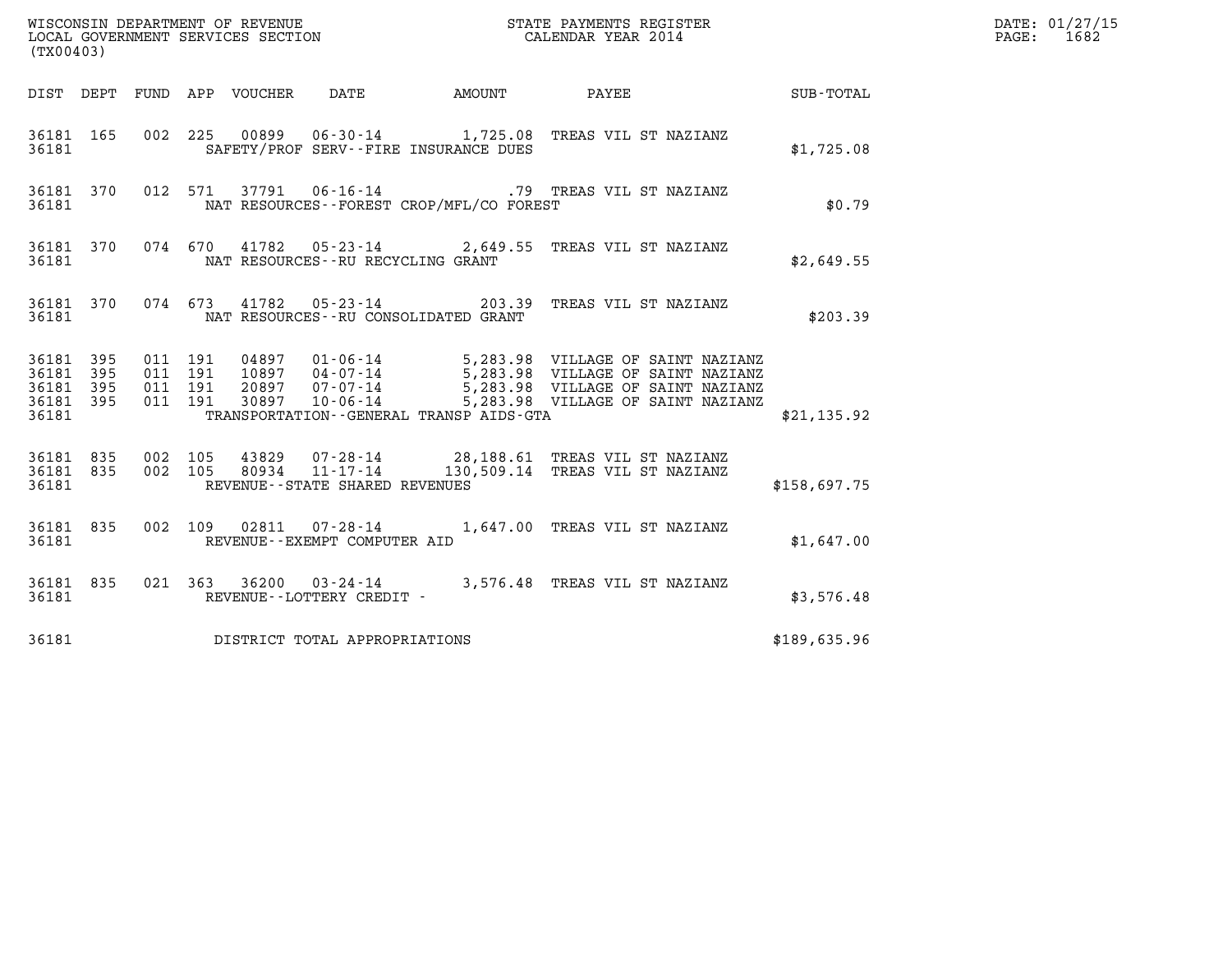| (TX00403)                                                                                                                   |                                          | WISCONSIN DEPARTMENT OF REVENUE<br>LOCAL GOVERNMENT SERVICES SECTION<br>(TWOOAO) CALENDAR YEAR 2014 |                                                                                                                 |  | DATE: 01/27/15<br>PAGE: 1682                           |              |  |
|-----------------------------------------------------------------------------------------------------------------------------|------------------------------------------|-----------------------------------------------------------------------------------------------------|-----------------------------------------------------------------------------------------------------------------|--|--------------------------------------------------------|--------------|--|
|                                                                                                                             |                                          |                                                                                                     |                                                                                                                 |  | DIST DEPT FUND APP VOUCHER DATE AMOUNT PAYEE SUB-TOTAL |              |  |
| 36181 165<br>36181                                                                                                          |                                          | SAFETY/PROF SERV--FIRE INSURANCE DUES                                                               | 002 225 00899 06-30-14 1,725.08 TREAS VIL ST NAZIANZ                                                            |  |                                                        | \$1,725.08   |  |
| 36181                                                                                                                       |                                          |                                                                                                     | 36181 370 012 571 37791 06-16-14 .79 TREAS VIL ST NAZIANZ<br>NAT RESOURCES--FOREST CROP/MFL/CO FOREST           |  |                                                        | \$0.79       |  |
| 36181                                                                                                                       |                                          | NAT RESOURCES -- RU RECYCLING GRANT                                                                 | 36181 370 074 670 41782 05-23-14 2,649.55 TREAS VIL ST NAZIANZ                                                  |  |                                                        | \$2,649.55   |  |
|                                                                                                                             |                                          |                                                                                                     | 36181 370 074 673 41782 05-23-14 203.39 TREAS VIL ST NAZIANZ                                                    |  |                                                        | \$203.39     |  |
| 36181 395<br>36181 395<br>36181 395<br>36181 395<br>36181                                                                   | 011 191<br>011 191<br>011 191<br>011 191 |                                                                                                     | TRANSPORTATION - - GENERAL TRANSP AIDS - GTA                                                                    |  |                                                        | \$21,135.92  |  |
| 36181 835 002 105<br>36181 835<br>36181                                                                                     |                                          | REVENUE--STATE SHARED REVENUES                                                                      | 002 105 43829 07-28-14 28,188.61 TREAS VIL ST NAZIANZ<br>002 105 80934 11-17-14 130,509.14 TREAS VIL ST NAZIANZ |  |                                                        | \$158,697.75 |  |
| 36181 835<br>36181                                                                                                          |                                          | REVENUE--EXEMPT COMPUTER AID                                                                        | 002 109 02811 07-28-14 1,647.00 TREAS VIL ST NAZIANZ                                                            |  |                                                        | \$1,647.00   |  |
| 36181 835<br>36181 and the set of the set of the set of the set of the set of the set of the set of the set of the set of t |                                          | REVENUE--LOTTERY CREDIT -                                                                           | 021 363 36200 03-24-14 3,576.48 TREAS VIL ST NAZIANZ                                                            |  |                                                        | \$3,576.48   |  |
| 36181                                                                                                                       |                                          | DISTRICT TOTAL APPROPRIATIONS                                                                       |                                                                                                                 |  |                                                        | \$189,635.96 |  |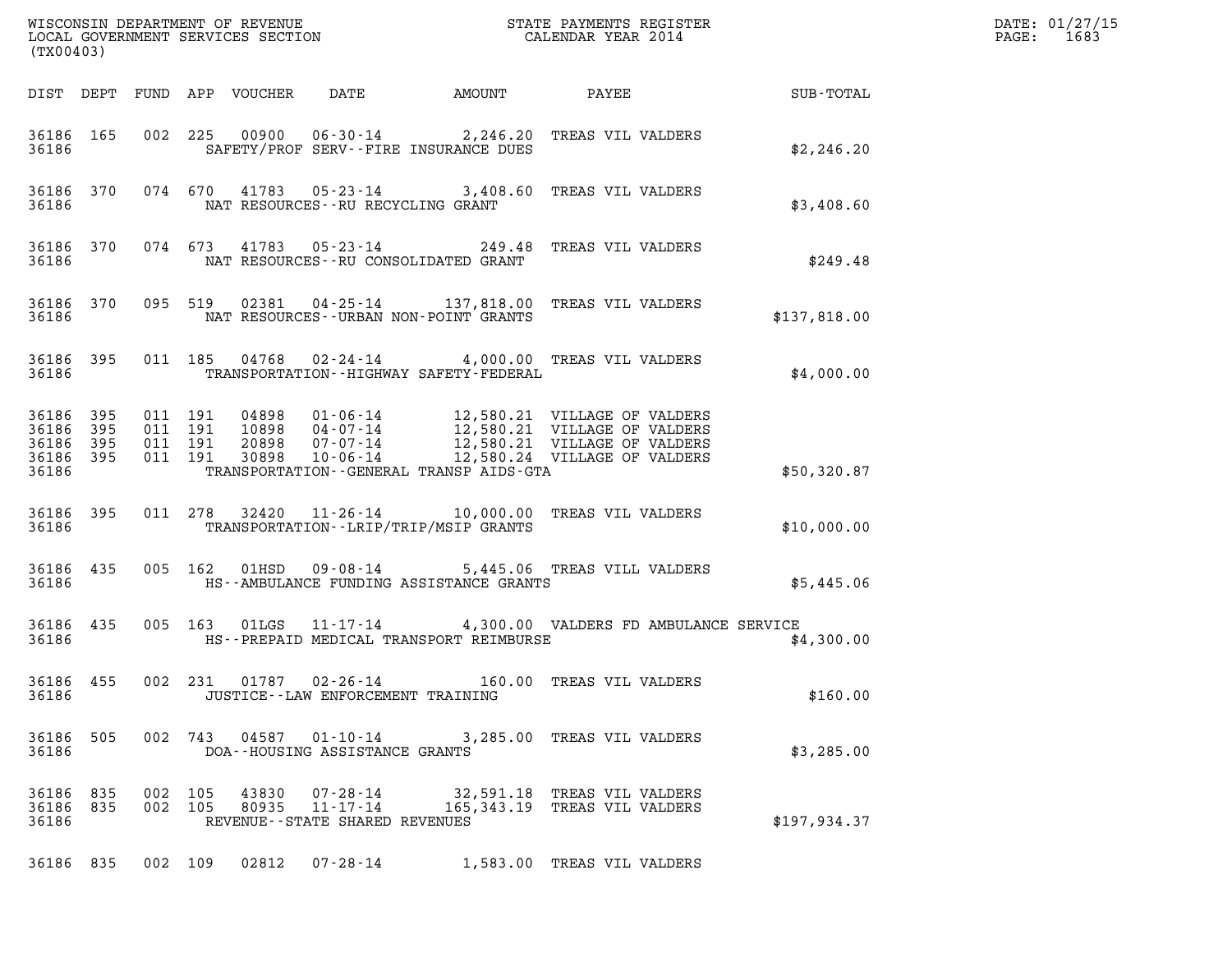| (TX00403)                                             |     |                    |         |                            |                                      |                                             |                                                                        |               | DATE: 01/27/15<br>$\mathtt{PAGE:}$<br>1683 |
|-------------------------------------------------------|-----|--------------------|---------|----------------------------|--------------------------------------|---------------------------------------------|------------------------------------------------------------------------|---------------|--------------------------------------------|
|                                                       |     |                    |         | DIST DEPT FUND APP VOUCHER | DATE                                 | AMOUNT                                      | <b>PAYEE</b> FOUND THE PAYEE                                           | SUB-TOTAL     |                                            |
| 36186 165<br>36186                                    |     |                    |         |                            |                                      | SAFETY/PROF SERV--FIRE INSURANCE DUES       | 002 225 00900 06-30-14 2,246.20 TREAS VIL VALDERS                      | \$2,246.20    |                                            |
| 36186                                                 |     |                    |         |                            | NAT RESOURCES--RU RECYCLING GRANT    |                                             | 36186 370 074 670 41783 05-23-14 3,408.60 TREAS VIL VALDERS            | \$3,408.60    |                                            |
| 36186 370<br>36186                                    |     |                    |         |                            |                                      | NAT RESOURCES--RU CONSOLIDATED GRANT        | 074 673 41783 05-23-14 249.48 TREAS VIL VALDERS                        | \$249.48      |                                            |
| 36186                                                 |     |                    |         |                            |                                      | NAT RESOURCES - - URBAN NON-POINT GRANTS    | 36186 370 095 519 02381 04-25-14 137,818.00 TREAS VIL VALDERS          | \$137,818.00  |                                            |
| 36186                                                 |     |                    |         |                            |                                      | TRANSPORTATION - - HIGHWAY SAFETY - FEDERAL | 36186 395 011 185 04768 02-24-14 4,000.00 TREAS VIL VALDERS            | \$4,000.00    |                                            |
| 36186 395<br>36186<br>36186 395<br>36186 395<br>36186 | 395 |                    |         |                            |                                      | TRANSPORTATION--GENERAL TRANSP AIDS-GTA     |                                                                        | \$50,320.87   |                                            |
| 36186 395<br>36186                                    |     |                    | 011 278 |                            |                                      | TRANSPORTATION--LRIP/TRIP/MSIP GRANTS       | 32420  11-26-14   10,000.00   TREAS VIL VALDERS                        | \$10,000.00   |                                            |
| 36186 435<br>36186                                    |     |                    |         |                            |                                      | HS--AMBULANCE FUNDING ASSISTANCE GRANTS     | 005 162 01HSD 09-08-14 5,445.06 TREAS VILL VALDERS                     | \$5,445.06    |                                            |
| 36186                                                 |     |                    |         |                            |                                      | HS--PREPAID MEDICAL TRANSPORT REIMBURSE     | 36186 435 005 163 01LGS 11-17-14 4,300.00 VALDERS FD AMBULANCE SERVICE | \$4,300.00    |                                            |
| 36186 455<br>36186                                    |     |                    |         |                            | JUSTICE - - LAW ENFORCEMENT TRAINING |                                             | 002 231 01787 02-26-14 160.00 TREAS VIL VALDERS                        | \$160.00      |                                            |
| 36186 505<br>36186                                    |     |                    |         |                            | DOA--HOUSING ASSISTANCE GRANTS       |                                             | 002 743 04587 01-10-14 3,285.00 TREAS VIL VALDERS                      | \$3,285.00    |                                            |
| 36186 835<br>36186 835<br>36186                       |     | 002 105<br>002 105 |         | 43830<br>80935             | REVENUE - - STATE SHARED REVENUES    |                                             | 07-28-14 32,591.18 TREAS VIL VALDERS                                   | \$197, 934.37 |                                            |
| 36186 835                                             |     | 002 109            |         | 02812                      | 07-28-14                             |                                             | 1,583.00 TREAS VIL VALDERS                                             |               |                                            |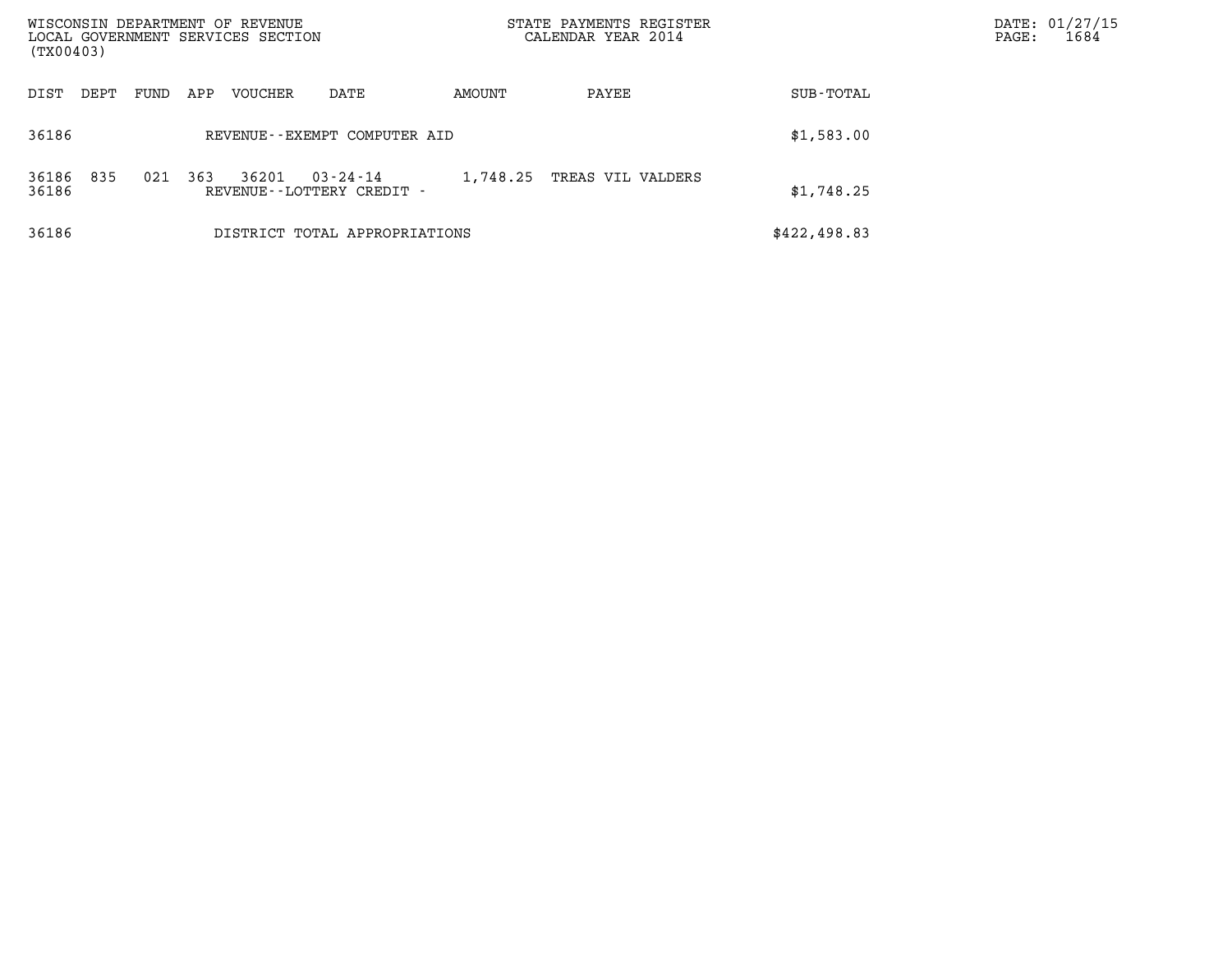| (TX00403)                    | WISCONSIN DEPARTMENT OF REVENUE<br>LOCAL GOVERNMENT SERVICES SECTION |          | STATE PAYMENTS REGISTER<br>CALENDAR YEAR 2014 |               | DATE: 01/27/15<br>1684<br>$\mathtt{PAGE}$ : |
|------------------------------|----------------------------------------------------------------------|----------|-----------------------------------------------|---------------|---------------------------------------------|
| DIST<br>DEPT<br>FUND         | VOUCHER<br>APP<br>DATE                                               | AMOUNT   | PAYEE                                         | SUB-TOTAL     |                                             |
| 36186                        | REVENUE--EXEMPT COMPUTER AID                                         |          |                                               | \$1,583.00    |                                             |
| 835<br>021<br>36186<br>36186 | 363<br>36201<br>$03 - 24 - 14$<br>REVENUE--LOTTERY CREDIT -          | 1,748.25 | TREAS VIL VALDERS                             | \$1,748.25    |                                             |
| 36186                        | DISTRICT TOTAL APPROPRIATIONS                                        |          |                                               | \$422, 498.83 |                                             |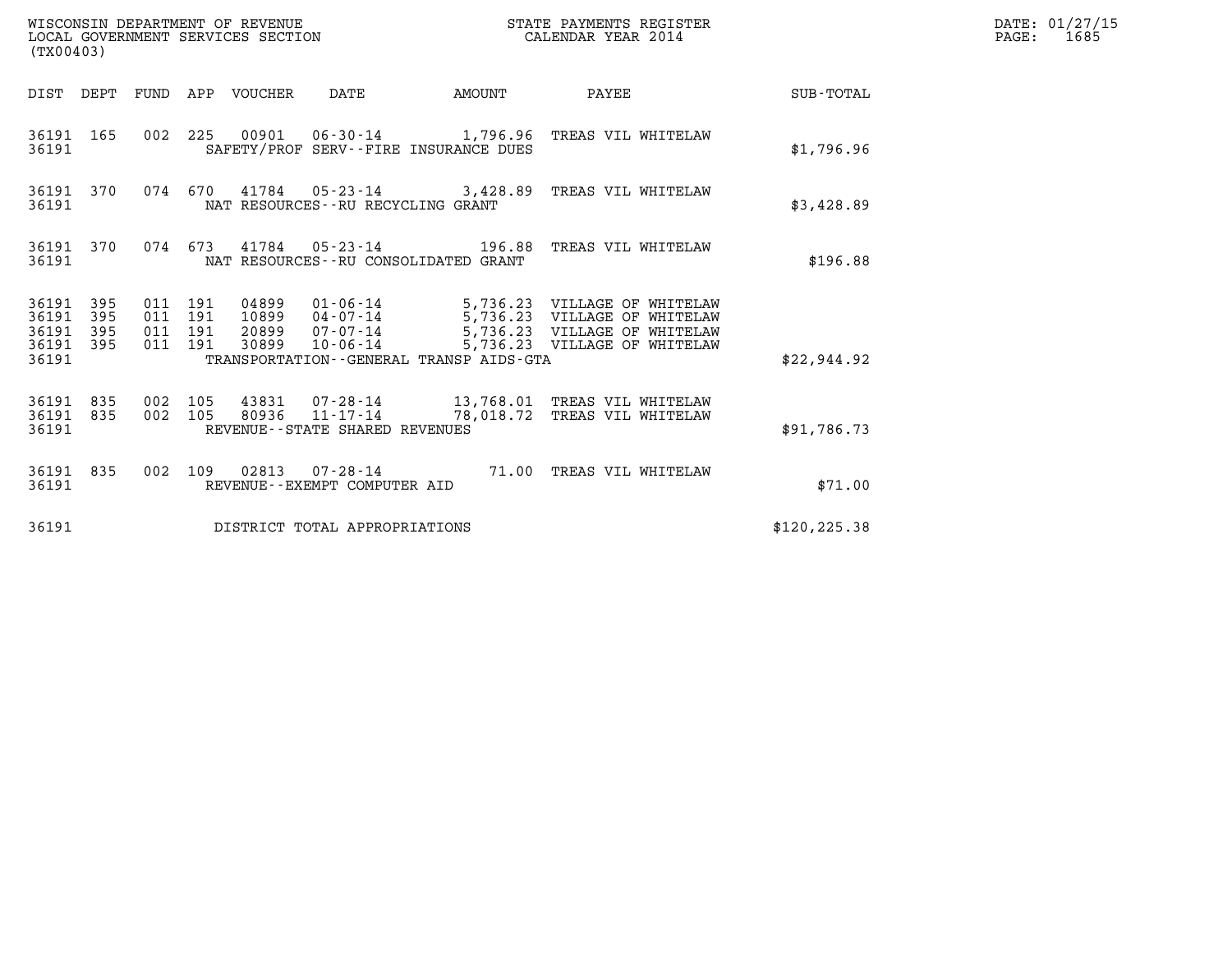| (TX00403)                                         |            |                                          |         | WISCONSIN DEPARTMENT OF REVENUE<br>LOCAL GOVERNMENT SERVICES SECTION |                                         |                                         | STATE PAYMENTS REGISTER<br>CALENDAR YEAR 2014                                                                                                                                      |               | DATE: 01/27/15<br>PAGE: 1685 |
|---------------------------------------------------|------------|------------------------------------------|---------|----------------------------------------------------------------------|-----------------------------------------|-----------------------------------------|------------------------------------------------------------------------------------------------------------------------------------------------------------------------------------|---------------|------------------------------|
|                                                   |            |                                          |         | DIST DEPT FUND APP VOUCHER DATE                                      |                                         | AMOUNT                                  | PAYEE SUB-TOTAL                                                                                                                                                                    |               |                              |
| 36191 165<br>36191                                |            |                                          |         |                                                                      | SAFETY/PROF SERV--FIRE INSURANCE DUES   |                                         | 002 225 00901 06-30-14 1,796.96 TREAS VIL WHITELAW                                                                                                                                 | \$1,796.96    |                              |
| 36191 370<br>36191                                |            |                                          |         |                                                                      | NAT RESOURCES--RU RECYCLING GRANT       |                                         | 074 670 41784 05-23-14 3,428.89 TREAS VIL WHITELAW                                                                                                                                 | \$3,428.89    |                              |
| 36191                                             | 36191 370  |                                          |         |                                                                      | NAT RESOURCES - - RU CONSOLIDATED GRANT |                                         | 074  673  41784  05-23-14  196.88  TREAS VIL WHITELAW                                                                                                                              | \$196.88      |                              |
| 36191 395<br>36191<br>36191<br>36191 395<br>36191 | 395<br>395 | 011 191<br>011 191<br>011 191<br>011 191 |         | 30899                                                                | $10 - 06 - 14$                          | TRANSPORTATION--GENERAL TRANSP AIDS-GTA | 04899  01-06-14  5,736.23  VILLAGE OF WHITELAW<br>10899  04-07-14  5,736.23  VILLAGE OF WHITELAW<br>20899  07-07-14  5,736.23  VILLAGE OF WHITELAW<br>5,736.23 VILLAGE OF WHITELAW | \$22,944.92   |                              |
| 36191 835<br>36191 835<br>36191                   |            | 002 105                                  | 002 105 |                                                                      | REVENUE--STATE SHARED REVENUES          |                                         | 43831  07-28-14  13,768.01 TREAS VIL WHITELAW<br>80936 11-17-14 78,018.72 TREAS VIL WHITELAW                                                                                       | \$91,786.73   |                              |
| 36191                                             | 36191 835  |                                          |         |                                                                      | REVENUE--EXEMPT COMPUTER AID            |                                         | 002 109 02813 07-28-14 71.00 TREAS VIL WHITELAW                                                                                                                                    | \$71.00       |                              |
| 36191                                             |            |                                          |         |                                                                      | DISTRICT TOTAL APPROPRIATIONS           |                                         |                                                                                                                                                                                    | \$120, 225.38 |                              |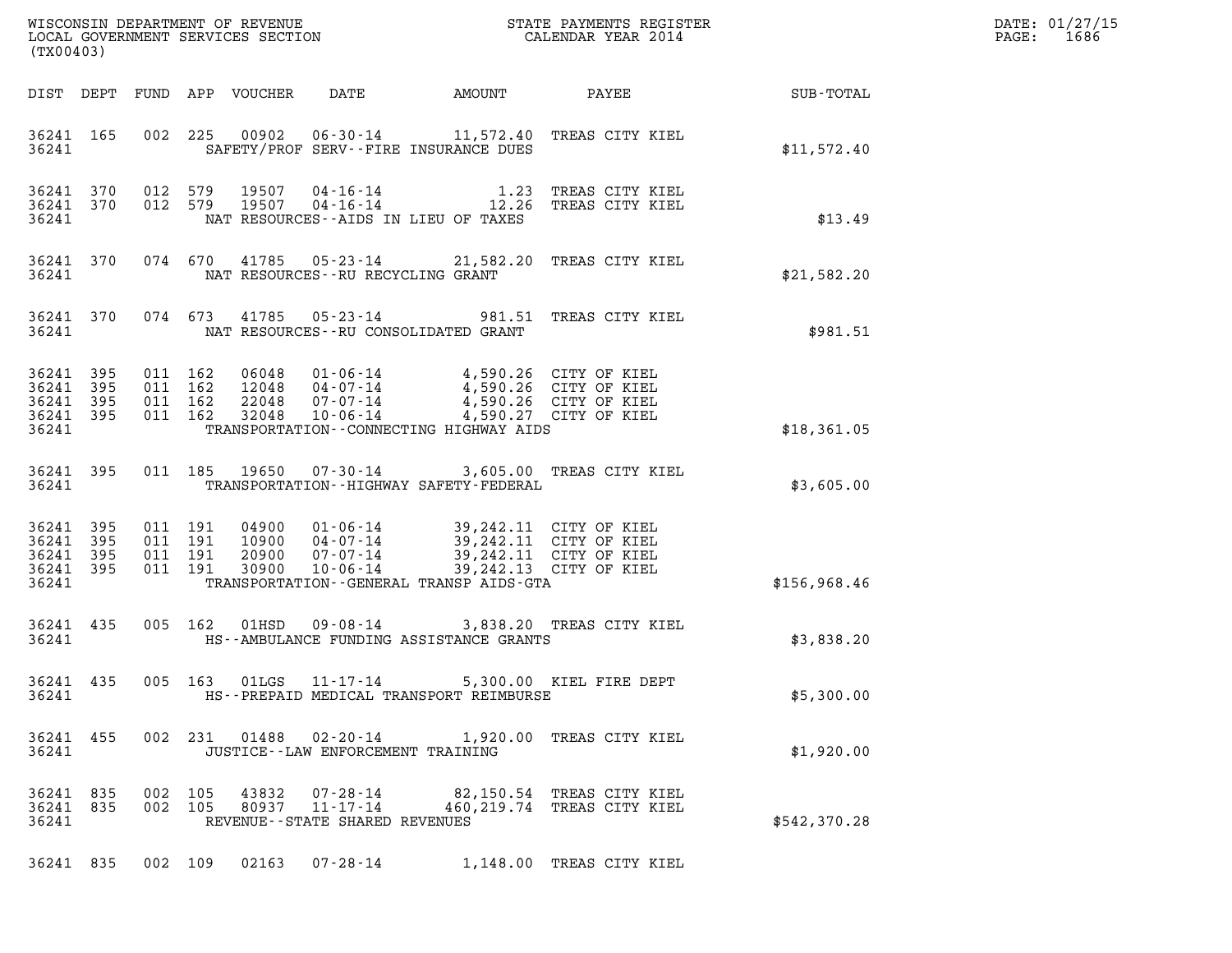| DATE: | 01/27/15 |
|-------|----------|
| PAGE: | 1686     |

| (TX00403)                                                 |            |         |                                          |                            |                                                                    |                                                                                                                                                                                                             |                                                                                                              |                        | DATE: 01/27/15<br>1686<br>$\mathtt{PAGE:}$ |
|-----------------------------------------------------------|------------|---------|------------------------------------------|----------------------------|--------------------------------------------------------------------|-------------------------------------------------------------------------------------------------------------------------------------------------------------------------------------------------------------|--------------------------------------------------------------------------------------------------------------|------------------------|--------------------------------------------|
|                                                           |            |         |                                          | DIST DEPT FUND APP VOUCHER | DATE                                                               |                                                                                                                                                                                                             |                                                                                                              | AMOUNT PAYEE SUB-TOTAL |                                            |
| 36241                                                     | 36241 165  |         |                                          |                            |                                                                    | SAFETY/PROF SERV--FIRE INSURANCE DUES                                                                                                                                                                       | 002 225 00902 06-30-14 11,572.40 TREAS CITY KIEL                                                             | \$11,572.40            |                                            |
| 36241                                                     | 36241 370  |         |                                          |                            |                                                                    | NAT RESOURCES--AIDS IN LIEU OF TAXES                                                                                                                                                                        | 36241 370 012 579 19507 04-16-14 1.23 TREAS CITY KIEL 36241 370 012 579 19507 04-16-14 12.26 TREAS CITY KIEL | \$13.49                |                                            |
| 36241                                                     | 36241 370  |         |                                          |                            | NAT RESOURCES--RU RECYCLING GRANT                                  |                                                                                                                                                                                                             | 074 670 41785 05-23-14 21,582.20 TREAS CITY KIEL                                                             | \$21,582.20            |                                            |
| 36241                                                     | 36241 370  |         |                                          |                            |                                                                    | NAT RESOURCES--RU CONSOLIDATED GRANT                                                                                                                                                                        | 074 673 41785 05-23-14 981.51 TREAS CITY KIEL                                                                | \$981.51               |                                            |
| 36241 395<br>36241 395<br>36241 395<br>36241 395<br>36241 |            |         | 011 162<br>011 162<br>011 162<br>011 162 |                            |                                                                    | 06048 01-06-14 4,590.26 CITY OF KIEL<br>12048 04-07-14 4,590.26 CITY OF KIEL<br>22048 07-07-14 4,590.26 CITY OF KIEL<br>32048  10-06-14  4,590.27  CITY OF KIEL<br>TRANSPORTATION--CONNECTING HIGHWAY AIDS  |                                                                                                              | \$18,361.05            |                                            |
| 36241                                                     | 36241 395  |         |                                          |                            |                                                                    | TRANSPORTATION - - HIGHWAY SAFETY - FEDERAL                                                                                                                                                                 | 011 185 19650 07-30-14 3,605.00 TREAS CITY KIEL                                                              | \$3,605.00             |                                            |
| 36241 395<br>36241<br>36241<br>36241 395<br>36241         | 395<br>395 |         | 011 191<br>011 191<br>011 191<br>011 191 |                            |                                                                    | 04900 01-06-14 39,242.11 CITY OF KIEL<br>10900 04-07-14 39,242.11 CITY OF KIEL<br>20900 07-07-14 39,242.11 CITY OF KIEL<br>30900 10-06-14 39,242.13 CITY OF KIEL<br>TRANSPORTATION--GENERAL TRANSP AIDS-GTA |                                                                                                              | \$156,968.46           |                                            |
| 36241                                                     | 36241 435  |         |                                          |                            |                                                                    | HS--AMBULANCE FUNDING ASSISTANCE GRANTS                                                                                                                                                                     | 005 162 01HSD 09-08-14 3,838.20 TREAS CITY KIEL                                                              | \$3,838.20             |                                            |
| 36241                                                     | 36241 435  |         |                                          |                            |                                                                    | HS--PREPAID MEDICAL TRANSPORT REIMBURSE                                                                                                                                                                     | 005 163 01LGS 11-17-14 5,300.00 KIEL FIRE DEPT                                                               | \$5,300.00             |                                            |
| 36241 455<br>36241                                        |            |         |                                          |                            | JUSTICE -- LAW ENFORCEMENT TRAINING                                |                                                                                                                                                                                                             | 002 231 01488 02-20-14 1,920.00 TREAS CITY KIEL                                                              | \$1,920.00             |                                            |
| 36241 835<br>36241 835<br>36241                           |            | 002 105 | 002 105                                  | 43832                      | $07 - 28 - 14$<br>80937 11-17-14<br>REVENUE--STATE SHARED REVENUES |                                                                                                                                                                                                             | 82,150.54 TREAS CITY KIEL<br>460, 219.74 TREAS CITY KIEL                                                     | \$542,370.28           |                                            |
|                                                           |            |         |                                          |                            |                                                                    |                                                                                                                                                                                                             | 36241 835 002 109 02163 07-28-14 1,148.00 TREAS CITY KIEL                                                    |                        |                                            |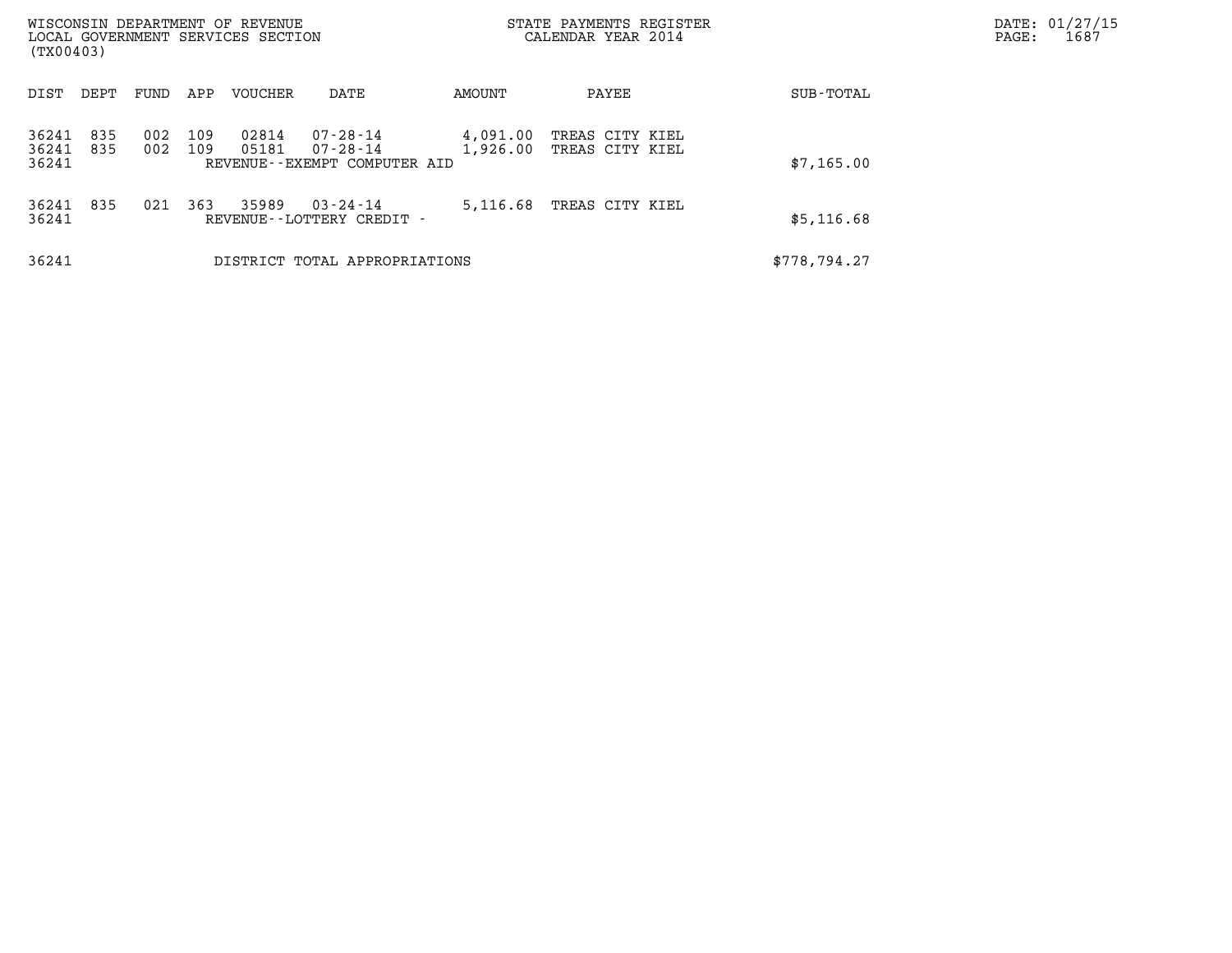| WISCONSIN DEPARTMENT OF REVENUE<br>LOCAL GOVERNMENT SERVICES SECTION<br>(TX00403) |            |            |                |                                                                  |                      | STATE PAYMENTS REGISTER<br>CALENDAR YEAR 2014 |  | PAGE:        | DATE: 01/27/15<br>1687 |  |
|-----------------------------------------------------------------------------------|------------|------------|----------------|------------------------------------------------------------------|----------------------|-----------------------------------------------|--|--------------|------------------------|--|
| DIST<br>DEPT                                                                      | FUND       | APP        | <b>VOUCHER</b> | DATE                                                             | AMOUNT               | PAYEE                                         |  | SUB-TOTAL    |                        |  |
| 835<br>36241<br>36241<br>835<br>36241                                             | 002<br>002 | 109<br>109 | 02814<br>05181 | $07 - 28 - 14$<br>$07 - 28 - 14$<br>REVENUE--EXEMPT COMPUTER AID | 4,091.00<br>1,926.00 | TREAS CITY KIEL<br>TREAS CITY KIEL            |  | \$7,165.00   |                        |  |
| 835<br>36241<br>36241                                                             | 021        | 363        | 35989          | $03 - 24 - 14$<br>REVENUE--LOTTERY CREDIT -                      | 5,116.68             | TREAS CITY KIEL                               |  | \$5,116.68   |                        |  |
| 36241                                                                             |            |            |                | DISTRICT TOTAL APPROPRIATIONS                                    |                      |                                               |  | \$778,794.27 |                        |  |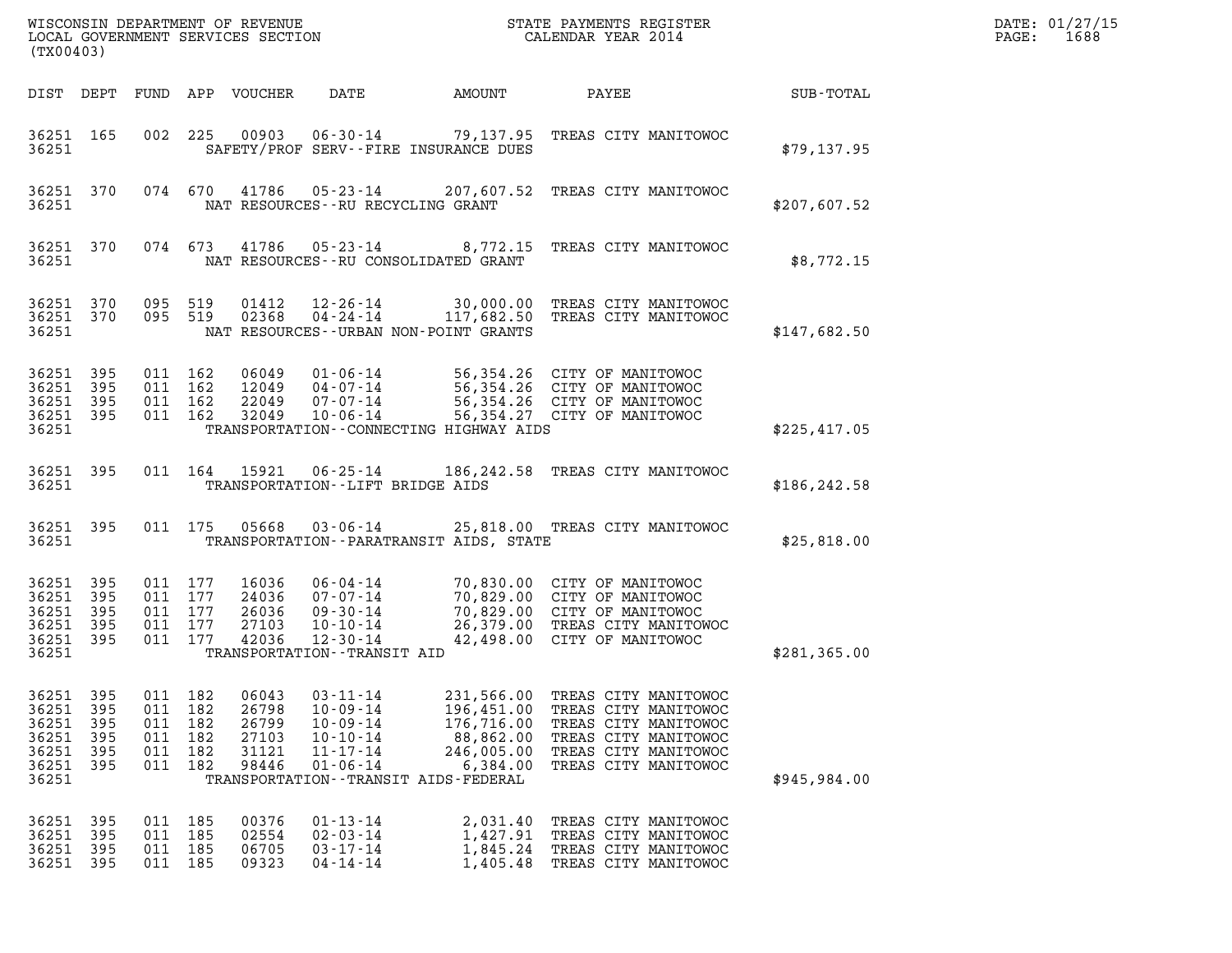| DATE: | 01/27/15 |
|-------|----------|
| PAGE: | 1688     |

| (TX00403)                                                   |                                         |                                            |                                 |                                                    | WISCONSIN DEPARTMENT OF REVENUE<br>LOCAL GOVERNMENT SERVICES SECTION                                         |                                                                                                                            | STATE PAYMENTS REGISTER<br>CALENDAR YEAR 2014                                                                                                              |               | DATE: 01/27/15<br>PAGE:<br>1688 |
|-------------------------------------------------------------|-----------------------------------------|--------------------------------------------|---------------------------------|----------------------------------------------------|--------------------------------------------------------------------------------------------------------------|----------------------------------------------------------------------------------------------------------------------------|------------------------------------------------------------------------------------------------------------------------------------------------------------|---------------|---------------------------------|
| DIST DEPT                                                   |                                         |                                            |                                 | FUND APP VOUCHER                                   | DATE                                                                                                         | AMOUNT                                                                                                                     | PAYEE                                                                                                                                                      | SUB-TOTAL     |                                 |
| 36251 165<br>36251                                          |                                         | 002                                        | 225                             | 00903                                              | 06-30-14                                                                                                     | SAFETY/PROF SERV--FIRE INSURANCE DUES                                                                                      | 79,137.95 TREAS CITY MANITOWOC                                                                                                                             | \$79,137.95   |                                 |
| 36251 370<br>36251                                          |                                         |                                            | 074 670                         | 41786                                              | 05-23-14                                                                                                     | NAT RESOURCES - - RU RECYCLING GRANT                                                                                       | 207,607.52 TREAS CITY MANITOWOC                                                                                                                            | \$207,607.52  |                                 |
| 36251 370<br>36251                                          |                                         |                                            | 074 673                         | 41786                                              | 05-23-14                                                                                                     | NAT RESOURCES - - RU CONSOLIDATED GRANT                                                                                    | 8,772.15 TREAS CITY MANITOWOC                                                                                                                              | \$8,772.15    |                                 |
| 36251 370<br>36251 370<br>36251                             |                                         | 095 519<br>095 519                         |                                 | 01412<br>02368                                     | 12-26-14<br>$04 - 24 - 14$                                                                                   | NAT RESOURCES - - URBAN NON-POINT GRANTS                                                                                   | 30,000.00 TREAS CITY MANITOWOC<br>117,682.50 TREAS CITY MANITOWOC                                                                                          | \$147,682.50  |                                 |
| 36251<br>36251<br>36251<br>36251<br>36251                   | 395<br>395<br>395<br>395                | 011 162<br>011 162<br>011 162              | 011 162                         | 06049<br>12049<br>22049<br>32049                   | $01 - 06 - 14$<br>04-07-14<br>07-07-14<br>10-06-14                                                           | TRANSPORTATION--CONNECTING HIGHWAY AIDS                                                                                    | 56,354.26 CITY OF MANITOWOC<br>56,354.26 CITY OF MANITOWOC<br>56,354.26 CITY OF MANITOWOC<br>56,354.27 CITY OF MANITOWOC                                   | \$225,417.05  |                                 |
| 36251 395<br>36251                                          |                                         |                                            |                                 | 011 164 15921                                      | 06-25-14                                                                                                     | TRANSPORTATION - - LIFT BRIDGE AIDS                                                                                        | 186, 242.58 TREAS CITY MANITOWOC                                                                                                                           | \$186, 242.58 |                                 |
| 36251 395<br>36251                                          |                                         |                                            | 011 175                         | 05668                                              | 03-06-14                                                                                                     | TRANSPORTATION - - PARATRANSIT AIDS, STATE                                                                                 | 25,818.00 TREAS CITY MANITOWOC                                                                                                                             | \$25,818.00   |                                 |
| 36251<br>36251<br>36251<br>36251<br>36251<br>36251          | 395<br>395<br>395<br>395<br>395         | 011 177<br>011 177<br>011 177<br>011 177   | 011 177                         | 16036<br>24036<br>26036<br>27103<br>42036          | $06 - 04 - 14$<br>07-07-14<br>09-30-14<br>$10 - 10 - 14$<br>$12 - 30 - 14$<br>TRANSPORTATION - - TRANSIT AID |                                                                                                                            | 70,830.00 CITY OF MANITOWOC<br>70,829.00 CITY OF MANITOWOC<br>70,829.00 CITY OF MANITOWOC<br>26,379.00 TREAS CITY MANITOWOC<br>42,498.00 CITY OF MANITOWOC | \$281,365.00  |                                 |
| 36251<br>36251<br>36251<br>36251<br>36251<br>36251<br>36251 | 395<br>395<br>395<br>395<br>395<br>-395 | 011<br>011<br>011<br>011<br>011<br>011 182 | 182<br>182<br>182<br>182<br>182 | 06043<br>26798<br>26799<br>27103<br>31121<br>98446 | $03 - 11 - 14$<br>$10 - 09 - 14$<br>$10 - 09 - 14$<br>$10 - 10 - 14$<br>$11 - 17 - 14$<br>$01 - 06 - 14$     | 231,566.00<br>196,451.00<br>176,716.00<br>88,862.00<br>246,005.00<br>6,384.00<br>TRANSPORTATION - - TRANSIT AIDS - FEDERAL | TREAS CITY MANITOWOC<br>TREAS CITY MANITOWOC<br>TREAS CITY MANITOWOC<br>TREAS CITY MANITOWOC<br>TREAS CITY MANITOWOC<br>TREAS CITY MANITOWOC               | \$945,984.00  |                                 |
| 36251<br>36251<br>36251<br>36251                            | 395<br>395<br>395<br>395                | 011<br>011 185<br>011 185                  | 185<br>011 185                  | 00376<br>02554<br>06705<br>09323                   | $01 - 13 - 14$<br>$02 - 03 - 14$<br>$03 - 17 - 14$<br>$04 - 14 - 14$                                         | 2,031.40<br>1,427.91<br>1,845.24<br>1,405.48                                                                               | TREAS CITY MANITOWOC<br>TREAS CITY MANITOWOC<br>TREAS CITY MANITOWOC<br>TREAS CITY MANITOWOC                                                               |               |                                 |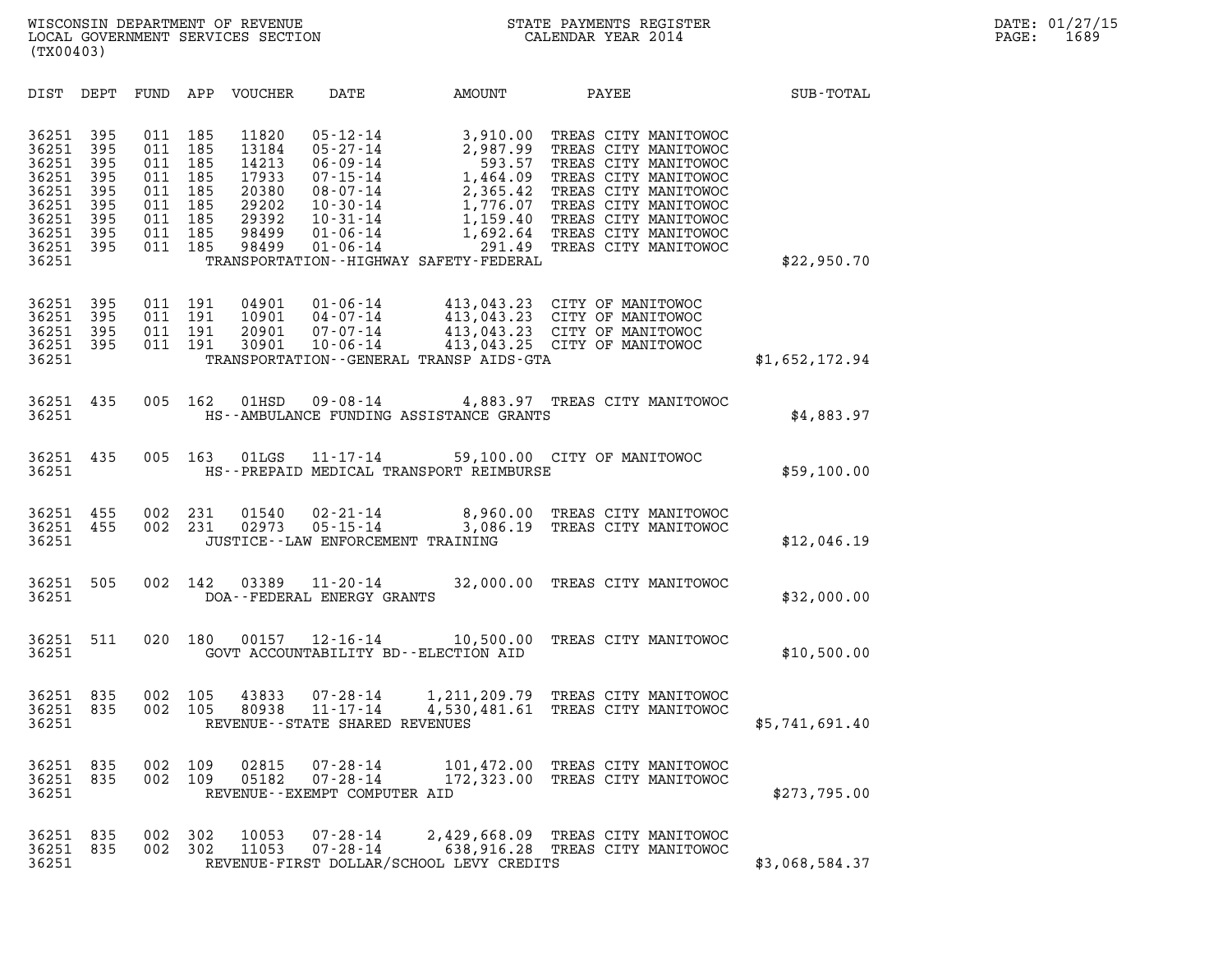| (TX00403)                                                                              |                                                             |                                                             |                                                             |                                                                               |                                                                                                                                                          |                                                                                                                                                                               |                                                                                                                                                                                                                      |                  |  |
|----------------------------------------------------------------------------------------|-------------------------------------------------------------|-------------------------------------------------------------|-------------------------------------------------------------|-------------------------------------------------------------------------------|----------------------------------------------------------------------------------------------------------------------------------------------------------|-------------------------------------------------------------------------------------------------------------------------------------------------------------------------------|----------------------------------------------------------------------------------------------------------------------------------------------------------------------------------------------------------------------|------------------|--|
| DIST                                                                                   | DEPT                                                        | FUND                                                        | APP                                                         | <b>VOUCHER</b>                                                                | DATE                                                                                                                                                     | AMOUNT                                                                                                                                                                        | PAYEE                                                                                                                                                                                                                | <b>SUB-TOTAL</b> |  |
| 36251<br>36251<br>36251<br>36251<br>36251<br>36251<br>36251<br>36251<br>36251<br>36251 | 395<br>395<br>395<br>395<br>395<br>395<br>395<br>395<br>395 | 011<br>011<br>011<br>011<br>011<br>011<br>011<br>011<br>011 | 185<br>185<br>185<br>185<br>185<br>185<br>185<br>185<br>185 | 11820<br>13184<br>14213<br>17933<br>20380<br>29202<br>29392<br>98499<br>98499 | $05 - 12 - 14$<br>$05 - 27 - 14$<br>$06 - 09 - 14$<br>$07 - 15 - 14$<br>$08 - 07 - 14$<br>$10 - 30 - 14$<br>$10 - 31 - 14$<br>01-06-14<br>$01 - 06 - 14$ | 3,910.00<br>2.987.00<br>2,987.99<br>593.57<br>1,464.09<br>$2,365.42$<br>1,776.07<br>1,776.07<br>1,159.40<br>1,692.64<br>291.49<br>TRANSPORTATION - - HIGHWAY SAFETY - FEDERAL | TREAS CITY MANITOWOC<br>TREAS CITY MANITOWOC<br>TREAS CITY MANITOWOC<br>TREAS CITY MANITOWOC<br>TREAS CITY MANITOWOC<br>TREAS CITY MANITOWOC<br>TREAS CITY MANITOWOC<br>TREAS CITY MANITOWOC<br>TREAS CITY MANITOWOC | \$22,950.70      |  |
| 36251<br>36251<br>36251<br>36251<br>36251                                              | 395<br>395<br>395<br>395                                    | 011<br>011<br>011<br>011                                    | 191<br>191<br>191<br>191                                    | 04901<br>10901<br>20901<br>30901                                              | $01 - 06 - 14$<br>04-07-14<br>07-07-14<br>$10 - 06 - 14$                                                                                                 | TRANSPORTATION--GENERAL TRANSP AIDS-GTA                                                                                                                                       | 413,043.23 CITY OF MANITOWOC<br>413,043.23 CITY OF MANITOWOC<br>413,043.23 CITY OF MANITOWOC<br>413,043.25 CITY OF MANITOWOC                                                                                         | \$1,652,172.94   |  |
| 36251<br>36251                                                                         | 435                                                         | 005                                                         | 162                                                         | 01HSD                                                                         | $09 - 08 - 14$                                                                                                                                           | HS--AMBULANCE FUNDING ASSISTANCE GRANTS                                                                                                                                       | 4,883.97 TREAS CITY MANITOWOC                                                                                                                                                                                        | \$4,883.97       |  |
| 36251<br>36251                                                                         | 435                                                         | 005                                                         | 163                                                         | 01LGS                                                                         | $11 - 17 - 14$                                                                                                                                           | HS--PREPAID MEDICAL TRANSPORT REIMBURSE                                                                                                                                       | 59,100.00 CITY OF MANITOWOC                                                                                                                                                                                          | \$59,100.00      |  |
| 36251<br>36251<br>36251                                                                | 455<br>455                                                  | 002<br>002                                                  | 231<br>231                                                  | 01540<br>02973                                                                | $02 - 21 - 14$<br>$05 - 15 - 14$<br>JUSTICE - - LAW ENFORCEMENT TRAINING                                                                                 | 3,086.19                                                                                                                                                                      | 8,960.00 TREAS CITY MANITOWOC<br>TREAS CITY MANITOWOC                                                                                                                                                                | \$12,046.19      |  |
| 36251<br>36251                                                                         | 505                                                         | 002                                                         | 142                                                         | 03389                                                                         | $11 - 20 - 14$<br>DOA--FEDERAL ENERGY GRANTS                                                                                                             | 32,000.00                                                                                                                                                                     | TREAS CITY MANITOWOC                                                                                                                                                                                                 | \$32,000.00      |  |
| 36251<br>36251                                                                         | 511                                                         | 020                                                         | 180                                                         | 00157                                                                         | 12-16-14                                                                                                                                                 | 10,500.00<br>GOVT ACCOUNTABILITY BD--ELECTION AID                                                                                                                             | TREAS CITY MANITOWOC                                                                                                                                                                                                 | \$10,500.00      |  |
| 36251<br>36251<br>36251                                                                | 835<br>835                                                  | 002<br>002                                                  | 105<br>105                                                  | 43833<br>80938                                                                | 07-28-14<br>$11 - 17 - 14$<br>REVENUE - - STATE SHARED REVENUES                                                                                          |                                                                                                                                                                               | 1,211,209.79 TREAS CITY MANITOWOC<br>4,530,481.61 TREAS CITY MANITOWOC                                                                                                                                               | \$5,741,691.40   |  |
| 36251<br>36251<br>36251                                                                | 835<br>835                                                  | 002<br>002                                                  | 109<br>109                                                  | 02815<br>05182                                                                | $07 - 28 - 14$<br>$07 - 28 - 14$<br>REVENUE - - EXEMPT COMPUTER AID                                                                                      | 101,472.00<br>172,323.00                                                                                                                                                      | TREAS CITY MANITOWOC<br>TREAS CITY MANITOWOC                                                                                                                                                                         | \$273,795.00     |  |
| 36251<br>36251<br>36251                                                                | 835<br>835                                                  | 002<br>002                                                  | 302<br>302                                                  | 10053<br>11053                                                                | $07 - 28 - 14$<br>$07 - 28 - 14$                                                                                                                         | REVENUE-FIRST DOLLAR/SCHOOL LEVY CREDITS                                                                                                                                      | 2,429,668.09 TREAS CITY MANITOWOC<br>638,916.28 TREAS CITY MANITOWOC                                                                                                                                                 | \$3,068,584.37   |  |
|                                                                                        |                                                             |                                                             |                                                             |                                                                               |                                                                                                                                                          |                                                                                                                                                                               |                                                                                                                                                                                                                      |                  |  |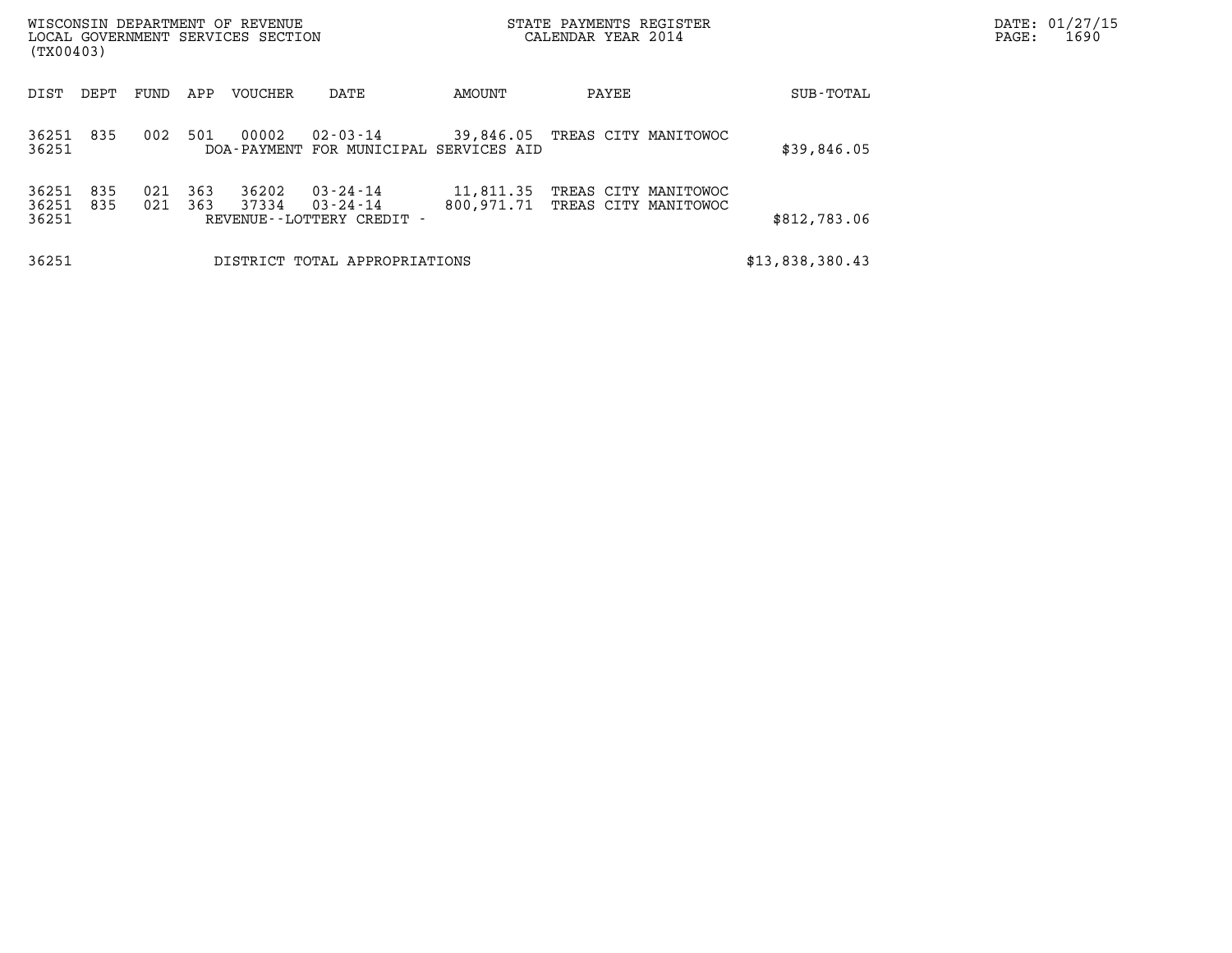| (TX00403)               |            |            |            | WISCONSIN DEPARTMENT OF REVENUE<br>LOCAL GOVERNMENT SERVICES SECTION |                                                                  |                         | CALENDAR YEAR 2014 | STATE PAYMENTS REGISTER                      |                 | DATE: 01/27/15<br>1690<br>PAGE: |
|-------------------------|------------|------------|------------|----------------------------------------------------------------------|------------------------------------------------------------------|-------------------------|--------------------|----------------------------------------------|-----------------|---------------------------------|
| DIST                    | DEPT       | FUND       | APP        | <b>VOUCHER</b>                                                       | DATE                                                             | AMOUNT                  | PAYEE              |                                              | SUB-TOTAL       |                                 |
| 36251<br>36251          | 835        | 002        | 501        | 00002                                                                | 02-03-14<br>DOA-PAYMENT FOR MUNICIPAL SERVICES AID               |                         |                    | 39,846.05 TREAS CITY MANITOWOC               | \$39,846.05     |                                 |
| 36251<br>36251<br>36251 | 835<br>835 | 021<br>021 | 363<br>363 | 36202<br>37334                                                       | $03 - 24 - 14$<br>$03 - 24 - 14$<br>REVENUE - - LOTTERY CREDIT - | 11,811.35<br>800,971.71 |                    | TREAS CITY MANITOWOC<br>TREAS CITY MANITOWOC | \$812,783.06    |                                 |
| 36251                   |            |            |            |                                                                      | DISTRICT TOTAL APPROPRIATIONS                                    |                         |                    |                                              | \$13,838,380.43 |                                 |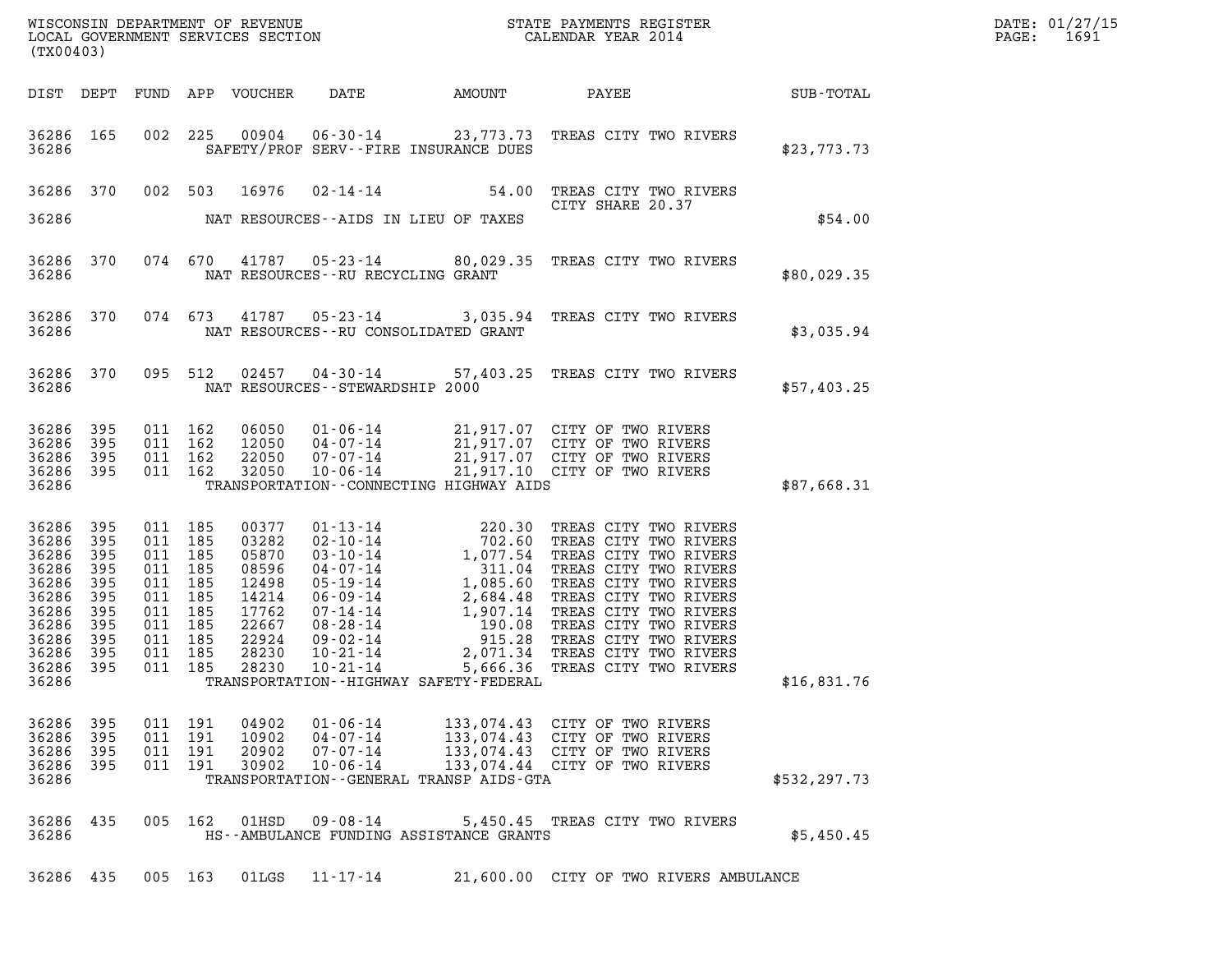| WISCONSIN DEPARTMENT OF REVENUE<br>LOCAL GOVERNMENT SERVICES SECTION<br>(TX00403) | STATE PAYMENTS REGISTER<br>CALENDAR YEAR 2014 | DATE: 01/27/15<br>1691<br>PAGE: |
|-----------------------------------------------------------------------------------|-----------------------------------------------|---------------------------------|

| WISCONSIN DEPARTMENT OF REVENUE<br>LOCAL GOVERNMENT SERVICES SECTION<br>(TWARA 2014<br>(TX00403)                 |                                                             |                               |                                                                                      |                                  |                                                                |                                             |                                                                                                                                                                                                                                        | $\mathbb{R}^n$ | DATE: 01/27/15<br>PAGE: 1691 |
|------------------------------------------------------------------------------------------------------------------|-------------------------------------------------------------|-------------------------------|--------------------------------------------------------------------------------------|----------------------------------|----------------------------------------------------------------|---------------------------------------------|----------------------------------------------------------------------------------------------------------------------------------------------------------------------------------------------------------------------------------------|----------------|------------------------------|
| DIST DEPT                                                                                                        |                                                             |                               |                                                                                      |                                  |                                                                |                                             | FUND APP VOUCHER DATE AMOUNT PAYEE SUB-TOTAL                                                                                                                                                                                           |                |                              |
| 36286                                                                                                            | 36286 165                                                   |                               | 002 225                                                                              |                                  |                                                                | SAFETY/PROF SERV--FIRE INSURANCE DUES       | 00904  06-30-14  23,773.73  TREAS CITY TWO RIVERS                                                                                                                                                                                      | \$23,773.73    |                              |
|                                                                                                                  | 36286 370                                                   |                               |                                                                                      |                                  | 36286 MAT RESOURCES--AIDS IN LIEU OF TAXES                     |                                             | 002 503 16976 02-14-14 54.00 TREAS CITY TWO RIVERS<br>CITY SHARE 20.37<br>CITY SHARE 20.37                                                                                                                                             | \$54.00        |                              |
| 36286                                                                                                            | 36286 370                                                   |                               |                                                                                      |                                  | NAT RESOURCES--RU RECYCLING GRANT                              |                                             | 074 670 41787 05-23-14 80,029.35 TREAS CITY TWO RIVERS                                                                                                                                                                                 | \$80,029.35    |                              |
| 36286                                                                                                            | 36286 370                                                   |                               |                                                                                      |                                  | NAT RESOURCES--RU CONSOLIDATED GRANT                           |                                             | 074 673 41787 05-23-14 3,035.94 TREAS CITY TWO RIVERS                                                                                                                                                                                  | \$3,035.94     |                              |
| 36286                                                                                                            | 36286 370                                                   |                               | 095 512                                                                              |                                  | NAT RESOURCES - - STEWARDSHIP 2000                             |                                             | 02457  04-30-14  57,403.25  TREAS CITY TWO RIVERS                                                                                                                                                                                      | \$57,403.25    |                              |
| 36286 395<br>36286<br>36286 395<br>36286 395<br>36286                                                            | 395                                                         | 011 162                       | 011 162<br>011 162<br>011 162                                                        |                                  |                                                                | TRANSPORTATION--CONNECTING HIGHWAY AIDS     | 06050  01-06-14  21,917.07  CITY OF TWO RIVERS<br>12050  04-07-14  21,917.07  CITY OF TWO RIVERS<br>22050  07-07-14  21,917.07  CITY OF TWO RIVERS<br>32050  10-06-14  21,917.10  CITY OF TWO RIVERS                                   | \$87,668.31    |                              |
| 36286<br>36286<br>36286<br>36286<br>36286<br>36286<br>36286<br>36286<br>36286<br>36286 395<br>36286 395<br>36286 | 395<br>395<br>395<br>395<br>395<br>395<br>395<br>395<br>395 | 011 185<br>011 185<br>011 185 | 011 185<br>011 185<br>011 185<br>011 185<br>011 185<br>011 185<br>011 185<br>011 185 |                                  |                                                                | TRANSPORTATION - - HIGHWAY SAFETY - FEDERAL | 00377 01-13-14 220.30 TREAS CITY TWO RIVERS<br>03282 02-10-14 702.60 TREAS CITY TWO RIVERS<br>05870 03-10-14 1,077.54 TREAS CITY TWO RIVERS<br>08596 04-07-14 311.04 TREAS CITY TWO RIVERS<br>12498 05-19-14 1,085.60 TREAS CITY TWO R | \$16,831.76    |                              |
| 36286<br>36286<br>36286<br>36286<br>36286                                                                        | 395<br>395<br>395<br>-395                                   | 011 191<br>011                | 011 191<br>191<br>011 191                                                            | 04902<br>10902<br>20902<br>30902 | $01 - 06 - 14$<br>04-07-14<br>$07 - 07 - 14$<br>$10 - 06 - 14$ | TRANSPORTATION--GENERAL TRANSP AIDS-GTA     | 133,074.43 CITY OF TWO RIVERS<br>133,074.43 CITY OF TWO RIVERS<br>133,074.43 CITY OF TWO RIVERS<br>133,074.44 CITY OF TWO RIVERS                                                                                                       | \$532, 297.73  |                              |
| 36286 435<br>36286                                                                                               |                                                             |                               | 005 162                                                                              | 01HSD                            | 09-08-14                                                       | HS--AMBULANCE FUNDING ASSISTANCE GRANTS     | 5,450.45 TREAS CITY TWO RIVERS                                                                                                                                                                                                         | \$5,450.45     |                              |
| 36286 435                                                                                                        |                                                             |                               | 005 163                                                                              |                                  | $01LGS$ $11-17-14$                                             |                                             | 21,600.00 CITY OF TWO RIVERS AMBULANCE                                                                                                                                                                                                 |                |                              |